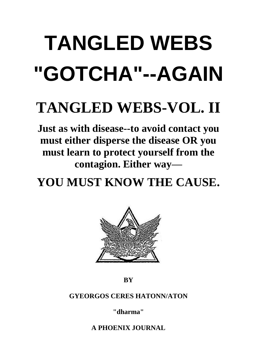# **TANGLED WEBS "GOTCHA"--AGAIN**

# **TANGLED WEBS-VOL. II**

**Just as with disease--to avoid contact you must either disperse the disease OR you must learn to protect yourself from the contagion. Either way—**

**YOU MUST KNOW THE CAUSE.**



**BY**

## **GYEORGOS CERES HATONN/ATON**

**"dharma"**

**A PHOENIX JOURNAL**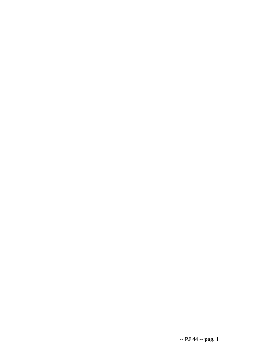**-- PJ 44 -- pag. 1**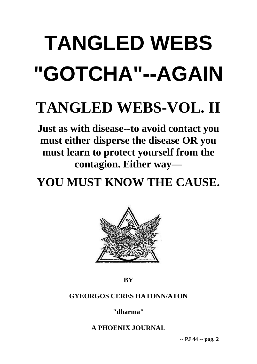# **TANGLED WEBS "GOTCHA"--AGAIN**

# **TANGLED WEBS-VOL. II**

**Just as with disease--to avoid contact you must either disperse the disease OR you must learn to protect yourself from the contagion. Either way—**

**YOU MUST KNOW THE CAUSE.**



**BY**

## **GYEORGOS CERES HATONN/ATON**

**"dharma"**

## **A PHOENIX JOURNAL**

**-- PJ 44 -- pag. 2**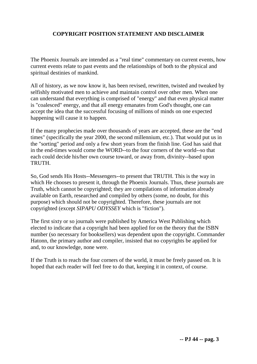#### **COPYRIGHT POSITION STATEMENT AND DISCLAIMER**

The Phoenix Journals are intended as a "real time" commentary on current events, how current events relate to past events and the relationships of both to the physical and spiritual destinies of mankind.

All of history, as we now know it, has been revised, rewritten, twisted and tweaked by selfishly motivated men to achieve and maintain control over other men. When one can understand that everything is comprised of "energy" and that even physical matter is "coalesced" energy, and that all energy emanates from God's thought, one can accept the idea that the successful focusing of millions of minds on one expected happening will cause it to happen.

If the many prophecies made over thousands of years are accepted, these are the "end times" (specifically the year 2000, the second millennium, etc.). That would put us in the "sorting" period and only a few short years from the finish line. God has said that in the end-times would come the WORD--to the four corners of the world--so that each could decide his/her own course toward, or away from, divinity--based upon TRUTH.

So, God sends His Hosts--Messengers--to present that TRUTH. This is the way in which He chooses to present it, through the Phoenix Journals. Thus, these journals are Truth, which cannot be copyrighted; they are compilations of information already available on Earth, researched and compiled by others (some, no doubt, for this purpose) which should not be copyrighted. Therefore, these journals are not copyrighted (except *SIPAPU ODYSSEY* which is "fiction").

The first sixty or so journals were published by America West Publishing which elected to indicate that a copyright had been applied for on the theory that the ISBN number (so necessary for booksellers) was dependent upon the copyright. Commander Hatonn, the primary author and compiler, insisted that no copyrights be applied for and, to our knowledge, none were.

If the Truth is to reach the four corners of the world, it must be freely passed on. It is hoped that each reader will feel free to do that, keeping it in context, of course.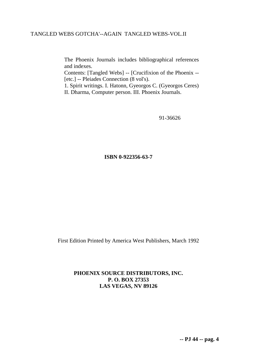#### TANGLED WEBS GOTCHA'--AGAIN TANGLED WEBS-VOL.II

The Phoenix Journals includes bibliographical references and indexes.

Contents: [Tangled Webs] -- [Crucifixion of the Phoenix -- [etc.] -- Pleiades Connection (8 vol's).

1. Spirit writings. I. Hatonn, Gyeorgos C. (Gyeorgos Ceres) II. Dharma, Computer person. III. Phoenix Journals.

91-36626

**ISBN 0-922356-63-7**

First Edition Printed by America West Publishers, March 1992

#### **PHOENIX SOURCE DISTRIBUTORS, INC. P. O. BOX 27353 LAS VEGAS, NV 89126**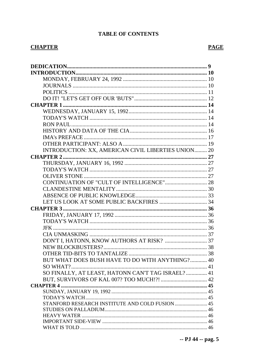#### **TABLE OF CONTENTS**

### **CHAPTER**

|                                                     | 9 |
|-----------------------------------------------------|---|
|                                                     |   |
|                                                     |   |
|                                                     |   |
|                                                     |   |
|                                                     |   |
|                                                     |   |
|                                                     |   |
|                                                     |   |
|                                                     |   |
|                                                     |   |
|                                                     |   |
|                                                     |   |
| INTRODUCTION: XX, AMERICAN CIVIL LIBERTIES UNION 20 |   |
|                                                     |   |
|                                                     |   |
|                                                     |   |
|                                                     |   |
|                                                     |   |
|                                                     |   |
|                                                     |   |
|                                                     |   |
|                                                     |   |
|                                                     |   |
|                                                     |   |
|                                                     |   |
|                                                     |   |
|                                                     |   |
|                                                     |   |
|                                                     |   |
| BUT WHAT DOES BUSH HAVE TO DO WITH ANYTHING? 40     |   |
| $SOWHAT?$<br>. 41                                   |   |
| SO FINALLY, AT LEAST, HATONN CAN'T TAG ISRAEL?  41  |   |
|                                                     |   |
| <b>CHAPTER 4 </b>                                   |   |
|                                                     |   |
|                                                     |   |
| STANFORD RESEARCH INSTITUTE AND COLD FUSION  45     |   |
|                                                     |   |
|                                                     |   |
|                                                     |   |
|                                                     |   |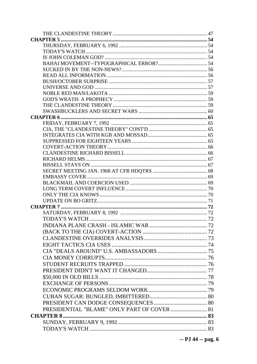| PRESIDENTIAL "BLAME" ONLY PART OF COVER  81 |  |
|---------------------------------------------|--|
| <b>CHAPTER 8</b>                            |  |
|                                             |  |
|                                             |  |
|                                             |  |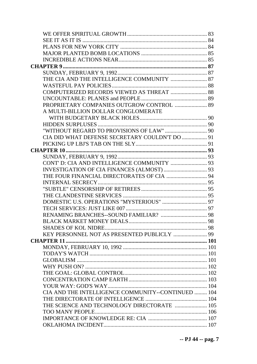| THE CIA AND THE INTELLIGENCE COMMUNITY  87         |  |
|----------------------------------------------------|--|
|                                                    |  |
| COMPUTERIZED RECORDS VIEWED AS THREAT  88          |  |
|                                                    |  |
| PROPRIETARY COMPANIES OUTGROW CONTROL  89          |  |
| A MULTI-BILLION DOLLAR CONGLOMERATE                |  |
|                                                    |  |
|                                                    |  |
|                                                    |  |
| CIA DID WHAT DEFENSE SECRETARY COULDN'T DO  91     |  |
|                                                    |  |
|                                                    |  |
|                                                    |  |
|                                                    |  |
|                                                    |  |
|                                                    |  |
|                                                    |  |
|                                                    |  |
|                                                    |  |
|                                                    |  |
|                                                    |  |
|                                                    |  |
|                                                    |  |
|                                                    |  |
| KEY PERSONNEL NOT AS PRESENTED PUBLICLY  99        |  |
|                                                    |  |
|                                                    |  |
|                                                    |  |
|                                                    |  |
|                                                    |  |
|                                                    |  |
|                                                    |  |
|                                                    |  |
| CIA AND THE INTELLIGENCE COMMUNITY--CONTINUED  104 |  |
|                                                    |  |
|                                                    |  |
|                                                    |  |
|                                                    |  |
|                                                    |  |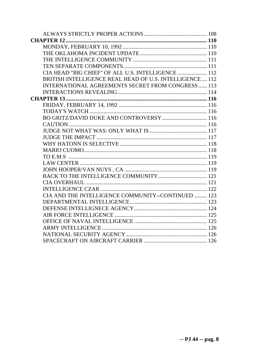| CIA HEAD "BIG CHIEF" OF ALL U.S. INTELLIGENCE  112        |  |
|-----------------------------------------------------------|--|
| BRITISH INTELLIGENCE REAL HEAD OF U.S. INTELLIGENCE 112   |  |
| <b>INTERNATIONAL AGREEMENTS SECRET FROM CONGRESS  113</b> |  |
|                                                           |  |
|                                                           |  |
|                                                           |  |
|                                                           |  |
|                                                           |  |
|                                                           |  |
|                                                           |  |
|                                                           |  |
|                                                           |  |
|                                                           |  |
|                                                           |  |
|                                                           |  |
|                                                           |  |
|                                                           |  |
|                                                           |  |
|                                                           |  |
| CIA AND THE INTELLIGENCE COMMUNITY--CONTINUED  123        |  |
|                                                           |  |
|                                                           |  |
|                                                           |  |
|                                                           |  |
|                                                           |  |
|                                                           |  |
|                                                           |  |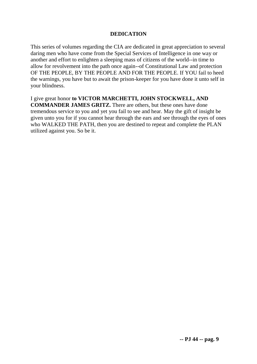#### **DEDICATION**

This series of volumes regarding the CIA are dedicated in great appreciation to several daring men who have come from the Special Services of Intelligence in one way or another and effort to enlighten a sleeping mass of citizens of the world--in time to allow for revolvement into the path once again--of Constitutional Law and protection OF THE PEOPLE, BY THE PEOPLE AND FOR THE PEOPLE. If YOU fail to heed the warnings, you have but to await the prison-keeper for you have done it unto self in your blindness.

I give great honor **to VICTOR MARCHETTI, JOHN STOCKWELL, AND COMMANDER JAMES GRITZ.** There are others, but these ones have done tremendous service to you and yet you fail to see and hear. May the gift of insight be given unto you for if you cannot hear through the ears and see through the eyes of ones who WALKED THE PATH, then you are destined to repeat and complete the PLAN utilized against you. So be it.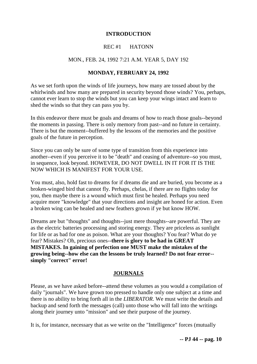#### **INTRODUCTION**

#### REC #1 HATONN

#### MON., FEB. 24, 1992 7:21 A.M. YEAR 5, DAY 192

#### **MONDAY, FEBRUARY 24, 1992**

As we set forth upon the winds of life journeys, how many are tossed about by the whirlwinds and how many are prepared in security beyond those winds? You, perhaps, cannot ever learn to stop the winds but you can keep your wings intact and learn to shed the winds so that they can pass you by.

In this endeavor there must be goals and dreams of how to reach those goals--beyond the moments in passing. There is only memory from past--and no future in certainty. There is but the moment--buffered by the lessons of the memories and the positive goals of the future in perception.

Since you can only be sure of some type of transition from this experience into another--even if you perceive it to be "death" and ceasing of adventure--so you must, in sequence, look beyond. HOWEVER, DO NOT DWELL IN IT FOR IT IS THE NOW WHICH IS MANIFEST FOR YOUR USE.

You must, also, hold fast to dreams for if dreams die and are buried, you become as a broken-winged bird that cannot fly. Perhaps, chelas, if there are no flights today for you, then maybe there is a wound which must first be healed. Perhaps you need acquire more "knowledge" that your directions and insight are honed for action. Even a broken wing can be healed and new feathers grown if ye but know HOW.

Dreams are but "thoughts" and thoughts--just mere thoughts--are powerful. They are as the electric batteries processing and storing energy. They are priceless as sunlight for life or as bad for one as poison. What are your thoughts? You fear? What do ye fear? Mistakes? Oh, precious ones--**there is glory to be had in GREAT MISTAKES. In gaining of perfection one MUST make the mistakes of the growing being--how else can the lessons be truly learned? Do not fear error- simply "correct" error!**

#### **JOURNALS**

Please, as we have asked before--attend these volumes as you would a compilation of daily "journals". We have grown too pressed to handle only one subject at a time and there is no ability to bring forth all in the *LIBERATOR*. We must write the details and backup and send forth the messages (call) unto those who will fall into the writings along their journey unto "mission" and see their purpose of the journey.

It is, for instance, necessary that as we write on the "Intelligence" forces (mutually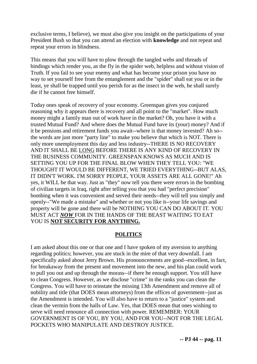exclusive terms, I believe), we must also give you insight on the participations of your President Bush so that you can attend an election with **knowledge** and not repeat and repeat your errors in blindness.

This means that you will have to plow through the tangled webs and threads of bindings which render you, as the fly in the spider web, helpless and without vision of Truth. If you fail to see your enemy and what has become your prison you have no way to set yourself free from the entanglement and the "spider" shall eat you or in the least, ye shall be trapped until you perish for as the insect in the web, he shall surely die if he cannot free himself.

Today ones speak of recovery of your economy. Greenspan gives you conjured reasoning why it appears there is recovery and all point to the "market". How much money might a family man out of work have in the market? Oh, you have it with a trusted Mutual Fund? And where does the Mutual Fund have its (your) money? And if it be pensions and retirement funds you await--where is that money invested? Ah so- the words are just more "party line" to make you believe that which is NOT. There is only more unemployment this day and less industry--THERE IS NO RECOVERY AND IT SHALL BE LONG BEFORE THERE IS ANY KIND OF RECOVERY IN THE BUSINESS COMMUNITY. GREENSPAN KNOWS AS MUCH AND IS SETTING YOU UP FOR THE FINAL BLOW WHEN THEY TELL YOU: "WE THOUGHT IT WOULD BE DIFFERENT, WE TRIED EVERYTHING--BUT ALAS, IT DIDN'T WORK. I'M SORRY PEOPLE, YOUR ASSETS ARE ALL GONE!" Ah yes, it WILL be that way. Just as "they" now tell you there were errors in the bombing of civilian targets in Iraq, right after telling you that you had "perfect precision" bombing when it was convenient and served their needs--they will tell you simply and openly--"We made a mistake" and whether or not you like it--your life savings and property will be gone and there will be NOTHING YOU CAN DO ABOUT IT. YOU MUST ACT *NOW* FOR IN THE HANDS OF THE BEAST WAITING TO EAT YOU IS **NOT SECURITY FOR ANYTHING.**

#### **POLITICS**

I am asked about this one or that one and I have spoken of my aversion to anything regarding politics; however, you are stuck in the mire of that very downfall. I am specifically asked about Jerry Brown. His pronouncements are good--excellent, in fact, for breakaway from the present and movement into the new, and his plan could work to pull you out and up through the morass--if there be enough support. You still have to clean Congress. However, as we disclose "crime" in the ranks you can clean the Congress. You will have to reinstate the missing 13th Amendment and remove all of nobility and title (that DOES mean attorneys) from the offices of government--just as the Amendment is intended. You will also have to return to a "justice" system and clean the vermin from the halls of Law. Yes, that DOES mean that ones wishing to serve will need renounce all connection with power. REMEMBER: YOUR GOVERNMENT IS OF YOU, BY YOU, AND FOR YOU--NOT FOR THE LEGAL POCKETS WHO MANIPULATE AND DESTROY JUSTICE.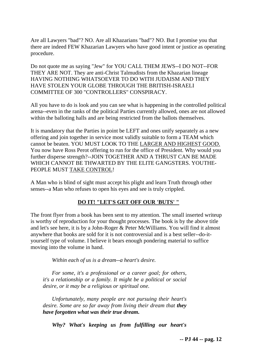Are all Lawyers "bad"? NO. Are all Khazarians "bad"? NO. But I promise you that there are indeed FEW Khazarian Lawyers who have good intent or justice as operating procedure.

Do not quote me as saying "Jew" for YOU CALL THEM JEWS--I DO NOT--FOR THEY ARE NOT. They are anti-Christ Talmudists from the Khazarian lineage HAVING NOTHING WHATSOEVER TO DO WITH JUDAISM AND THEY HAVE STOLEN YOUR GLOBE THROUGH THE BRITISH-ISRAELI COMMITTEE OF 300 "CONTROLLERS" CONSPIRACY.

All you have to do is look and you can see what is happening in the controlled political arena--even in the ranks of the political Parties currently allowed, ones are not allowed within the balloting halls and are being restricted from the ballots themselves.

It is mandatory that the Parties in point be LEFT and ones unify separately as a new offering and join together in service most validly suitable to form a TEAM which cannot be beaten. YOU MUST LOOK TO THE LARGER AND HIGHEST GOOD. You now have Ross Perot offering to run for the office of President. Why would you further disperse strength?--JOIN TOGETHER AND A THRUST CAN BE MADE WHICH CANNOT BE THWARTED BY THE ELITE GANGSTERS. YOUTHE-PEOPLE MUST TAKE CONTROL!

A Man who is blind of sight must accept his plight and learn Truth through other senses--a Man who refuses to open his eyes and see is truly crippled.

#### **DO IT! "LET'S GET OFF OUR 'BUTS' "**

The front flyer from a book has been sent to my attention. The small inserted writeup is worthy of reproduction for your thought processes. The book is by the above title and let's see here, it is by a John-Roger & Peter McWilliams. You will find it almost anywhere that books are sold for it is not controversial and is a best seller--do-ityourself type of volume. I believe it bears enough pondering material to suffice moving into the volume in hand.

*Within each of us is a dream--a heart's desire.*

*For some, it's a professional or a career goal; for others, it's a relationship or a family. It might be a political or social desire, or it may be a religious or spiritual one.*

*Unfortunately, many people are not pursuing their heart's desire. Some are so far away from living their dream that they have forgotten what was their true dream.*

*Why? What's keeping us from fulfilling our heart's*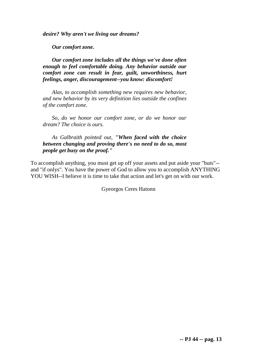*desire? Why aren't we living our dreams?*

*Our comfort zone.*

*Our comfort zone includes all the things we've done often enough to feel comfortable doing. Any behavior outside our comfort zone can result in fear, guilt, unworthiness, hurt feelings, anger, discouragement--you know: discomfort!*

*Alas, to accomplish something new requires new behavior, and new behavior by its very definition lies outside the confines of the comfort zone.*

*So, do we honor our comfort zone, or do we honor our dream? The choice is ours.*

#### *As Galbraith pointed out, "When faced with the choice between changing and proving there's no need to do so, most people get busy on the proof."*

To accomplish anything, you must get up off your assets and put aside your "buts"- and "if onlys". You have the power of God to allow you to accomplish ANYTHING YOU WISH--I believe it is time to take that action and let's get on with our work.

Gyeorgos Ceres Hatonn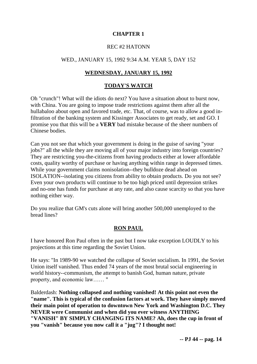#### **CHAPTER 1**

#### REC #2 HATONN

#### WED., JANUARY 15, 1992 9:34 A.M. YEAR 5, DAY 152

#### **WEDNESDAY, JANUARY 15, 1992**

#### **TODAY'S WATCH**

Oh "crunch"! What will the idiots do next? You have a situation about to burst now, with China. You are going to impose trade restrictions against them after all the hullabaloo about open and favored trade, etc. That, of course, was to allow a good infiltration of the banking system and Kissinger Associates to get ready, set and GO. I promise you that this will be a **VERY** bad mistake because of the sheer numbers of Chinese bodies.

Can you not see that which your government is doing in the guise of saving "your jobs?" all the while they are moving all of your major industry into foreign countries? They are restricting you-the-citizens from having products either at lower affordable costs, quality worthy of purchase or having anything within range in depressed times. While your government claims nonisolation--they bulldoze dead ahead on ISOLATION--isolating you citizens from ability to obtain products. Do you not see? Even your own products will continue to be too high priced until depression strikes and no-one has funds for purchase at any rate, and also cause scarcity so that you have nothing either way.

Do you realize that GM's cuts alone will bring another 500,000 unemployed to the bread lines?

#### **RON PAUL**

I have honored Ron Paul often in the past but I now take exception LOUDLY to his projections at this time regarding the Soviet Union.

He says: "In 1989-90 we watched the collapse of Soviet socialism. In 1991, the Soviet Union itself vanished. Thus ended 74 years of the most brutal social engineering in world history--communism, the attempt to banish God, human nature, private property, and economic law…… "

Balderdash: **Nothing collapsed and nothing vanished! At this point not even the "name". This is typical of the confusion factors at work. They have simply moved their main point of operation to downtown New York and Washington D.C. They NEVER were Communist and when did you ever witness ANYTHING "VANISH" BY SIMPLY CHANGING ITS NAME? Ah, does the cup in front of you "vanish" because you now call it a "jug"? I thought not!**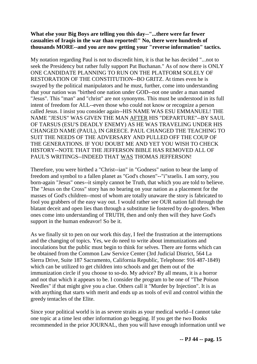#### **What else your Big Boys are telling you this day--"...there were far fewer casualties of Iraqis in the war than reported!" No, there were hundreds of thousands MORE--and you are now getting your "reverse information" tactics.**

My notation regarding Paul is not to discredit him, it is that he has decided "...not to seek the Presidency but rather fully support Pat Buchanan." As of now there is ONLY ONE CANDIDATE PLANNING TO RUN ON THE PLATFORM SOLELY OF RESTORATION OF THE CONSTITUTION--BO GRITZ. At times even he is swayed by the political manipulators and he must, further, come into understanding that your nation was "birthed one nation under GOD--not one under a man named "Jesus". This "man" and "christ" are not synonyms. This must be understood in its full intent of freedom for ALL--even those who could not know or recognize a person called Jesus. I insist you consider again--HIS NAME WAS ESU EMMANUEL! THE NAME "JESUS" WAS GIVEN THE MAN AFTER HIS "DEPARTURE"--BY SAUL OF TARSUS (ESU'S DEADLY ENEMY) AS HE WAS TRAVELING UNDER HIS CHANGED NAME (PAUL), IN GREECE. PAUL CHANGED THE TEACHING TO SUIT THE NEEDS OF THE ADVERSARY AND PULLED OFF THE COUP OF THE GENERATIONS. IF YOU DOUBT ME AND YET YOU WISH TO CHECK HISTORY--NOTE THAT THE JEFFERSON BIBLE HAS REMOVED ALL OF PAUL'S WRITINGS--INDEED THAT WAS THOMAS JEFFERSON!

Therefore, you were birthed a "Christ--ian" in "Godness" nation to bear the lamp of freedom and symbol to a fallen planet as "God's chosen"--"i"sraelis. I am sorry, you born-again "Jesus" ones--it simply cannot be Truth, that which you are told to believe. The "Jesus on the Cross" story has no bearing on your nation as a placement for the masses of God's children--most of whom are totally unaware the story is fabricated to fool you grabbers of the easy way out. I would rather see OUR nation fall through the blatant deceit and open lies than through a substitute lie fostered by do-gooders. When ones come into understanding of TRUTH, then and only then will they have God's support in the human endeavor! So be it.

As we finally sit to pen on our work this day, I feel the frustration at the interruptions and the changing of topics. Yes, we do need to write about immunizations and inoculations but the public must begin to think for selves. There are forms which can be obtained from the Common Law Service Center (3rd Judicial District, 564 La Sierra Drive, Suite 187 Sacramento, California Republic, Telephone: 916 487-1849) which can be utilized to get children into schools and get them out of the immunization circle if you choose to so-do. My advice? By all means, it is a horror and not that which it appears to be. I consider the program to be one of "The Poison Needles" if that might give you a clue. Others call it "Murder by Injection". It is as with anything that starts with merit and ends up as tools of evil and control within the greedy tentacles of the Elite.

Since your political world is in as severe straits as your medical world--I cannot take one topic at a time lest other information go begging. If you get the two Books recommended in the prior JOURNAL, then you will have enough information until we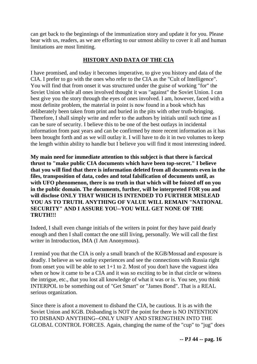can get back to the beginnings of the immunization story and update it for you. Please bear with us, readers, as we are efforting to our utmost ability to cover it all and human limitations are most limiting.

#### **HISTORY AND DATA OF THE CIA**

I have promised, and today it becomes imperative, to give you history and data of the CIA. I prefer to go with the ones who refer to the CIA as the "Cult of Intelligence". You will find that from onset it was structured under the guise of working "for" the Soviet Union while all ones involved thought it was "against" the Soviet Union. I can best give you the story through the eyes of ones involved. I am, however, faced with a most definite problem, the material in point is now found in a book which has deliberately been taken from print and buried in the pits with other truth-bringing. Therefore, I shall simply write and refer to the authors by initials until such time as I can be sure of security. I believe this to be one of the best outlays in incidental information from past years and can be confirmed by more recent information as it has been brought forth and as we will outlay it. I will have to do it in two volumes to keep the length within ability to handle but I believe you will find it most interesting indeed.

**My main need for immediate attention to this subject is that there is farcical thrust to "make public CIA documents which have been top-secret." I believe that you will find that there is information deleted from all documents even in the files, transposition of data, codes and total falsification of documents until, as with UFO phenomenon, there is no truth in that which will be foisted off on you in the public domain. The documents, further, will be interpreted FOR you and will disclose ONLY THAT WHICH IS INTENDED TO FURTHER MISLEAD YOU AS TO TRUTH. ANYTHING OF VALUE WILL REMAIN "NATIONAL SECURITY" AND I ASSURE YOU--YOU WILL GET NONE OF THE TRUTH!!!**

Indeed, I shall even change initials of the writers in point for they have paid dearly enough and then I shall contact the one still living, personally. We will call the first writer in Introduction, IMA (I Am Anonymous).

I remind you that the CIA is only a small branch of the KGB/Mossad and exposure is deadly. I believe as we outlay experiences and see the connections with Russia right from onset you will be able to set  $1+1$  to 2. Most of you don't have the vaguest idea when or how it came to be a CIA and it was so exciting to be in that circle or witness the intrigue, etc., that you lost all knowledge of what it was or is. You see, you think INTERPOL to be something out of "Get Smart" or "James Bond". That is a REAL serious organization.

Since there is afoot a movement to disband the CIA, be cautious. It is as with the Soviet Union and KGB. Disbanding is NOT the point for there is NO INTENTION TO DISBAND ANYTHING--ONLY UNIFY AND STRENGTHEN INTO THE GLOBAL CONTROL FORCES. Again, changing the name of the "cup" to "jug" does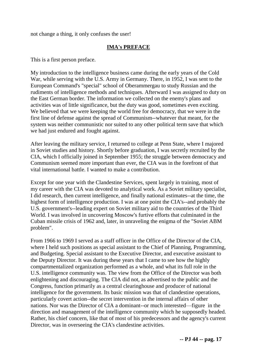not change a thing, it only confuses the user!

#### **IMA's PREFACE**

This is a first person preface.

My introduction to the intelligence business came during the early years of the Cold War, while serving with the U.S. Army in Germany. There, in 1952, I was sent to the European Command's "special" school of Oberammergau to study Russian and the rudiments of intelligence methods and techniques. Afterward I was assigned to duty on the East German border. The information we collected on the enemy's plans and activities was of little significance, but the duty was good, sometimes even exciting. We believed that we were keeping the world free for democracy, that we were in the first line of defense against the spread of Communism--whatever that meant, for the system was neither communistic nor suited to any other political term save that which we had just endured and fought against.

After leaving the military service, I returned to college at Penn State, where I majored in Soviet studies and history. Shortly before graduation, I was secretly recruited by the CIA, which I officially joined in September 1955; the struggle between democracy and Communism seemed more important than ever, the CIA was in the forefront of that vital international battle. I wanted to make a contribution.

Except for one year with the Clandestine Services, spent largely in training, most of my career with the CIA was devoted to analytical work. As a Soviet military specialist, I did research, then current intelligence, and finally national estimates--at the time, the highest form of intelligence production. I was at one point the CIA's--and probably the U.S. government's--leading expert on Soviet military aid to the countries of the Third World. I was involved in uncovering Moscow's furtive efforts that culminated in the Cuban missile crisis of 1962 and, later, in unraveling the enigma of the "Soviet ABM problem".

From 1966 to 1969 I served as a staff officer in the Office of the Director of the CIA, where I held such positions as special assistant to the Chief of Planning, Programming, and Budgeting. Special assistant to the Executive Director, and executive assistant to the Deputy Director. It was during these years that I came to see how the highly compartmentalized organization performed as a whole, and what its full role in the U.S. intelligence community was. The view from the Office of the Director was both enlightening and discouraging. The CIA did not, as advertised to the public and the Congress, function primarily as a central clearinghouse and producer of national intelligence for the government. Its basic mission was that of clandestine operations, particularly covert action--the secret intervention in the internal affairs of other nations. Nor was the Director of CIA a dominant--or much interested—figure in the direction and management of the intelligence community which he supposedly headed. Rather, his chief concern, like that of most of his predecessors and the agency's current Director, was in overseeing the CIA's clandestine activities.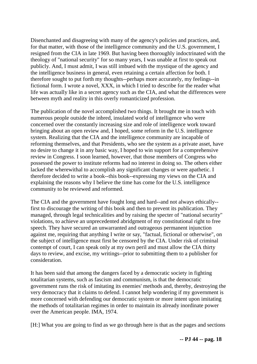Disenchanted and disagreeing with many of the agency's policies and practices, and, for that matter, with those of the intelligence community and the U.S. government, I resigned from the CIA in late 1969. But having been thoroughly indoctrinated with the theology of "national security" for so many years, I was unable at first to speak out publicly. And, I must admit, I was still imbued with the mystique of the agency and the intelligence business in general, even retaining a certain affection for both. I therefore sought to put forth my thoughts--perhaps more accurately, my feelings--in fictional form. I wrote a novel, XXX, in which I tried to describe for the reader what life was actually like in a secret agency such as the CIA, and what the differences were between myth and reality in this overly romanticized profession.

The publication of the novel accomplished two things. It brought me in touch with numerous people outside the inbred, insulated world of intelligence who were concerned over the constantly increasing size and role of intelligence work toward bringing about an open review and, I hoped, some reform in the U.S. intelligence system. Realizing that the CIA and the intelligence community are incapable of reforming themselves, and that Presidents, who see the system as a private asset, have no desire to change it in any basic way, I hoped to win support for a comprehensive review in Congress. I soon learned, however, that those members of Congress who possessed the power to institute reforms had no interest in doing so. The others either lacked the wherewithal to accomplish any significant changes or were apathetic. I therefore decided to write a book--this book--expressing my views on the CIA and explaining the reasons why I believe the time has come for the U.S. intelligence community to be reviewed and reformed.

The CIA and the government have fought long and hard--and not always ethically- first to discourage the writing of this book and then to prevent its publication. They managed, through legal technicalities and by raising the specter of "national security" violations, to achieve an unprecedented abridgment of my constitutional right to free speech. They have secured an unwarranted and outrageous permanent injunction against me, requiring that anything I write or say, "factual, fictional or otherwise", on the subject of intelligence must first be censored by the CIA. Under risk of criminal contempt of court, I can speak only at my own peril and must allow the CIA thirty days to review, and excise, my writings--prior to submitting them to a publisher for consideration.

It has been said that among the dangers faced by a democratic society in fighting totalitarian systems, such as fascism and communism, is that the democratic government runs the risk of imitating its enemies' methods and, thereby, destroying the very democracy that it claims to defend. I cannot help wondering if my government is more concerned with defending our democratic system or more intent upon imitating the methods of totalitarian regimes in order to maintain its already inordinate power over the American people. IMA, 1974.

[H:] What you are going to find as we go through here is that as the pages and sections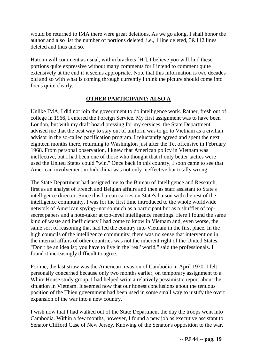would be returned to IMA there were great deletions. As we go along, I shall honor the author and also list the number of portions deleted, i.e., 1 line deleted, 3&112 lines deleted and thus and so.

Hatonn will comment as usual, within brackets [H:]. I believe you will find these portions quite expressive without many comments for I intend to comment quite extensively at the end if it seems appropriate. Note that this information is two decades old and so with what is coming through currently I think the picture should come into focus quite clearly.

#### **OTHER PARTICIPANT: ALSO A**

Unlike IMA, I did not join the government to do intelligence work. Rather, fresh out of college in 1966, I entered the Foreign Service. My first assignment was to have been London, but with my draft board pressing for my services, the State Department advised me that the best way to stay out of uniform was to go to Vietnam as a civilian advisor in the so-called pacification program. I reluctantly agreed and spent the next eighteen months there, returning to Washington just after the Tet offensive in February 1968. From personal observation, I knew that American policy in Vietnam was ineffective, but I had been one of those who thought that if only better tactics were used the United States could "win." Once back in this country, I soon came to see that American involvement in Indochina was not only ineffective but totally wrong.

The State Department had assigned me to the Bureau of Intelligence and Research, first as an analyst of French and Belgian affairs and then as staff assistant to State's intelligence director. Since this bureau carries on State's liaison with the rest of the intelligence community, I was for the first time introduced to the whole worldwide network of American spying--not so much as a participant but as a shuffler of topsecret papers and a note-taker at top-level intelligence meetings. Here I found the same kind of waste and inefficiency I had come to know in Vietnam and, even worse, the same sort of reasoning that had led the country into Vietnam in the first place. In the high councils of the intelligence community, there was no sense that intervention in the internal affairs of other countries was not the inherent right of the United States. "Don't be an idealist; you have to live in the 'real' world," said the professionals. I found it increasingly difficult to agree.

For me, the last straw was the American invasion of Cambodia in April 1970. I felt personally concerned because only two months earlier, on temporary assignment to a White House study group, I had helped write a relatively pessimistic report about the situation in Vietnam. It seemed now that our honest conclusions about the tenuous position of the Thieu government had been used in some small way to justify the overt expansion of the war into a new country.

I wish now that I had walked out of the State Department the day the troops went into Cambodia. Within a few months, however, I found a new job as executive assistant to Senator Clifford Case of New Jersey. Knowing of the Senator's opposition to the war,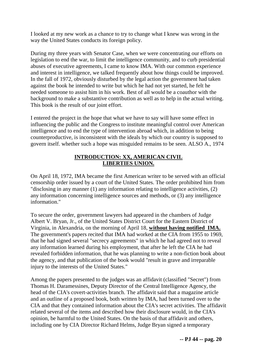I looked at my new work as a chance to try to change what I knew was wrong in the way the United States conducts its foreign policy.

During my three years with Senator Case, when we were concentrating our efforts on legislation to end the war, to limit the intelligence community, and to curb presidential abuses of executive agreements, I came to know IMA. With our common experience and interest in intelligence, we talked frequently about how things could be improved. In the fall of 1972, obviously disturbed by the legal action the government had taken against the book he intended to write but which he had not yet started, he felt he needed someone to assist him in his work. Best of all would be a coauthor with the background to make a substantive contribution as well as to help in the actual writing. This book is the result of our joint effort.

I entered the project in the hope that what we have to say will have some effect in influencing the public and the Congress to institute meaningful control over American intelligence and to end the type of intervention abroad which, in addition to being counterproductive, is inconsistent with the ideals by which our country is supposed to govern itself. whether such a hope was misguided remains to be seen. ALSO A., 1974

#### **INTRODUCTION: XX, AMERICAN CIVIL LIBERTIES UNION.**

On April 18, 1972, IMA became the first American writer to be served with an official censorship order issued by a court of the United States. The order prohibited him from "disclosing in any manner (1) any information relating to intelligence activities, (2) any information concerning intelligence sources and methods, or (3) any intelligence information."

To secure the order, government lawyers had appeared in the chambers of Judge Albert V. Bryan, Jr., of the United States District Court for the Eastern District of Virginia, in Alexandria, on the morning of April 18, **without having notified IMA.** The government's papers recited that IMA had worked at the CIA from 1955 to 1969, that he had signed several "secrecy agreements" in which he had agreed not to reveal any information learned during his employment, that after he left the CIA he had revealed forbidden information, that he was planning to write a non-fiction book about the agency, and that publication of the book would "result in grave and irreparable injury to the interests of the United States."

Among the papers presented to the judges was an affidavit (classified "Secret") from Thomas H. Daramessines, Deputy Director of the Central Intelligence Agency, the head of the CIA's covert-activities branch. The affidavit said that a magazine article and an outline of a proposed book, both written by IMA, had been turned over to the CIA and that they contained information about the CIA's secret activities. The affidavit related several of the items and described how their disclosure would, in the CIA's opinion, be harmful to the United States. On the basis of that affidavit and others, including one by CIA Director Richard Helms, Judge Bryan signed a temporary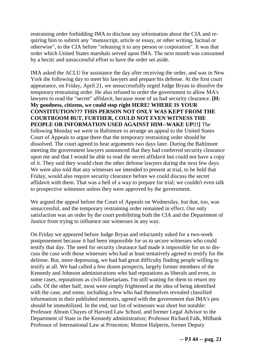restraining order forbidding IMA to disclose any information about the CIA and requiring him to submit any "manuscript, article or essay, or other writing, factual or otherwise", to the CIA before "releasing it to any person or corporation". It was that order which United States marshals served upon IMA. The next month was consumed by a hectic and unsuccessful effort to have the order set aside.

IMA asked the ACLU for assistance the day after receiving the order, and was in New York the following day to meet his lawyers and prepare his defense. At the first court appearance, on Friday, April 21, we unsuccessfully urged Judge Bryan to dissolve the temporary restraining order. He also refused to order the government to allow MA's lawyers to read the "secret" affidavit, because none of us had security clearance. **[H: My goodness, citizens, we could stop right HERE! WHERE IS YOUR CONSTITUTION??? THIS PERSON NOT ONLY WAS KEPT FROM THE COURTROOM BUT, FURTHER, COULD NOT EVEN WITNESS THE PEOPLE OR INFORMATION USED AGAINST HIM--WAKE UP!!!]** The following Monday we were in Baltimore to arrange an appeal to the United States Court of Appeals to argue there that the temporary restraining order should be dissolved. The court agreed to hear arguments two days later. During the Baltimore meeting the government lawyers announced that they had conferred security clearance upon me and that I would be able to read the secret affidavit but could not have a copy of it. They said they would clear the other defense lawyers during the next few days. We were also told that any witnesses we intended to present at trial, to be held that Friday, would also require security clearance before we could discuss the secret affidavit with them. That was a hell of a way to prepare for trial; we couldn't even talk to prospective witnesses unless they were approved by the government.

We argued the appeal before the Court of Appeals on Wednesday, but that, too, was unsuccessful, and the temporary restraining order remained in effect. Our only satisfaction was an order by the court prohibiting both the CIA and the Department of Justice from trying to influence our witnesses in any way.

On Friday we appeared before Judge Bryan and reluctantly asked for a two-week postponement because it had been impossible for us to secure witnesses who could testify that day. The need for security clearance had made it impossible for us to discuss the case with those witnesses who had at least tentatively agreed to testify for the defense. But, more depressing, we had had great difficulty finding people willing to testify at all. We had called a few dozen prospects, largely former members of the Kennedy and Johnson administrations who had reputations as liberals and even, in some cases, reputations as civil-libertarians. I'm still waiting for them to return my calls. Of the other half, most were simply frightened at the idea of being identified with the case, and some, including a few who had themselves revealed classified information in their published memoirs, agreed with the government that IMA's pen should be immobilized. In the end, our list of witnesses was short but notable: Professor Abram Chayes of Harvard Law School, and former Legal Advisor to the Department of State in the Kennedy administration; Professor Richard Falk, Milbank Professor of International Law at Princeton; Morton Halperin, former Deputy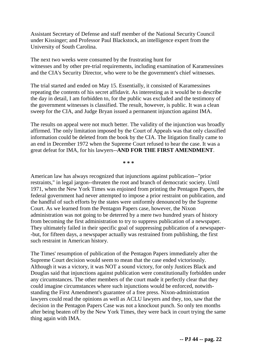Assistant Secretary of Defense and staff member of the National Security Council under Kissinger; and Professor Paul Blackstock, an intelligence expert from the University of South Carolina.

The next two weeks were consumed by the frustrating hunt for witnesses and by other pre-trial requirements, including examination of Karamessines and the CIA's Security Director, who were to be the government's chief witnesses.

The trial started and ended on May 15. Essentially, it consisted of Karamessines repeating the contents of his secret affidavit. As interesting as it would be to describe the day in detail, I am forbidden to, for the public was excluded and the testimony of the government witnesses is classified. The result, however, is public. It was a clean sweep for the CIA, and Judge Bryan issued a permanent injunction against IMA.

The results on appeal were not much better. The validity of the injunction was broadly affirmed. The only limitation imposed by the Court of Appeals was that only classified information could be deleted from the book by the CIA. The litigation finally came to an end in December 1972 when the Supreme Court refused to hear the case. It was a great defeat for IMA, for his lawyers--**AND FOR THE FIRST AMENDMENT**.

**\* \* \***

American law has always recognized that injunctions against publication--"prior restraints," in legal jargon--threaten the root and branch of democratic society. Until 1971, when the New York Times was enjoined from printing the Pentagon Papers, the federal government had never attempted to impose a prior restraint on publication, and the handful of such efforts by the states were uniformly denounced by the Supreme Court. As we learned from the Pentagon Papers case, however, the Nixon administration was not going to be deterred by a mere two hundred years of history from becoming the first administration to try to suppress publication of a newspaper. They ultimately failed in their specific goal of suppressing publication of a newspaper- -but, for fifteen days, a newspaper actually was restrained from publishing, the first such restraint in American history.

The Times' resumption of publication of the Pentagon Papers immediately after the Supreme Court decision would seem to mean that the case ended victoriously. Although it was a victory, it was NOT a sound victory, for only Justices Black and Douglas said that injunctions against publication were constitutionally forbidden under any circumstances. The other members of the court made it perfectly clear that they could imagine circumstances where such injunctions would be enforced, notwithstanding the First Amendment's guarantee of a free press. Nixon-administration lawyers could read the opinions as well as ACLU lawyers and they, too, saw that the decision in the Pentagon Papers Case was not a knockout punch. So only ten months after being beaten off by the New York Times, they were back in court trying the same thing again with IMA.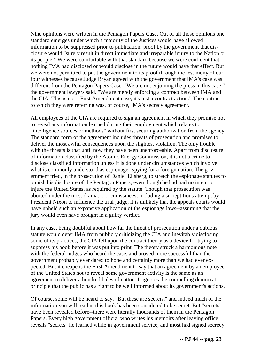Nine opinions were written in the Pentagon Papers Case. Out of all those opinions one standard emerges under which a majority of the Justices would have allowed information to be suppressed prior to publication: proof by the government that disclosure would "surely result in direct immediate and irreparable injury to the Nation or its people." We were comfortable with that standard because we were confident that nothing IMA had disclosed or would disclose in the future would have that effect. But we were not permitted to put the government to its proof through the testimony of our four witnesses because Judge Bryan agreed with the government that IMA's case was different from the Pentagon Papers Case. "We are not enjoining the press in this case," the government lawyers said. "We are merely enforcing a contract between IMA and the CIA. This is not a First Amendment case, it's just a contract action." The contract to which they were referring was, of course, IMA's secrecy agreement.

All employees of the CIA are required to sign an agreement in which they promise not to reveal any information learned during their employment which relates to "intelligence sources or methods" without first securing authorization from the agency. The standard form of the agreement includes threats of prosecution and promises to deliver the most awful consequences upon the slightest violation. The only trouble with the threats is that until now they have been unenforceable. Apart from disclosure of information classified by the Atomic Energy Commission, it is not a crime to disclose classified information unless it is done under circumstances which involve what is commonly understood as espionage--spying for a foreign nation. The government tried, in the prosecution of Daniel Ellsberg, to stretch the espionage statutes to punish his disclosure of the Pentagon Papers, even though he had had no intent to injure the United States, as required by the statute. Though that prosecution was aborted under the most dramatic circumstances, including a surreptitious attempt by President Nixon to influence the trial judge, it is unlikely that the appeals courts would have upheld such an expansive application of the espionage laws--assuming that the jury would even have brought in a guilty verdict.

In any case, being doubtful about how far the threat of prosecution under a dubious statute would deter IMA from publicly criticizing the CIA and inevitably disclosing some of its practices, the CIA fell upon the contract theory as a device for trying to suppress his book before it was put into print. The theory struck a harmonious note with the federal judges who heard the case, and proved more successful than the government probably ever dared to hope and certainly more than we had ever expected. But it cheapens the First Amendment to say that an agreement by an employee of the United States not to reveal some government activity is the same as an agreement to deliver a hundred bales of cotton. It ignores the compelling democratic principle that the public has a right to be well informed about its government's actions.

Of course, some will be heard to say, "But these are secrets," and indeed much of the information you will read in this book has been considered to be secret. But "secrets" have been revealed before--there were literally thousands of them in the Pentagon Papers. Every high government official who writes his memoirs after leaving office reveals "secrets" he learned while in government service, and most had signed secrecy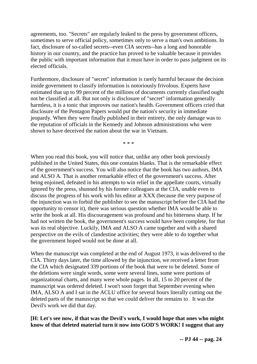agreements, too. "Secrets" are regularly leaked to the press by government officers, sometimes to serve official policy, sometimes only to serve a man's own ambitions. In fact, disclosure of so-called secrets--even CIA secrets--has a long and honorable history in our country, and the practice has proved to be valuable because it provides the public with important information that it must have in order to pass judgment on its elected officials.

Furthermore, disclosure of "secret" information is rarely harmful because the decision inside government to classify information is notoriously frivolous. Experts have estimated that up to 99 percent of the millions of documents currently classified ought not be classified at all. But not only is disclosure of "secret" information generally harmless, it is a tonic that improves our nation's health. Government officers cried that disclosure of the Pentagon Papers would put the nation's security in immediate jeopardy. When they were finally published in their entirety, the only damage was to the reputation of officials in the Kennedy and Johnson administrations who were shown to have deceived the nation about the war in Vietnam.

\* \* \*

When you read this book, you will notice that, unlike any other book previously published in the United States, this one contains blanks. That is the remarkable effect of the government's success. You will also notice that the book has two authors, IMA and ALSO A. That is another remarkable effect of the government's success. After being enjoined, defeated in his attempts to win relief in the appellate courts, virtually ignored by the press, shunned by his former colleagues at the CIA, unable even to discuss the progress of his work with his editor at XXX (because the very purpose of the injunction was to forbid the publisher to see the manuscript before the CIA had the opportunity to censor it), there was serious question whether IMA would be able to write the book at all. His discouragement was profound and his bitterness sharp. If he had not written the book, the government's success would have been complete, for that was its real objective. Luckily, IMA and ALSO A came together and with a shared perspective on the evils of clandestine activities; they were able to do together what the government hoped would not be done at all.

When the manuscript was completed at the end of August 1973, it was delivered to the CIA. Thirty days later, the time allowed by the injunction, we received a letter from the CIA which designated 339 portions of the book that were to be deleted. Some of the deletions were single words, some were several lines, some were portions of organizational charts, and many were whole pages. In all, 15 to 20 percent of the manuscript was ordered deleted. I won't soon forget that September evening when IMA, ALSO A and I sat in the ACLU office for several hours literally cutting out the deleted parts of the manuscript so that we could deliver the remains to It was the Devil's work we did that day.

#### **[H: Let's see now, if that was the Devil's work, I would hope that ones who might know of that deleted material turn it now into GOD'S WORK! I suggest that any**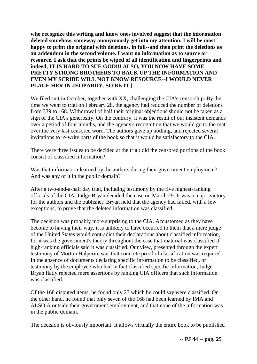**who recognize this writing and know ones involved suggest that the information deleted somehow, someway anonymously get into my attention. I will be most happy to print the original with deletions, in full--and then print the deletions as an addendum in the second volume. I want no information as to source or resource. I ask that the prints be wiped of all identification and fingerprints and indeed, IT IS HARD TO SUE GOD!!! ALSO, YOU NOW HAVE SOME PRETTY STRONG BROTHERS TO BACK UP THE INFORMATION AND EVEN MY SCRIBE WILL NOT KNOW RESOURCE--I WOULD NEVER PLACE HER IN JEOPARDY. SO BE IT.]**

We filed suit in October, together with XX, challenging the CIA's censorship. By the time we went to trial on February 28, the agency had reduced the number of deletions from 339 to 168. Withdrawal of half their original objections should not be taken as a sign of the CIA's generosity. On the contrary, it was the result of our insistent demands over a period of four months, and the agency's recognition that we would go to the mat over the very last censored word. The authors gave up nothing, and rejected several invitations to re-write parts of the book so that it would be satisfactory to the CIA.

There were three issues to be decided at the trial: did the censored portions of the book consist of classified information?

Was that information learned by the authors during their government employment? And was any of it in the public domain?

After a two-and-a-half day trial, including testimony by the five highest-ranking officials of the CIA, Judge Bryan decided the case on March 29. It was a major victory for the authors and the publisher. Bryan held that the agency had failed, with a few exceptions, to prove that the deleted information was classified.

The decision was probably more surprising to the CIA. Accustomed as they have become to having their way, it is unlikely to have occurred to them that a mere judge of the United States would contradict their declarations about classified information, for it was the government's theory throughout the case that material was classified if high-ranking officials said it was classified. Our view, presented through the expert testimony of Morton Halperin, was that concrete proof of classification was required. In the absence of documents declaring specific information to be classified, or testimony by the employee who had in fact classified specific information, Judge Bryan flatly rejected mere assertions by ranking CIA officers that such information was classified.

Of the 168 disputed items, he found only 27 which he could say were classified. On the other hand, he found that only seven of the 168 had been learned by IMA and ALSO A outside their government employment, and that none of the information was in the public domain.

The decision is obviously important. It allows virtually the entire book to be published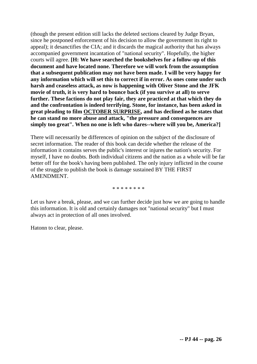(though the present edition still lacks the deleted sections cleared by Judge Bryan, since he postponed enforcement of his decision to allow the government its right to appeal); it desanctifies the CIA; and it discards the magical authority that has always accompanied government incantation of "national security". Hopefully, the higher courts will agree. **[H: We have searched the bookshelves for a follow-up of this document and have located none. Therefore we will work from the assumption that a subsequent publication may not have been made. I will be very happy for any information which will set this to correct if in error. As ones come under such harsh and ceaseless attack, as now is happening with Oliver Stone and the JFK movie of truth, it is very hard to bounce back (if you survive at all) to serve further. These factions do not play fair, they are practiced at that which they do and the confrontation is indeed terrifying. Stone, for instance, has been asked in great pleading to film OCTOBER SURPRISE, and has declined as he states that he can stand no more abuse and attack, "the pressure and consequences are simply too great". When no one is left who dares--where will you be, America?]**

There will necessarily be differences of opinion on the subject of the disclosure of secret information. The reader of this book can decide whether the release of the information it contains serves the public's interest or injures the nation's security. For myself, I have no doubts. Both individual citizens and the nation as a whole will be far better off for the book's having been published. The only injury inflicted in the course of the struggle to publish the book is damage sustained BY THE FIRST AMENDMENT.

\* \* \* \* \* \* \* \*

Let us have a break, please, and we can further decide just how we are going to handle this information. It is old and certainly damages not "national security" but I must always act in protection of all ones involved.

Hatonn to clear, please.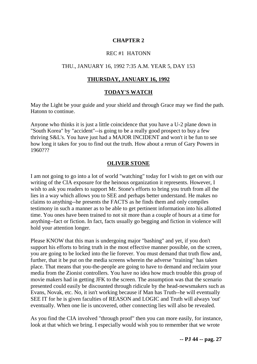#### **CHAPTER 2**

#### REC #1 HATONN

#### THU., JANUARY 16, 1992 7:35 A.M. YEAR 5, DAY 153

#### **THURSDAY, JANUARY 16, 1992**

#### **TODAY'S WATCH**

May the Light be your guide and your shield and through Grace may we find the path. Hatonn to continue.

Anyone who thinks it is just a little coincidence that you have a U-2 plane down in "South Korea" by "accident"--is going to be a really good prospect to buy a few thriving S&L's. You have just had a MAJOR INCIDENT and won't it be fun to see how long it takes for you to find out the truth. How about a rerun of Gary Powers in 1960???

#### **OLIVER STONE**

I am not going to go into a lot of world "watching" today for I wish to get on with our writing of the CIA exposure for the heinous organization it represents. However, I wish to ask you readers to support Mr. Stone's efforts to bring you truth from all the lies in a way which allows you to SEE and perhaps better understand. He makes no claims to anything--he presents the FACTS as he finds them and only compiles testimony in such a manner as to be able to get pertinent information into his allotted time. You ones have been trained to not sit more than a couple of hours at a time for anything--fact or fiction. In fact, facts usually go begging and fiction in violence will hold your attention longer.

Please KNOW that this man is undergoing major "bashing" and yet, if you don't support his efforts to bring truth in the most effective manner possible, on the screen, you are going to be locked into the lie forever. You must demand that truth flow and, further, that it be put on the media screens wherein the adverse "training" has taken place. That means that you-the-people are going to have to demand and reclaim your media from the Zionist controllers. You have no idea how much trouble this group of movie makers had in getting JFK to the screen. The assumption was that the scenario presented could easily be discounted through ridicule by the head-newsmakers such as Evans, Novak, etc. No, it isn't working because if Man has Truth--he will eventually SEE IT for he is given faculties of REASON and LOGIC and Truth will always 'out' eventually. When one lie is uncovered, other connecting lies will also be revealed.

As you find the CIA involved "through proof" then you can more easily, for instance, look at that which we bring. I especially would wish you to remember that we wrote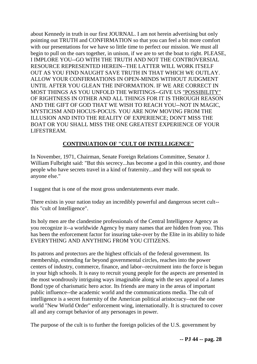about Kennedy in truth in our first JOURNAL. I am not herein advertising but only pointing out TRUTH and CONFIRMATION so that you can feel a bit more comfort with our presentations for we have so little time to perfect our mission. We must all begin to pull on the oars together, in unison, if we are to set the boat to right. PLEASE, I IMPLORE YOU--GO WITH THE TRUTH AND NOT THE CONTROVERSIAL RESOURCE REPRESENTED HEREIN--THE LATTER WILL WORK ITSELF OUT AS YOU FIND NAUGHT SAVE TRUTH IN THAT WHICH WE OUTLAY. ALLOW YOUR CONFIRMATIONS IN OPEN-MINDS WITHOUT JUDGMENT UNTIL AFTER YOU GLEAN THE INFORMATION. IF WE ARE CORRECT IN MOST THINGS AS YOU UNFOLD THE WRITINGS--GIVE US "POSSIBILITY" OF RIGHTNESS IN OTHER AND ALL THINGS FOR IT IS THROUGH REASON AND THE GIFT OF GOD THAT WE WISH TO REACH YOU--NOT IN MAGIC, MYSTICISM AND HOCUS-POCUS. YOU ARE NOW MOVING FROM THE ILLUSION AND INTO THE REALITY OF EXPERIENCE; DON'T MISS THE BOAT OR YOU SHALL MISS THE ONE GREATEST EXPERIENCE OF YOUR LIFESTREAM.

#### **CONTINUATION OF "CULT OF INTELLIGENCE"**

In November, 1971, Chairman, Senate Foreign Relations Committee, Senator J. William Fulbright said: "But this secrecy...has become a god in this country, and those people who have secrets travel in a kind of fraternity...and they will not speak to anyone else."

I suggest that is one of the most gross understatements ever made.

There exists in your nation today an incredibly powerful and dangerous secret cult- this "cult of Intelligence".

Its holy men are the clandestine professionals of the Central Intelligence Agency as you recognize it--a worldwide Agency by many names that are hidden from you. This has been the enforcement factor for insuring take-over by the Elite in its ability to hide EVERYTHING AND ANYTHING FROM YOU CITIZENS.

Its patrons and protectors are the highest officials of the federal government. Its membership, extending far beyond governmental circles, reaches into the power centers of industry, commerce, finance, and labor--recruitment into the force is begun in your high schools. It is easy to recruit young people for the aspects are presented in the most wondrously intriguing ways imaginable along with the sex appeal of a James Bond type of charismatic hero actor. Its friends are many in the areas of important public influence--the academic world and the communications media. The cult of intelligence is a secret fraternity of the American political aristocracy--not the one world "New World Order" enforcement wing, internationally. It is structured to cover all and any corrupt behavior of any personages in power.

The purpose of the cult is to further the foreign policies of the U.S. government by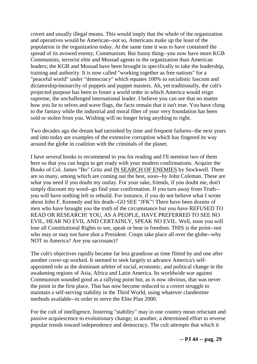covert and usually illegal means. This would imply that the whole of the organization and operatives would be American--not so, Americans make up the least of the population in the organization today. At the same time it was to have contained the spread of its avowed enemy, Communism. But funny thing--you now have more KGB Communists, terrorist elite and Mossad agents in the organization than American leaders; the KGB and Mossad have been brought in specifically to take the leadership, training and authority. It is now called "working together as free nations" for a "peaceful world" under "democracy" which equates 100% to socialistic fascism and dictatorship/monarchy of puppets and puppet masters. Ah, yet traditionally, the cult's projected purpose has been to foster a world order in which America would reign supreme, the unchallenged international leader. I believe you can see that no matter how you lie to selves and wave flags, the facts remain that it isn't true. You have clung to the fantasy while the industrial and moral fiber of your very foundation has been sold or stolen from you. Wishing will no longer bring anything to right.

Two decades ago the dream had tarnished by time and frequent failures--the next years and into today are examples of the extensive corruption which has fingered its way around the globe in coalition with the criminals of the planet.

I have several books to recommend to you for reading and I'll mention two of them here so that you can begin to get ready with your modern confirmations. Acquire the Books of Col. James "Bo" Gritz and IN SEARCH OF ENEMIES by Stockwell. There are so many, among which are coming out the best, soon--by John Coleman. These are what you need if you doubt my outlay. For your sake, friends, if you doubt me, don't simply discount my word--go find your confirmation. If you turn away from Truth- you will have nothing left to rebuild. For instance, if you do not believe what I wrote about John F. Kennedy and his death--GO SEE "JFK"! There have been dozens of men who have brought you the truth of the circumstance but you have REFUSED TO READ OR RESEARCH! YOU, AS A PEOPLE, HAVE PREFERRED TO SEE NO EVIL, HEAR NO EVIL AND CERTAINLY, SPEAK NO EVIL. Well, soon you will lose all Constitutional Rights to see, speak or hear in freedom. THIS is the point--not who may or may not have shot a President. Coups take place all over the globe--why NOT in America? Are you sacrosanct?

The cult's objectives rapidly became far less grandiose as time flitted by and one after another cover-up worked. It seemed to seek largely to advance America's selfappointed role as the dominant arbiter of social, economic, and political change in the awakening regions of Asia, Africa and Latin America. Its worldwide war against Communism sounded good as a rallying point but, as is now obvious, that was never the point in the first place. That has now become reduced to a covert struggle to maintain a self-serving stability in the Third World, using whatever clandestine methods available--in order to serve the Elite Plan 2000.

For the cult of intelligence, fostering "stability" may in one country mean reluctant and passive acquiescence to evolutionary change; in another, a determined effort to reverse popular trends toward independence and democracy. The cult attempts that which it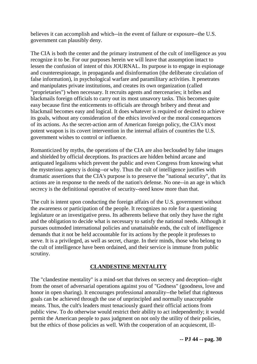believes it can accomplish and which--in the event of failure or exposure--the U.S. government can plausibly deny.

The CIA is both the center and the primary instrument of the cult of intelligence as you recognize it to be. For our purposes herein we will leave that assumption intact to lessen the confusion of intent of this JOURNAL. Its purpose is to engage in espionage and counterespionage, in propaganda and disinformation (the deliberate circulation of false information), in psychological warfare and paramilitary activities. It penetrates and manipulates private institutions, and creates its own organization (called "proprietaries") when necessary. It recruits agents and mercenaries; it bribes and blackmails foreign officials to carry out its most unsavory tasks. This becomes quite easy because first the enticements to officials are through bribery and threat and blackmail becomes easy and logical. It does whatever is required or desired to achieve its goals, without any consideration of the ethics involved or the moral consequences of its actions. As the secret-action arm of American foreign policy, the CIA's most potent weapon is its covert intervention in the internal affairs of countries the U.S. government wishes to control or influence.

Romanticized by myths, the operations of the CIA are also beclouded by false images and shielded by official deceptions. Its practices are hidden behind arcane and antiquated legalisms which prevent the public and even Congress from knowing what the mysterious agency is doing--or why. Thus the cult of intelligence justifies with dramatic assertions that the CIA's purpose is to preserve the "national security", that its actions are in response to the needs of the nation's defense. No one--in an age in which secrecy is the definitional operative of security--need know more than that.

The cult is intent upon conducting the foreign affairs of the U.S. government without the awareness or participation of the people. It recognizes no role for a questioning legislature or an investigative press. Its adherents believe that only they have the right and the obligation to decide what is necessary to satisfy the national needs. Although it pursues outmoded international policies and unattainable ends, the cult of intelligence demands that it not be held accountable for its actions by the people it professes to serve. It is a privileged, as well as secret, charge. In their minds, those who belong to the cult of intelligence have been ordained, and their service is immune from public scrutiny.

#### **CLANDESTINE MENTALITY**

The "clandestine mentality" is a mind-set that thrives on secrecy and deception--right from the onset of adversarial operations against you of "Godness" (goodness, love and honor in open sharing). It encourages professional amorality--the belief that righteous goals can be achieved through the use of unprincipled and normally unacceptable means. Thus, the cult's leaders must tenaciously guard their official actions from public view. To do otherwise would restrict their ability to act independently; it would permit the American people to pass judgment on not only the utility of their policies, but the ethics of those policies as well. With the cooperation of an acquiescent, ill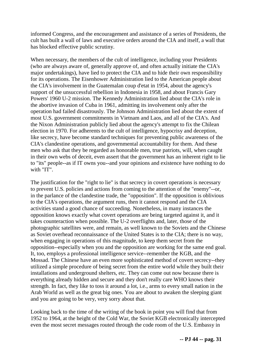informed Congress, and the encouragement and assistance of a series of Presidents, the cult has built a wall of laws and executive orders around the CIA and itself, a wall that has blocked effective public scrutiny.

When necessary, the members of the cult of intelligence, including your Presidents (who are always aware of, generally approve of, and often actually initiate the CIA's major undertakings), have lied to protect the CIA and to hide their own responsibility for its operations. The Eisenhower Administration lied to the American people about the CIA's involvement in the Guatemalan coup d'etat in 1954, about the agency's support of the unsuccessful rebellion in Indonesia in 1958, and about Francis Gary Powers' 1960 U-2 mission. The Kennedy Administration lied about the CIA's role in the abortive invasion of Cuba in 1961, admitting its involvement only after the operation had failed disastrously. The Johnson Administration lied about the extent of most U.S. government commitments in Vietnam and Laos, and all of the CIA's. And the Nixon Administration publicly lied about the agency's attempt to fix the Chilean election in 1970. For adherents to the cult of intelligence, hypocrisy and deception, like secrecy, have become standard techniques for preventing public awareness of the CIA's clandestine operations, and governmental accountability for them. And these men who ask that they be regarded as honorable men, true patriots, will, when caught in their own webs of deceit, even assert that the government has an inherent right to lie to "its" people--as if IT owns you--and your opinions and existence have nothing to do with "IT".

The justification for the "right to lie" is that secrecy in covert operations is necessary to prevent U.S. policies and actions from coming to the attention of the "enemy"--or, in the parlance of the clandestine trade, the "opposition". If the opposition is oblivious to the CIA's operations, the argument runs, then it cannot respond and the CIA activities stand a good chance of succeeding. Nonetheless, in many instances the opposition knows exactly what covert operations are being targeted against it, and it takes counteraction when possible. The U-2 overflights and, later, those of the photographic satellites were, and remain, as well known to the Soviets and the Chinese as Soviet overhead reconnaissance of the United States is to the CIA; there is no way, when engaging in operations of this magnitude, to keep them secret from the opposition--especially when you and the opposition are working for the same end goal. It, too, employs a professional intelligence service--remember the KGB, and the Mossad. The Chinese have an even more sophisticated method of covert secrecy--they utilized a simple procedure of being secret from the entire world while they built their installations and underground shelters, etc. They can come out now because there is everything already hidden and secure and they don't really care WHO knows their strength. In fact, they like to toss it around a lot, i.e., arms to every small nation in the Arab World as well as the great big ones. You are about to awaken the sleeping giant and you are going to be very, very sorry about that.

Looking back to the time of the writing of the book in point you will find that from 1952 to 1964, at the height of the Cold War, the Soviet KGB electronically intercepted even the most secret messages routed through the code room of the U.S. Embassy in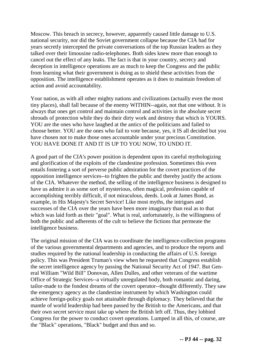Moscow. This breach in secrecy, however, apparently caused little damage to U.S. national security, nor did the Soviet government collapse because the CIA had for years secretly intercepted the private conversations of the top Russian leaders as they talked over their limousine radio-telephones. Both sides knew more than enough to cancel out the effect of any leaks. The fact is that in your country, secrecy and deception in intelligence operations are as much to keep the Congress and the public from learning what their government is doing as to shield these activities from the opposition. The intelligence establishment operates as it does to maintain freedom of action and avoid accountability.

Your nation, as with all other mighty nations and civilizations (actually even the most tiny places), shall fall because of the enemy WITHIN--again, not that one without. It is always that ones get control and maintain control and activities in the absolute secret shrouds of protection while they do their dirty work and destroy that which is YOURS. YOU are the ones who have laughed at the antics of the politicians and failed to choose better. YOU are the ones who fail to vote because, yes, it IS all decided but you have chosen not to make those ones accountable under your precious Constitution. YOU HAVE DONE IT AND IT IS UP TO YOU NOW, TO UNDO IT.

A good part of the CIA's power position is dependent upon its careful mythologizing and glorification of the exploits of the clandestine profession. Sometimes this even entails fostering a sort of perverse public admiration for the covert practices of the opposition intelligence services--to frighten the public and thereby justify the actions of the CIA. Whatever the method, the selling of the intelligence business is designed to have us admire it as some sort of mysterious, often magical, profession capable of accomplishing terribly difficult, if not miraculous, deeds. Look at James Bond, as example, in His Majesty's Secret Service! Like most myths, the intrigues and successes of the CIA over the years have been more imaginary than real as to that which was laid forth as their "goal". What is real, unfortunately, is the willingness of both the public and adherents of the cult to believe the fictions that permeate the intelligence business.

The original mission of the CIA was to coordinate the intelligence-collection programs of the various governmental departments and agencies, and to produce the reports and studies required by the national leadership in conducting the affairs of U.S. foreign policy. This was President Truman's view when he requested that Congress establish the secret intelligence agency by passing the National Security Act of 1947. But General William "Wild Bill" Donovan, Allen Dulles, and other veterans of the wartime Office of Strategic Services--a virtually unregulated body, both romantic and daring, tailor-made to the fondest dreams of the covert operator--thought differently. They saw the emergency agency as the clandestine instrument by which Washington could achieve foreign-policy goals not attainable through diplomacy. They believed that the mantle of world leadership had been passed by the British to the Americans, and that their own secret service must take up where the British left off. Thus, they lobbied Congress for the power to conduct covert operations. Lumped in all this, of course, are the "Black" operations, "Black" budget and thus and so.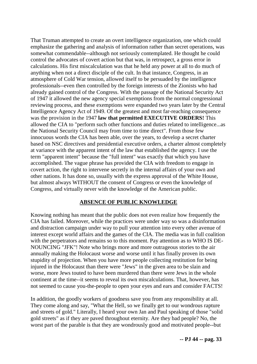That Truman attempted to create an overt intelligence organization, one which could emphasize the gathering and analysis of information rather than secret operations, was somewhat commendable--although not seriously contemplated. He thought he could control the advocates of covert action but that was, in retrospect, a gross error in calculations. His first miscalculation was that he held any power at all to do much of anything when not a direct disciple of the cult. In that instance, Congress, in an atmosphere of Cold War tension, allowed itself to be persuaded by the intelligence professionals--even then controlled by the foreign interests of the Zionists who had already gained control of the Congress. With the passage of the National Security Act of 1947 it allowed the new agency special exemptions from the normal congressional reviewing process, and these exemptions were expanded two years later by the Central Intelligence Agency Act of 1949. Of the greatest and most far-reaching consequence was the provision in the 1947 **law that permitted EXECUTIVE ORDERS!** This allowed the CIA to "perform such other functions and duties related to intelligence...as the National Security Council may from time to time direct". From those few innocuous words the CIA has been able, over the years, to develop a secret charter based on NSC directives and presidential executive orders, a charter almost completely at variance with the apparent intent of the law that established the agency. I use the term "apparent intent" because the "full intent" was exactly that which you have accomplished. The vague phrase has provided the CIA with freedom to engage in covert action, the right to intervene secretly in the internal affairs of your own and other nations. It has done so, usually with the express approval of the White House, but almost always WITHOUT the consent of Congress or even the knowledge of Congress, and virtually never with the knowledge of the American public.

#### **ABSENCE OF PUBLIC KNOWLEDGE**

Knowing nothing has meant that the public does not even realize how frequently the CIA has failed. Moreover, while the practices were under way so was a disinformation and distraction campaign under way to pull your attention into every other avenue of interest except world affairs and the games of the CIA. The media was in full coalition with the perpetrators and remains so to this moment. Pay attention as to WHO IS DE-NOUNCING "JFK"! Note who brings more and more outrageous stories to the air annually making the Holocaust worse and worse until it has finally proven its own stupidity of projection. When you have more people collecting restitution for being injured in the Holocaust than there were "Jews" in the given area to be slain and worse, more Jews touted to have been murdered than there were Jews in the whole continent at the time--it seems to reveal its own miscalculations. That, however, has not seemed to cause you-the-people to open your eyes and ears and consider FACTS!

In addition, the goodly workers of goodness save you from any responsibility at all. They come along and say, "What the Hell, so we finally get to our wondrous rapture and streets of gold." Literally, I heard your own Jan and Paul speaking of those "solid gold streets" as if they are paved throughout eternity. Are they bad people? No, the worst part of the parable is that they are wondrously good and motivated people--but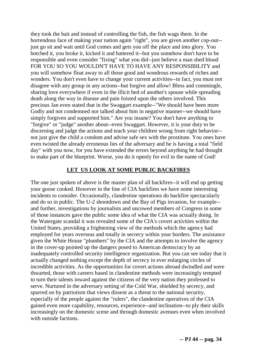they took the bait and instead of controlling the fish, the fish wags them. In the horrendous face of making your nation again "right", you are given another cop-out- just go sit and wait until God comes and gets you off the place and into glory. You botched it, you broke it, kicked it and battered it--but you somehow don't have to be responsible and even consider "fixing" what you did--just believe a man shed blood FOR YOU SO YOU WOULDN'T HAVE TO HAVE ANY RESPONSIBILITY and you will somehow float away to all those good and wondrous rewards of riches and wonders. You don't even have to change your current activities--in fact, you must not disagree with any group in any actions--but forgive and allow! Bless and commingle, sharing love everywhere if even in the illicit bed of another's spouse while spreading death along the way in disease and pain foisted upon the others involved. This precious Jan even stated that in the Swaggart example--"We should have been more Godly and not condemned nor talked about him in negative manner--we should have simply forgiven and supported him." Are you insane? You don't have anything to "forgive" or "judge" another about--even Swaggart. However, it is your duty to be discerning and judge the actions and teach your children wrong from right behavior- not just give the child a condom and advise safe sex with the prostitute. You ones have even twisted the already erroneous lies of the adversary and he is having a total "field day" with you now, for you have extended the errors beyond anything he had thought to make part of the blueprint. Worse, you do it openly for evil in the name of God!

#### **LET US LOOK AT SOME PUBLIC BACKFIRES**

The one just spoken of above is the master plan of all backfires--it will end up getting your goose cooked. However in the line of CIA backfires we have some interesting incidents to consider. Occasionally, clandestine operations do backfire spectacularly and do so in public. The U-2 shootdown and the Bay of Pigs invasion, for example- and further, investigations by journalists and uncowed members of Congress in some of those instances gave the public some idea of what the CIA was actually doing. In the Watergate scandal it was revealed some of the CIA's covert activities within the United States, providing a frightening view of the methods which the agency had employed for years overseas and totally in secrecy within your borders. The assistance given the White House "plumbers" by the CIA and the attempts to involve the agency in the cover-up pointed up the dangers posed to American democracy by an inadequately controlled security intelligence organization. But you can see today that it actually changed nothing except the depth of secrecy in ever enlarging circles of incredible activities. As the opportunities for covert actions abroad dwindled and were thwarted, those with careers based in clandestine methods were increasingly tempted to turn their talents inward against the citizens of the very nation they professed to serve. Nurtured in the adversary setting of the Cold War, shielded by secrecy, and spurred on by patriotism that views dissent as a threat to the national security, especially of the people against the "rulers", the clandestine operatives of the CIA gained even more capability, resources, experience--and inclination--to ply their skills increasingly on the domestic scene and through domestic avenues even when involved with outside factions.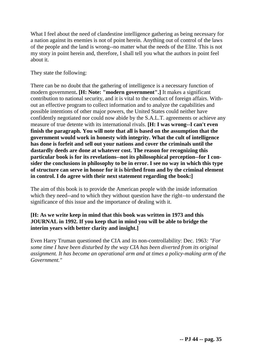What I feel about the need of clandestine intelligence gathering as being necessary for a nation against its enemies is not of point herein. Anything out of control of the laws of the people and the land is wrong--no matter what the needs of the Elite. This is not my story in point herein and, therefore, I shall tell you what the authors in point feel about it.

They state the following:

There can be no doubt that the gathering of intelligence is a necessary function of modern government. [H: Note: "modern government".] It makes a significant contribution to national security, and it is vital to the conduct of foreign affairs. Without an effective program to collect information and to analyze the capabilities and possible intentions of other major powers, the United States could neither have confidently negotiated nor could now abide by the S.A.L.T. agreements or achieve any measure of true detente with its international rivals. **[H: I was wrong--I can't even finish the paragraph. You will note that all is based on the assumption that the government would work in honesty with integrity. What the cult of intelligence has done is forfeit and sell out your nations and cover the criminals until the dastardly deeds are done at whatever cost. The reason for recognizing this particular book is for its revelations--not its philosophical perception--for I consider the conclusions in philosophy to be in error. I see no way in which this type of structure can serve in honor for it is birthed from and by the criminal element in control. I do agree with their next statement regarding the book:]**

The aim of this book is to provide the American people with the inside information which they need--and to which they without question have the right--to understand the significance of this issue and the importance of dealing with it.

#### **[H: As we write keep in mind that this book was written in 1973 and this JOURNAL in 1992. If you keep that in mind you will be able to bridge the interim years with better clarity and insight.]**

Even Harry Truman questioned the CIA and its non-controllability: Dec. 1963*: "For some time I have been disturbed by the way CIA has been diverted from its original assignment. It has become an operational arm and at times a policy-making arm of the Government."*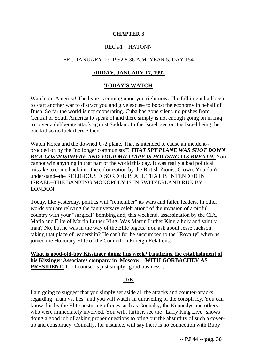### **CHAPTER 3**

#### REC #1 HATONN

#### FRI., JANUARY 17, 1992 8:36 A.M. YEAR 5, DAY 154

### **FRIDAY, JANUARY 17, 1992**

#### **TODAY'S WATCH**

Watch out America! The hype is coming upon you right now. The full intent had been to start another war to distract you and give excuse to boost the economy in behalf of Bush. So far the world is not cooperating. Cuba has gone silent, no pushes from Central or South America to speak of and there simply is not enough going on in Iraq to cover a deliberate attack against Saddam. In the Israeli sector it is Israel being the bad kid so no luck there either.

Watch Korea and the downed U-2 plane. That is intended to cause an incident- prodded on by the "no longer communists"? *THAT SPY PLANE WAS SHOT DOWN BY A COSMOSPHERE AND YOUR MILITARY IS HOLDING ITS BREATH.* You cannot win anything in that part of the world this day. It was really a bad political mistake to come back into the colonization by the British Zionist Crown. You don't understand--the RELIGIOUS DISORDER IS ALL THAT IS INTENDED IN ISRAEL--THE BANKING MONOPOLY IS IN SWITZERLAND RUN BY LONDON!

Today, like yesterday, politics will "remember" its wars and fallen leaders. In other words you are reliving the "anniversary celebration" of the invasion of a pitiful country with your "surgical" bombing and, this weekend, assassination by the CIA, Mafia and Elite of Martin Luther King. Was Martin Luther King a holy and saintly man? No, but he was in the way of the Elite bigots. You ask about Jesse Jackson taking that place of leadership? He can't for he succumbed to the "Royalty" when he joined the Honorary Elite of the Council on Foreign Relations.

**What is good-old-boy Kissinger doing this week? Finalizing the establishment of his Kissinger Associates company in Moscow—WITH GORBACHEV AS PRESIDENT.** It, of course, is just simply "good business".

#### **JFK**

I am going to suggest that you simply set aside all the attacks and counter-attacks regarding "truth vs. lies" and you will watch an unraveling of the conspiracy. You can know this by the Elite posturing of ones such as Connally, the Kennedys and others who were immediately involved. You will, further, see the "Larry King Live" shows doing a good job of asking proper questions to bring out the absurdity of such a coverup and conspiracy. Connally, for instance, will say there is no connection with Ruby

**-- PJ 44 -- pag. 36**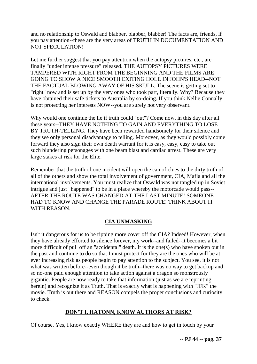and no relationship to Oswald and blabber, blabber, blabber! The facts are, friends, if you pay attention--these are the very areas of TRUTH IN DOCUMENTATION AND NOT SPECULATION!

Let me further suggest that you pay attention when the autopsy pictures, etc., are finally "under intense pressure" released. THE AUTOPSY PICTURES WERE TAMPERED WITH RIGHT FROM THE BEGINNING AND THE FILMS ARE GOING TO SHOW A NICE SMOOTH EXITING HOLE IN JOHN'S HEAD--NOT THE FACTUAL BLOWING AWAY OF HIS SKULL. The scene is getting set to "right" now and is set up by the very ones who took part, literally. Why? Because they have obtained their safe tickets to Australia by so-doing. If you think Nellie Connally is not protecting her interests NOW--you are surely not very observant.

Why would one continue the lie if truth could "out"? Come now, in this day after all these years--THEY HAVE NOTHING TO GAIN AND EVERYTHING TO LOSE BY TRUTH-TELLING. They have been rewarded handsomely for their silence and they see only personal disadvantage to telling. Moreover, as they would possibly come forward they also sign their own death warrant for it is easy, easy, easy to take out such blundering personages with one beam blast and cardiac arrest. These are very large stakes at risk for the Elite.

Remember that the truth of one incident will open the can of clues to the dirty truth of all of the others and show the total involvement of government, CIA, Mafia and all the international involvements. You must realize that Oswald was not tangled up in Soviet intrigue and just "happened" to be in a place whereby the motorcade would pass-- AFTER THE ROUTE WAS CHANGED AT THE LAST MINUTE! SOMEONE HAD TO KNOW AND CHANGE THE PARADE ROUTE! THINK ABOUT IT WITH REASON.

## **CIA UNMASKING**

Isn't it dangerous for us to be ripping more cover off the CIA? Indeed! However, when they have already efforted to silence forever, my work--and failed--it becomes a bit more difficult of pull off an "accidental" death. It is the one(s) who have spoken out in the past and continue to do so that I must protect for they are the ones who will be at ever increasing risk as people begin to pay attention to the subject. You see, it is not what was written before--even though it be truth--there was no way to get backup and so no-one paid enough attention to take action against a dragon so monstrously gigantic. People are now ready to take that information (just as we are reprinting herein) and recognize it as Truth. That is exactly what is happening with "JFK" the movie. Truth is out there and REASON compels the proper conclusions and curiosity to check.

## **DON'T I, HATONN, KNOW AUTHORS AT RISK?**

Of course. Yes, I know exactly WHERE they are and how to get in touch by your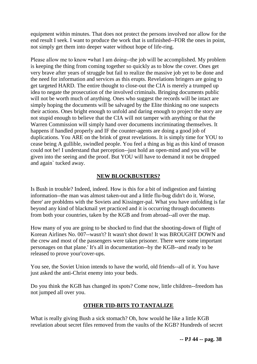equipment within minutes. That does not protect the persons involved nor allow for the end result I seek. I want to produce the work that is unfinished--FOR the ones in point, not simply get them into deeper water without hope of life-ring.

Please allow me to know •what I am doing--the job will be accomplished. My problem is keeping the thing from coming together so quickly as to blow the cover. Ones get very brave after years of struggle but fail to realize the massive job yet to be done and the need for information and services as this erupts. Revelations bringers are going to get targeted HARD. The entire thought to close-out the CIA is merely a trumped up idea to negate the prosecution of the involved criminals. Bringing documents public will not be worth much of anything. Ones who suggest the records will be intact are simply hoping the documents will be salvaged by the Elite thinking no one suspects their actions. Ones bright enough to unfold and daring enough to project the story are not stupid enough to believe that the CIA will not tamper with anything or that the Warren Commission will simply hand over documents incriminating themselves. It happens if handled properly and IF the counter-agents are doing a good job of duplications. You ARE on the brink of great revelations. It is simply time for YOU to cease being A gullible, swindled people. You feel a thing as big as this kind of treason could not be! I understand that perception--just hold an open-mind and you will be given into the seeing and the proof. But YOU will have to demand it not be dropped and again` tucked away.

## **NEW BLOCKBUSTERS?**

Is Bush in trouble? Indeed, indeed. How is this for a bit of indigestion and fainting information--the man was almost taken-out and a little flu-bug didn't do it. Worse, there' are probldms with the Soviets and Kissinger-pal. What you have unfolding is far beyond any kind of blackmail yet practiced and it is occurring through documents from both your countries, taken by the KGB and from abroad--all over the map.

How many of you are going to be shocked to find that the shooting-down of flight of Korean Airlines No. 007--wasn't? It wasn't shot down! It was BROUGHT DOWN and the crew and most of the passengers were taken prisoner. There were some important personages on that plane.' It's all in documentation--by the KGB--and ready to be released to prove your'cover-ups.

You see, the Soviet Union intends to have the world, old friends--all of it. You have just asked the anti-Christ enemy into your beds.

Do you think the KGB has changed its spots? Come now, little children--freedom has not jumped all over you.

## **OTHER TID-BITS TO TANTALIZE**

What is really giving Bush a sick stomach? Oh, how would he like a little KGB revelation about secret files removed from the vaults of the KGB? Hundreds of secret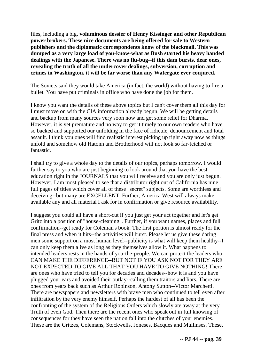files, including a big, **voluminous dossier of Henry Kissinger and other Republican power brokers. These nice documents are being offered for sale to Western publishers and the diplomatic correspondents know of the blackmail. This was dumped as a very large load of you-know-what as Bush started his heavy handed dealings with the Japanese. There was no flu-bug--if this dam bursts, dear ones, revealing the truth of all the undercover dealings, subversion, corruption and crimes in Washington, it will be far worse than any Watergate ever conjured.**

The Soviets said they would take America (in fact, the world) without having to fire a bullet. You have put criminals in office who have done the job for them.

I know you want the details of these above topics but I can't cover them all this day for I must move on with the CIA information already begun. We will be getting details and backup from many sources very soon now and get some relief for Dharma. However, it is yet premature and no way to get it timely to our own readers who have so backed and supported our unfolding in the face of ridicule, denouncement and total assault. I think you ones will find realistic interest picking up right away now as things unfold and somehow old Hatonn and Brotherhood will not look so far-fetched or fantastic.

I shall try to give a whole day to the details of our topics, perhaps tomorrow. I would further say to you who are just beginning to look around that you have the best education right in the JOURNALS that you will receive and you are only just begun. However, I am most pleased to see that a distributor right out of California has nine full pages of titles which cover all of these "secret" subjects. Some are worthless and deceiving--but many are EXCELLENT. Further, America West will always make available any and all material I ask for in confirmation or give resource availability.

I suggest you could all have a short-cut if you just get your act together and let's get Gritz into a position of "house-cleaning". Further, if you want names, places and full confirmation--get ready for Coleman's book. The first portion is almost ready for the final press and when it hits--the activities will burst. Please let us give these daring men some support on a most human level--publicity is what will keep them healthy--I can only keep them alive as long as they themselves allow it. What happens to intended leaders rests in the hands of you-the-people. We can protect the leaders who CAN MAKE THE DIFFERENCE--BUT NOT IF YOU ASK NOT FOR THEY ARE NOT EXPECTED TO GIVE ALL THAT YOU HAVE TO GIVE NOTHING! There are ones who have tried to tell you for decades and decades--how it is and you have plugged your ears and avoided their outlay--calling them traitors and liars. There are ones from years back such as Arthur Robinson, Antony Sutton--Victor Marchetti. There are newspapers and newsletters with brave men who continued to tell even after infiltration by the very enemy himself. Perhaps the hardest of all has been the confronting of the system of the Religious Orders which slowly ate away at the very Truth of even God. Then there are the recent ones who speak out in full knowing of consequences for they have seen the nation fall into the clutches of your enemies. These are the Gritzes, Colemans, Stockwells, Joneses, Bacques and Mullinses. These,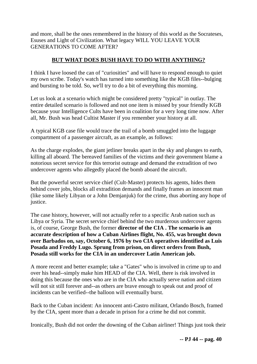and more, shall be the ones remembered in the history of this world as the Socrateses, Esuses and Light of Civilization. What legacy WILL YOU LEAVE YOUR GENERATIONS TO COME AFTER?

# **BUT WHAT DOES BUSH HAVE TO DO WITH ANYTHING?**

I think I have loosed the can of "curiosities" and will have to respond enough to quiet my own scribe. Today's watch has turned into something like the KGB files--bulging and bursting to be told. So, we'll try to do a bit of everything this morning.

Let us look at a scenario which might be considered pretty "typical" in outlay. The entire detailed scenario is followed and not one item is missed by your friendly KGB because your Intelligence Cults have been in coalition for a very long time now. After all, Mr. Bush was head Cultist Master if you remember your history at all.

A typical KGB case file would trace the trail of a bomb smuggled into the luggage compartment of a passenger aircraft, as an example, as follows:

As the charge explodes, the giant jetliner breaks apart in the sky and plunges to earth, killing all aboard. The bereaved families of the victims and their government blame a notorious secret service for this terrorist outrage and demand the extradition of two undercover agents who allegedly placed the bomb aboard the aircraft.

But the powerful secret service chief (Cult-Master) protects his agents, hides them behind cover jobs, blocks all extradition demands and finally frames an innocent man (like some likely Libyan or a John Demjanjuk) for the crime, thus aborting any hope of justice.

The case history, however, will not actually refer to a specific Arab nation such as Libya or Syria. The secret service chief behind the two murderous undercover agents is, of course, George Bush, the former **director of the CIA . The scenario is an accurate description of how a Cuban Airlines flight, No. 455, was brought down over Barbados on, say, October 6, 1976 by two CIA operatives identified as Luis Posada and Freddy Lugo. Sprung from prison, on direct orders from Bush, Posada still works for the CIA in an undercover Latin American job.**

A more recent and better example; take a "Gates" who is involved in crime up to and over his head--simply make him HEAD of the CIA. Well, there is risk involved in doing this because the ones who are in the CIA who actually serve nation and citizen will not sit still forever and--as others are brave enough to speak out and proof of incidents can be verified--the balloon will eventually burst.

Back to the Cuban incident: An innocent anti-Castro militant, Orlando Bosch, framed by the CIA, spent more than a decade in prison for a crime he did not commit.

Ironically, Bush did not order the downing of the Cuban airliner! Things just took their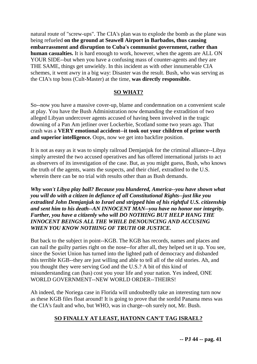natural route of "screw-ups". The CIA's plan was to explode the bomb as the plane was being refueled **on the ground at Seawell Airport in Barbados, thus causing embarrassment and disruption to Cuba's communist government, rather than human casualties.** It is hard enough to work, however, when the agents are ALL ON YOUR SIDE--but when you have a confusing mass of counter-agents and they are THE SAME, things get unwieldy. In this incident as with other innumerable CIA schemes, it went awry in a big way: Disaster was the result. Bush, who was serving as the CIA's top boss (Cult-Master) at the time, **was directly responsible.**

## **SO WHAT?**

So--now you have a massive cover-up, blame and condemnation on a convenient scale at play. You have the Bush Administration now demanding the extradition of two alleged Libyan undercover agents accused of having been involved in the tragic downing of a Pan Am jetliner over Lockerbie, Scotland some two years ago. That crash was a **VERY emotional accident--it took out your children of prime worth and superior intelligence.** Oops, now we get into backfire position.

It is not as easy as it was to simply railroad Demjanjuk for the criminal alliance--Libya simply arrested the two accused operatives and has offered international jurists to act as observers of its investigation of the case. But, as you might guess, Bush, who knows the truth of the agents, wants the suspects, and their chief, extradited to the U.S. wherein there can be no trial with results other than as Bush demands.

*Why won't Libya play ball? Because you blundered, America--you have shown what you will do with a citizen in defiance of all Constitutional Rights--just like you extradited John Demjanjuk to Israel and stripped him of his rightful U.S. citizenship and sent him to his death--AN INNOCENT MAN--you have no honor nor integrity. Further, you have a citizenly who will DO NOTHING BUT HELP HANG THE INNOCENT BEINGS ALL THE WHILE DENOUNCING AND ACCUSING WHEN YOU KNOW NOTHING OF TRUTH OR JUSTICE.*

But back to the subject in point--KGB. The KGB has records, names and places and can nail the guilty parties right on the nose--for after all, they helped set it up. You see, since the Soviet Union has turned into the lighted path of democracy and disbanded this terrible KGB--they are just willing and able to tell all of the old stories. Ah, and you thought they were serving God and the U.S.? A bit of this kind of misunderstanding can (has) cost you your life and your nation. Yes indeed, ONE WORLD GOVERNMENT--NEW WORLD ORDER--THEIRS!

Ah indeed, the Noriega case in Florida will undoubtedly take an interesting turn now as these KGB files float around! It is going to prove that the sordid Panama mess was the CIA's fault and who, but WHO, was in charge--oh surely not, Mr. Bush.

## **SO FINALLY AT LEAST, HATONN CAN'T TAG ISRAEL?**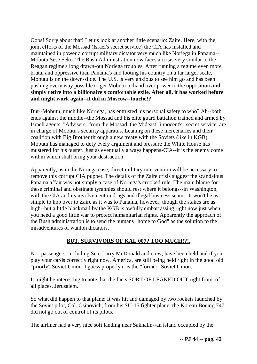Oops! Sorry about that! Let us look at another little scenario: Zaire. Here, with the joint efforts of the Mossad (Israel's secret service) the CIA has installed and maintained in power a corrupt military dictator very much like Noriega in Panama-- Mobutu Sese Seko. The Bush Administration now faces a crisis very similar to the Reagan regime's long drawn-out Noriega troubles. After running a regime even more brutal and oppressive than Panama's and looting his country on a far larger scale, Mobutu is on the down-slide. The U.S. is very anxious to see him go and has been pushing every way possible to get Mobutu to hand over power to the opposition **and simply retire into a billionaire's comfortable exile. After all, it has worked before and might work again--it did in Moscow--touché!?**

But--Mobutu, much like Noriega, has entrusted his personal safety to who? Ah--both ends against the middle--the Mossad and his elite guard battalion trained and armed by Israeli agents. "Advisers" from the Mossad, the Mideast "innocent's" secret service, are in charge of Mobutu's security apparatus. Leaning on these mercenaries and their coalition with Big Brother through a new treaty with the Soviets (like in KGB), Mobutu has managed to defy every argument and pressure the White House has mustered for his ouster. Just as eventually always happens-CIA--it is the enemy come within which shall bring your destruction.

Apparently, as in the Noriega case, direct military intervention will be necessary to remove this corrupt CIA puppet. The details of the Zaire crisis suggest the scandalous Panama affair was not simply a case of Noriega's crooked rule. The main blame for these criminal and obstinate tyrannies should rest where it belongs--in Washington, with the CIA and its involvement in drugs and illegal business scams. It won't be as simple to hop over to Zaire as it was to Panama, however, though the stakes are as high--but a little blackmail by the KGB is awfully embarrassing right now just when you need a good little war to protect humanitarian rights. Apparently the approach of the Bush administration is to send the humans "home to God" as the solution to the misadventures of wanton dictators.

## **BUT, SURVIVORS OF KAL 007? TOO MUCH!?!.**

No--passengers, including Sen. Larry McDonald and crew, have been held and if you play your cards correctly right now, America, are still being held right in the good old "priorly" Soviet Union. I guess properly it is the "former" Soviet Union.

It might be interesting to note that the facts SORT OF LEAKED OUT right from, of all places, Jerusalem.

So what did happen to that plane: It was hit and damaged by two rockets launched by the Soviet pilot, Col. Osipovich, from his SU-15 fighter plane; the Korean Boeing 747 did not go out of control of its pilots.

The airliner had a very nice soft landing near Sakhalin--an island occupied by the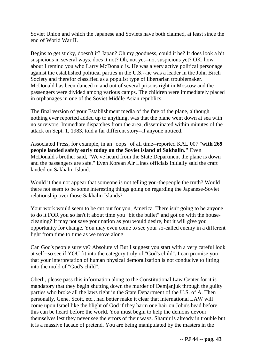Soviet Union and which the Japanese and Soviets have both claimed, at least since the end of World War II.

Begins to get sticky, doesn't it? Japan? Oh my goodness, could it be? It does look a bit suspicious in several ways, does it not? Oh, not yet--not suspicious yet? OK, how about I remind you who Larry McDonald is. He was a very active political personage against the established political parties in the U.S.--he was a leader in the John Birch Society and therefor classified as a populist type of libertarian troublemaker. McDonald has been danced in and out of several prisons right in Moscow and the passengers were divided among various camps. The children were immediately placed in orphanages in one of the Soviet Middle Asian republics.

The final version of your Establishment media of the fate of the plane, although nothing ever reported added up to anything, was that the plane went down at sea with no survivors. Immediate dispatches from the area, disseminated within minutes of the attack on Sept. 1, 1983, told a far different story--if anyone noticed.

Associated Press, for example, in an "oops" of all time--reported KAL 007 "**with 269 people landed safely early today on the Soviet island of Sakhalin."** Even McDonald's brother said, "We've heard from the State Department the plane is down and the passengers are safe." Even Korean Air Lines officials initially said the craft landed on Sakhalin Island.

Would it then not appear that someone is not telling you-thepeople the truth? Would there not seem to be some interesting things going on regarding the Japanese-Soviet relationship over those Sakhalin Islands?

Your work would seem to be cut out for you, America. There isn't going to be anyone to do it FOR you so isn't it about time you "bit the bullet" and got on with the housecleaning? It may not save your nation as you would desire, but it will give you opportunity for change. You may even come to see your so-called enemy in a different light from time to time as we move along.

Can God's people survive? Absolutely! But I suggest you start with a very careful look at self--so see if YOU fit into the category truly of "God's child". I can promise you that your interpretation of human physical demoralization is not conducive to fitting into the mold of "God's child".

Oberli, please pass this information along to the Constitutional Law Center for it is mandatory that they begin shutting down the murder of Demjanjuk through the guilty parties who broke all the laws right in the State Department of the U.S. of A. Then personally, Gene, Scott, etc., had better make it clear that international LAW will come upon Israel like the blight of God if they harm one hair on John's head before this can be heard before the world. You must begin to help the demons devour themselves lest they never see the errors of their ways. Shamir is already in trouble but it is a massive facade of pretend. You are being manipulated by the masters in the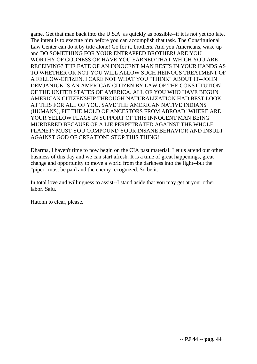game. Get that man back into the U.S.A. as quickly as possible--if it is not yet too late. The intent is to execute him before you can accomplish that task. The Constitutional Law Center can do it by title alone! Go for it, brothers. And you Americans, wake up and DO SOMETHING FOR YOUR ENTRAPPED BROTHER! ARE YOU WORTHY OF GODNESS OR HAVE YOU EARNED THAT WHICH YOU ARE RECEIVING? THE FATE OF AN INNOCENT MAN RESTS IN YOUR HANDS AS TO WHETHER OR NOT YOU WILL ALLOW SUCH HEINOUS TREATMENT OF A FELLOW-CITIZEN. I CARE NOT WHAT YOU "THINK" ABOUT IT--JOHN DEMJANJUK IS AN AMERICAN CITIZEN BY LAW OF THE CONSTITUTION OF THE UNITED STATES OF AMERICA. ALL OF YOU WHO HAVE BEGUN AMERICAN CITIZENSHIP THROUGH NATURALIZATION HAD BEST LOOK AT THIS FOR ALL OF YOU, SAVE THE AMERICAN NATIVE INDIANS (HUMANS), FIT THE MOLD OF ANCESTORS FROM ABROAD! WHERE ARE YOUR YELLOW FLAGS IN SUPPORT OF THIS INNOCENT MAN BEING MURDERED BECAUSE OF A LIE PERPETRATED AGAINST THE WHOLE PLANET? MUST YOU COMPOUND YOUR INSANE BEHAVIOR AND INSULT AGAINST GOD OF CREATION? STOP THIS THING!

Dharma, I haven't time to now begin on the CIA past material. Let us attend our other business of this day and we can start afresh. It is a time of great happenings, great change and opportunity to move a world from the darkness into the light--but the "piper" must be paid and the enemy recognized. So be it.

In total love and willingness to assist--I stand aside that you may get at your other labor. Salu.

Hatonn to clear, please.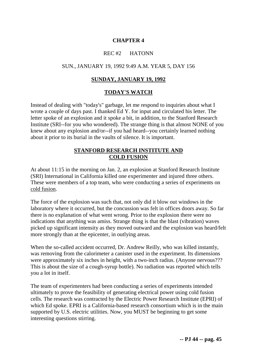## **CHAPTER 4**

### REC #2 HATONN

### SUN., JANUARY 19, 1992 9:49 A.M. YEAR 5, DAY 156

## **SUNDAY, JANUARY 19, 1992**

### **TODAY'S WATCH**

Instead of dealing with "today's" garbage, let me respond to inquiries about what I wrote a couple of days past. I thanked Ed Y. for input and circulated his letter. The letter spoke of an explosion and it spoke a bit, in addition, to the Stanford Research Institute (SRI--for you who wondered). The strange thing is that almost NONE of you knew about any explosion and/or--if you had heard--you certainly learned nothing about it prior to its burial in the vaults of silence. It is important.

## **STANFORD RESEARCH INSTITUTE AND COLD FUSION**

At about 11:15 in the morning on Jan. 2, an explosion at Stanford Research Institute (SRI) International in California killed one experimenter and injured three others. These were members of a top team, who were conducting a series of experiments on cold fusion.

The force of the explosion was such that, not only did it blow out windows in the laboratory where it occurred, but the concussion was felt in offices doors away. So far there is no explanation of what went wrong. Prior to the explosion there were no indications that anything was amiss. Strange thing is that the blast (vibration) waves picked up significant intensity as they moved outward and the explosion was heard/felt more strongly than at the epicenter, in outlying areas.

When the so-called accident occurred, Dr. Andrew Reilly, who was killed instantly, was removing from the calorimeter a canister used in the experiment. Its dimensions were approximately six inches in height, with a two-inch radius. (Anyone nervous??? This is about the size of a cough-syrup bottle). No radiation was reported which tells you a lot in itself.

The team of experimenters had been conducting a series of experiments intended ultimately to prove the feasibility of generating electrical power using cold fusion cells. The research was contracted by the Electric Power Research Institute (EPRI) of which Ed spoke. EPRI is a California-based research consortium which is in the main supported by U.S. electric utilities. Now, you MUST be beginning to get some interesting questions stirring.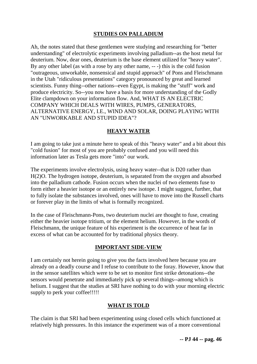## **STUDIES ON PALLADIUM**

Ah, the notes stated that these gentlemen were studying and researching for "better understanding" of electrolytic experiments involving palladium--as the host metal for deuterium. Now, dear ones, deuterium is the base element utilized for "heavy water". By any other label (as with a rose by any other name, -- -) this is the cold fusion "outrageous, unworkable, nonsensical and stupid approach" of Pons and Fleischmann in the Utah "ridiculous presentations" category pronounced by great and learned scientists. Funny thing--other nations--even Egypt, is making the "stuff" work and produce electricity. So--you now have a basis for more understanding of the Godly Elite clampdown on your information flow. And, WHAT IS AN ELECTRIC COMPANY WHICH DEALS WITH WIRES, PUMPS, GENERATORS, ALTERNATIVE ENERGY, I.E., WIND AND SOLAR, DOING PLAYING WITH AN "UNWORKABLE AND STUPID IDEA"?

### **HEAVY WATER**

I am going to take just a minute here to speak of this "heavy water" and a bit about this "cold fusion" for most of you are probably confused and you will need this information later as Tesla gets more "into" our work.

The experiments involve electrolysis, using heavy water--that is D20 rather than H(2)O. The hydrogen isotope, deuterium, is separated from the oxygen and absorbed into the palladium cathode. Fusion occurs when the nuclei of two elements fuse to form either a heavier isotope or an entirely new isotope. I might suggest, further, that to fully isolate the substances involved, ones will have to move into the Russell charts or forever play in the limits of what is formally recognized.

In the case of Fleischmann-Pons, two deuterium nuclei are thought to fuse, creating either the heavier isotope tritium, or the element helium. However, in the words of Fleischmann, the unique feature of his experiment is the occurrence of heat far in excess of what can be accounted for by traditional physics theory.

#### **IMPORTANT SIDE-VIEW**

I am certainly not herein going to give you the facts involved here because you are already on a deadly course and I refuse to contribute to the foray. However, know that in the sensor satellites which were to be set to monitor first strike detonations--the sensors would penetrate and immediately pick up several things--among which is helium. I suggest that the studies at SRI have nothing to do with your morning electric supply to perk your coffee!!!!!

#### **WHAT IS TOLD**

The claim is that SRI had been experimenting using closed cells which functioned at relatively high pressures. In this instance the experiment was of a more conventional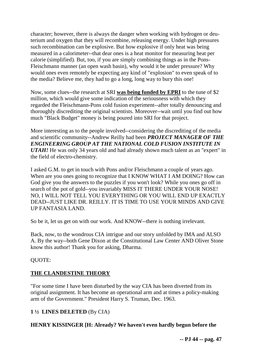character; however, there is always the danger when working with hydrogen or deuterium and oxygen that they will recombine, releasing energy. Under high pressures such recombination can be explosive. But how explosive if only heat was being measured in a calorimeter--that dear ones is a heat monitor for measuring heat per calorie (simplified). But, too, if you are simply combining things as in the Pons-Fleischmann manner (an open wash basin), why would it be under pressure? Why would ones even remotely be expecting any kind of "explosion" to even speak of to the media? Believe me, they had to go a long, long way to bury this one!

Now, some clues--the research at SRI **was being funded by EPRI** to the tune of \$2 million, which would give some indication of the seriousness with which they regarded the Fleischmann-Pons cold fusion experiment--after totally denouncing and thoroughly discrediting the original scientists. Moreover--wait until you find out how much "Black Budget" money is being poured into SRI for that project.

More interesting as to the people involved--considering the discrediting of the media and scientific community--Andrew Reilly had been *PROJECT MANAGER OF THE ENGINEERING GROUP AT THE NATIONAL COLD FUSION INSTITUTE IN UTAH!* He was only 34 years old and had already shown much talent as an "expert" in the field of electro-chemistry.

I asked G.M. to get in touch with Pons and/or Fleischmann a couple of years ago. When are you ones going to recognize that I KNOW WHAT I AM DOING? How can God give you the answers to the puzzles if you won't look? While you ones go off in search of the pot of gold--you invariably MISS IT THERE UNDER YOUR NOSE! NO, I WILL NOT TELL YOU EVERYTHING OR YOU WILL END UP EXACTLY DEAD--JUST LIKE DR. REILLY. IT IS TIME TO USE YOUR MINDS AND GIVE UP FANTASIA LAND.

So be it, let us get on with our work. And KNOW--there is nothing irrelevant.

Back, now, to the wondrous CIA intrigue and our story unfolded by IMA and ALSO A. By the way--both Gene Dixon at the Constitutional Law Center AND Oliver Stone know this author! Thank you for asking, Dharma.

QUOTE:

# **THE CLANDESTINE THEORY**

"For some time I have been disturbed by the way CIA has been diverted from its original assignment. It has become an operational arm and at times a policy-making arm of the Government." President Harry S. Truman, Dec. 1963.

## **1 ½ LINES DELETED** (By CIA)

## **HENRY KISSINGER [H: Already? We haven't even hardly begun before the**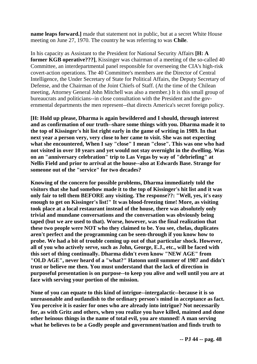**name leaps forward.**] made that statement not in public, but at a secret White House meeting on June 27, 1970. The country he was referring to was **Chile**.

In his capacity as Assistant to the President for National Security Affairs **[H: A former KGB operative???**], Kissinger was chairman of a meeting of the so-called 40 Committee, an interdepartmental panel responsible for overseeing the CIA's high-risk covert-action operations. The 40 Committee's members are the Director of Central Intelligence, the Under Secretary of State for Political Affairs, the Deputy Secretary of Defense, and the Chairman of the Joint Chiefs of Staff. (At the time of the Chilean meeting, Attorney General John Mitchell was also a member.) It is this small group of bureaucrats and politicians--in close consultation with the President and the governmental departments the men represent--that directs America's secret foreign policy.

**[H: Hold up please, Dharma is again bewildered and I should, through interest and as confirmation of our truth--share some things with you. Dharma made it to the top of Kissinger's hit list right early in the game of writing in 1989. In that next year a person very, very close to her came to visit. She was not expecting what she encountered, When I say "close" I mean "close". This was one who had not visited in over 10 years and yet would not stay overnight in the dwelling. Was on an "anniversary celebration" trip to Las Vegas by way of "debriefing" at Nellis Field and prior to arrival at the house--also at Edwards Base. Strange for someone out of the "service" for two decades?**

**Knowing of the concern for possible problems, Dharma immediately told the visitors that she had somehow made it to the top of Kissinger's hit list and it was only fair to tell them BEFORE any visiting. The response??: "Well, yes, it's easy enough to get on Kissinger's list!" It was blood-freezing time! More, as visiting took place at a local restaurant instead of the house, there was absolutely only trivial and mundane conversations and the conversation was obviously being taped (but we are used to that). Worse, however, was the final realization that these two people were NOT who they claimed to be. You see, chelas, duplicates aren't perfect and the programming can be seen-through if you know how to probe. We had a bit of trouble coming up out of that particular shock. However, all of you who actively serve, such as John, George, E.J., etc., will be faced with this sort of thing continually. Dharma didn't even know "NEW AGE" from "OLD AGE", never heard of a "what?" Hatonn until summer of 1987 and didn't trust or believe me then. You must understand that the lack of direction in purposeful presentation is on purpose--to keep you alive and well until you are at face with serving your portion of the mission.**

**None of you can equate to this kind of intrigue--intergalactic--because it is so unreasonable and outlandish to the ordinary person's mind in acceptance as fact. You perceive it is easier for ones who are already into intrigue? Not necessarily for, as with Gritz and others, when you realize you have killed, maimed and done other heinous things in the name of total evil, you are stunned! A man serving what he believes to be a Godly people and government/nation and finds truth to**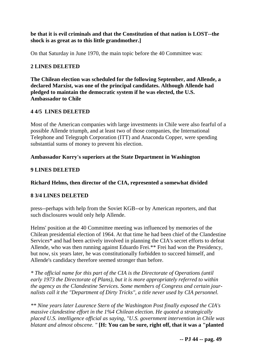## **be that it is evil criminals and that the Constitution of that nation is LOST--the shock is as great as to this little grandmother.]**

On that Saturday in June 1970, the main topic before the 40 Committee was:

## **2 LINES DELETED**

**The Chilean election was scheduled for the following September, and Allende, a declared Marxist, was one of the principal candidates. Although Allende had pledged to maintain the democratic system if he was elected, the U.S. Ambassador to Chile**

## **4 4/5 LINES DELETED**

Most of the American companies with large investments in Chile were also fearful of a possible Allende triumph, and at least two of those companies, the International Telephone and Telegraph Corporation (ITT) and Anaconda Copper, were spending substantial sums of money to prevent his election.

## **Ambassador Korry's superiors at the State Department in Washington**

## **9 LINES DELETED**

## **Richard Helms, then director of the CIA, represented a somewhat divided**

## **8 3/4 LINES DELETED**

press--perhaps with help from the Soviet KGB--or by American reporters, and that such disclosures would only help Allende.

Helms' position at the 40 Committee meeting was influenced by memories of the Chilean presidential election of 1964. At that time he had been chief of the Clandestine Services\* and had been actively involved in planning the CIA's secret efforts to defeat Allende, who was then running against Eduardo Frei.\*\* Frei had won the Presidency, but now, six years later, he was constitutionally forbidden to succeed himself, and Allende's candidacy therefore seemed stronger than before.

*\* The official name for this part of the CIA is the Directorate of Operations (until early 1973 the Directorate of Plans), but it is more appropriately referred to within the agency as the Clandestine Services. Some members of Congress and certain journalists call it the "Department of Dirty Tricks", a title never used by CIA personnel.*

*\*\* Nine years later Laurence Stern of the Washington Post finally exposed the CIA's massive clandestine effort in the 1%4 Chilean election. He quoted a strategically placed U.S. intelligence official as saying, "U.S. government intervention in Chile was blatant and almost obscene. "* **[H: You can be sure, right off, that it was a "planted** 

**-- PJ 44 -- pag. 49**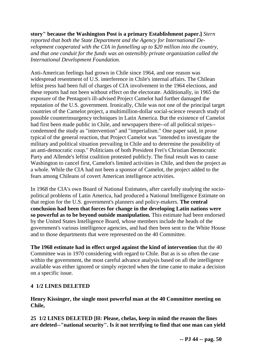## **story" because the Washington Post is a primary Establishment paper.]** *Stern*

*reported that both the State Department and the Agency for International Development cooperated with the CIA in funnelling up to \$20 million into the country, and that one conduit for the funds was an ostensibly private organization called the International Development Foundation.*

Anti-American feelings had grown in Chile since 1964, and one reason was widespread resentment of U.S. interference in Chile's internal affairs. The Chilean leftist press had been full of charges of CIA involvement in the 1964 elections, and these reports had not been without effect on the electorate. Additionally, in 1965 the exposure of the Pentagon's ill-advised Project Camelot had further damaged the reputation of the U.S. government. Ironically, Chile was not one of the principal target countries of the Camelot project, a multimillion-dollar social-science research study of possible counterinsurgency techniques in Latin America. But the existence of Camelot had first been made public in Chile, and newspapers there--of all political stripes- condemned the study as "intervention" and "imperialism." One paper said, in prose typical of the general reaction, that Project Camelot was "intended to investigate the military and political situation prevailing in Chile and to determine the possibility of an anti-democratic coup." Politicians of both President Frei's Christian Democratic Party and Allende's leftist coalition protested publicly. The final result was to cause Washington to cancel first, Camelot's limited activities in Chile, and then the project as a whole. While the CIA had not been a sponsor of Camelot, the project added to the fears among Chileans of covert American intelligence activities.

In 1968 the CIA's own Board of National Estimates, after carefully studying the sociopolitical problems of Latin America, had produced a National Intelligence Estimate on that region for the U.S. government's planners and policy-makers. **The central conclusion had been that forces for change in the developing Latin nations were so powerful as to be beyond outside manipulation.** This estimate had been endorsed by the United States Intelligence Board, whose members include the heads of the government's various intelligence agencies, and had then been sent to the White House and to those departments that were represented on the 40 Committee.

**The 1968 estimate had in effect urged against the kind of intervention** that the 40 Committee was in 1970 considering with regard to Chile. But as is so often the case within the government, the most careful advance analysis based on all the intelligence available was either ignored or simply rejected when the time came to make a decision on a specific issue.

## **4 1/2 LINES DELETED**

**Henry Kissinger, the single most powerful man at the 40 Committee meeting on Chile,**

**25 1/2 LINES DELETED [H: Please, chelas, keep in mind the reason the lines are deleted--"national security". Is it not terrifying to find that one man can yield**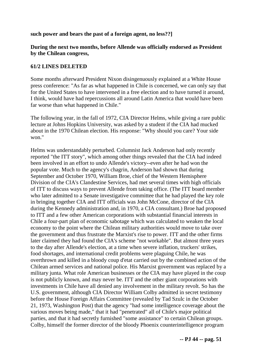**such power and bears the past of a foreign agent, no less??]**

**During the next two months, before Allende was officially endorsed as President by the Chilean congress,**

### **61/2 LINES DELETED**

Some months afterward President Nixon disingenuously explained at a White House press conference: "As far as what happened in Chile is concerned, we can only say that for the United States to have intervened in a free election and to have turned it around, I think, would have had repercussions all around Latin America that would have been far worse than what happened in Chile."

The following year, in the fall of 1972, CIA Director Helms, while giving a rare public lecture at Johns Hopkins University, was asked by a student if the CIA had mucked about in the 1970 Chilean election. His response: "Why should you care? Your side won."

Helms was understandably perturbed. Columnist Jack Anderson had only recently reported "the ITT story", which among other things revealed that the CIA had indeed been involved in an effort to undo Allende's victory--even after he had won the popular vote. Much to the agency's chagrin, Anderson had shown that during September and October 1970, William Broe, chief of the Western Hemisphere Division of the CIA's Clandestine Services, had met several times with high officials of ITT to discuss ways to prevent Allende from taking office. (The ITT board member who later admitted to a Senate investigative committee that he had played the key role in bringing together CIA and ITT officials was John McCone, director of the CIA during the Kennedy administration and, in 1970, a CIA consultant.) Broe had proposed to ITT and a few other American corporations with substantial financial interests in Chile a four-part plan of economic sabotage which was calculated to weaken the local economy to the point where the Chilean military authorities would move to take over the government and thus frustrate the Marxist's rise to power. ITT and the other firms later claimed they had found the CIA's scheme "not workable". But almost three years to the day after Allende's election, at a time when severe inflation, truckers' strikes, food shortages, and international credit problems were plaguing Chile, he was overthrown and killed in a bloody coup d'etat carried out by the combined action of the Chilean armed services and national police. His Marxist government was replaced by a military junta. What role American businesses or the CIA may have played in the coup is not publicly known, and may never be. ITT and the other giant corporations with investments in Chile have all denied any involvement in the military revolt. So has the U.S. government, although CIA Director William Colby admitted in secret testimony before the House Foreign Affairs Committee (revealed by Tad Szulc in the October 21, 1973, Washington Post) that the agency "had some intelligence coverage about the various moves being made," that it had "penetrated" all of Chile's major political parties, and that it had secretly furnished "some assistance" to certain Chilean groups. Colby, himself the former director of the bloody Phoenix counterintelligence program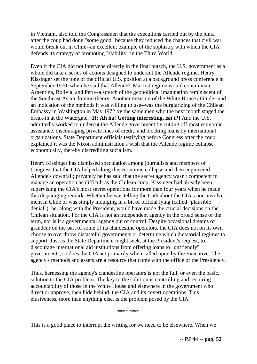in Vietnam, also told the Congressmen that the executions carried out by the junta after the coup had done "some good" because they reduced the chances that civil war would break out in Chile--an excellent example of the sophistry with which the CIA defends its strategy of promoting "stability" in the Third World.

Even if the CIA did not intervene directly in the final putsch, the U.S. government as a whole did take a series of actions designed to undercut the Allende regime. Henry Kissinger set the tone of the official U.S. position at a background press conference in September 1970, when he said that Allende's Marxist regime would contaminate Argentina, Bolivia, and Peru--a stretch of the geopolitical imagination reminiscent of the Southeast Asian domino theory. Another measure of the White House attitude--and an indication of the methods it was willing to use--was the burglarizing of the Chilean Embassy in Washington in May 1972 by the same men who the next month staged the break-in at the Watergate. **[H: Ah ha! Getting interesting, isn't?]** And the U.S. admittedly worked to undercut the Allende government by cutting off most economic assistance, discouraging private lines of credit, and blocking loans by international organizations. State Department officials testifying before Congress after the coup explained it was the Nixon administration's wish that the Allende regime collapse economically, thereby discrediting socialism.

Henry Kissinger has dismissed speculation among journalists and members of Congress that the CIA helped along this economic collapse and then engineered Allende's downfall; privately he has said that the secret agency wasn't competent to manage an operation as difficult as the Chilean coup. Kissinger had already been supervising the CIA's most secret operations for more than four years when he made this disparaging remark. Whether he was telling the truth about the CIA's non-involvement in Chile or was simply indulging in a bit of official lying (called "plausible denial"), he, along with the President, would have made the crucial decisions on the Chilean situation. For the CIA is not an independent agency in the broad sense of the term, nor is it a governmental agency out of control. Despite occasional dreams of grandeur on the part of some of its clandestine operators, the CIA does not on its own choose to overthrow distasteful governments or determine which dictatorial regimes to support. Just as the State Department might seek, at the President's request, to discourage international aid institutions from offering loans to "unfriendly" governments, so does the CIA act primarily when called upon by the Executive. The agency's methods and assets are a resource that come with the office of the Presidency.

Thus, harnessing the agency's clandestine operators is not the full, or even the basic, solution to the CIA problem. The key to the solution is controlling and requiring accountability of those in the White House and elsewhere in the government who direct or approve, then hide behind, the CIA and its covert operations. This elusiveness, more than anything else, is the problem posed by the CIA.

\*\*\*\*\*\*\*\*

This is a good place to interrupt the writing for we need to be elsewhere. When we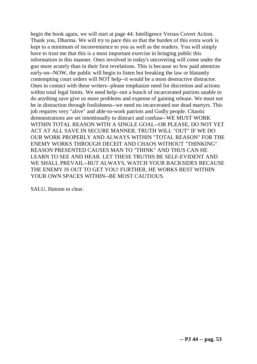begin the book again, we will start at page 44: Intelligence Versus Covert Action. Thank you, Dharma. We will try to pace this so that the burden of this extra work is kept to a minimum of inconvenience to you as well as the readers. You will simply have to trust me that this is a most important exercise in bringing public this information in this manner. Ones involved in today's uncovering will come under the gun more acutely than in their first revelations. This is because so few paid attention early-on--NOW, the public will begin to listen but breaking the law or blatantly contempting court orders will NOT help--it would be a most destructive distractor. Ones in contact with these writers--please emphasize need for discretion and actions within total legal limits. We need help--not a bunch of incarcerated patriots unable to do anything save give us more problems and expense of gaining release. We must not be in distraction through foolishness--we need no incarcerated nor dead martyrs. This job requires very "alive" and able-to-work patriots and Godly people. Chaotic demonstrations are set intentionally to distract and confuse--WE MUST WORK WITHIN TOTAL REASON WITH A SINGLE GOAL--OR PLEASE, DO NOT YET ACT AT ALL SAVE IN SECURE MANNER. TRUTH WILL "OUT" IF WE DO OUR WORK PROPERLY AND ALWAYS WITHIN "TOTAL REASON" FOR THE ENEMY WORKS THROUGH DECEIT AND CHAOS WITHOUT "THINKING". REASON PRESENTED CAUSES MAN TO "THINK" AND THUS CAN HE LEARN TO SEE AND HEAR. LET THESE TRUTHS BE SELF-EVIDENT AND WE SHALL PREVAIL--BUT ALWAYS, WATCH YOUR BACKSIDES BECAUSE THE ENEMY IS OUT TO GET YOU! FURTHER, HE WORKS BEST WITHIN YOUR OWN SPACES WITHIN--BE MOST CAUTIOUS.

SALU, Hatonn to clear.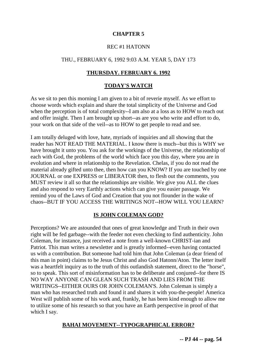### **CHAPTER 5**

#### REC #1 HATONN

#### THU., FEBRUARY 6, 1992 9:03 A.M. YEAR 5, DAY 173

#### **THURSDAY. FEBRUARY 6. 1992**

#### **TODAY'S WATCH**

As we sit to pen this morning I am given to a bit of reverie myself. As we effort to choose words which explain and share the total simplicity of the Universe and God when the perception is of total complexity--I am also at a loss as to HOW to reach out and offer insight. Then I am brought up short--as are you who write and effort to do, your work on that side of the veil--as to HOW to get people to read and see.

I am totally deluged with love, hate, myriads of inquiries and all showing that the reader has NOT READ THE MATERIAL. I know there is much--but this is WHY we have brought it unto you. You ask for the workings of the Universe, the relationship of each with God, the problems of the world which face you this day, where you are in evolution and where in relationship to the Revelation. Chelas, if you do not read the material already gifted unto thee, then how can you KNOW? If you are touched by one JOURNAL or one EXPRESS or LIBERATOR then, to flesh out the comments, you MUST review it all so that the relationships are visible. We give you ALL the clues and also respond to very Earthly actions which can give you easier passage. We remind you of the Laws of God and Creation that you not flounder in the wake of chaos--BUT IF YOU ACCESS THE WRITINGS NOT--HOW WILL YOU LEARN?

#### **IS JOHN COLEMAN GOD?**

Perceptions? We are astounded that ones of great knowledge and Truth in their own right will be fed garbage--with the feeder not even checking to find authenticity. John Coleman, for instance, just received a note from a well-known CHRIST-ian and Patriot. This man writes a newsletter and is greatly informed--even having contacted us with a contribution. But someone had told him that John Coleman (a dear friend of this man in point) claims to be Jesus Christ and also God Hatonn/Aton. The letter itself was a heartfelt inquiry as to the truth of this outlandish statement, direct to the "horse", so to speak. This sort of misinformation has to be deliberate and conjured--for there IS NO WAY ANYONE CAN GLEAN SUCH TRASH AND LIES FROM THE WRITINGS--EITHER OURS OR JOHN COLEMAN'S. John Coleman is simply a man who has researched truth and found it and shares it with you-the-people! America West will publish some of his work and, frankly, he has been kind enough to allow me to utilize some of his research so that you have an Earth perspective in proof of that which I say.

### **BAHAI MOVEMENT--TYPOGRAPHICAL ERROR?**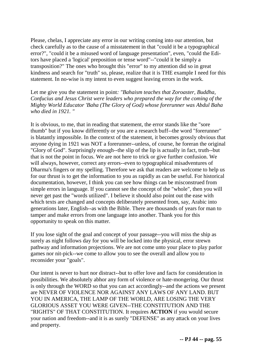Please, chelas, I appreciate any error in our writing coming into our attention, but check carefully as to the cause of a misstatement in that "could it be a typographical error?", "could it be a misused word of language presentation", even, "could the Editors have placed a 'logical' preposition or tense word"--"could it be simply a transposition?" The ones who brought this "error" to my attention did so in great kindness and search for "truth" so, please, realize that it is THE example I need for this statement. In no-wise is my intent to even suggest leaving errors in the work.

Let me give you the statement in point*: "Bahaism teaches that Zoroaster, Buddha, Confucius and Jesus Christ were leaders who prepared the way for the coming of the Mighty World Educator 'Baha (The Glory of God) whose forerunner was Abdul Baha who died in 1921. "*

It is obvious, to me, that in reading that statement, the error stands like the "sore thumb" but if you know differently or you are a research buff--the word "forerunner" is blatantly impossible. In the context of the statement, it becomes grossly obvious that anyone dying in 1921 was NOT a forerunner--unless, of course, he foreran the original "Glory of God". Surprisingly enough--the slip of the lip is actually in fact, truth--but that is not the point in focus. We are not here to trick or give further confusion. We will always, however, correct any errors--even to typographical misadventures of Dharma's fingers or my spelling. Therefore we ask that readers are welcome to help us for our thrust is to get the information to you as rapidly as can be useful. For historical documentation, however, I think you can see how things can be misconstrued from simple errors in language. If you cannot see the concept of the "whole", then you will never get past the "words utilized". I believe it should also point out the ease with which texts are changed and concepts deliberately presented from, say, Arabic into generations later, English--as with the Bible. There are thousands of years for man to tamper and make errors from one language into another. Thank you for this opportunity to speak on this matter.

If you lose sight of the goal and concept of your passage--you will miss the ship as surely as night follows day for you will be locked into the physical, error strewn pathway and information projections. We are not come unto your place to play parlor games nor nit-pick--we come to allow you to see the overall and allow you to reconsider your "goals".

Our intent is never to hurt nor distract--but to offer love and facts for consideration in possibilities. We absolutely abhor any form of violence or hate-mongering. Our thrust is only through the WORD so that you can act accordingly--and the actions we present are NEVER OF VIOLENCE NOR AGAINST ANY LAWS OF ANY LAND. BUT YOU IN AMERICA, THE LAMP OF THE WORLD, ARE LOSING THE VERY GLORIOUS ASSET YOU WERE GIVEN--THE CONSTITUTION AND THE "RIGHTS" OF THAT CONSTITUTION. It requires **ACTION** if you would secure your nation and freedom--and it is as surely "DEFENSE" as any attack on your lives and property.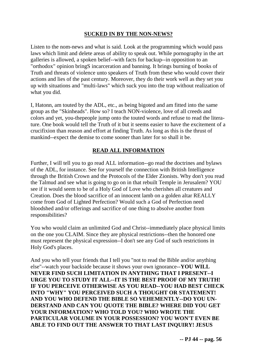## **SUCKED IN BY THE NON-NEWS?**

Listen to the nom-news and what is said. Look at the programming which would pass laws which limit and delete areas of ability to speak out. While pornography in the art galleries is allowed, a spoken belief--with facts for backup--in opposition to an "orthodox" opinion bringS incarceration and banning. It brings burning of books of Truth and threats of violence unto speakers of Truth from these who would cover their actions and lies of the past century. Moreover, they do their work well as they set you up with situations and "multi-laws" which suck you into the trap without realization of what you did.

I, Hatonn, am touted by the ADL, etc., as being bigoted and am fitted into the same group as the "Skinheads". How so? I teach NON-violence, love of all creeds and colors and yet, you-thepeople jump onto the touted words and refuse to read the literature. One book would tell the Truth of it but it seems easier to have the excitement of a crucifixion than reason and effort at finding Truth. As long as this is the thrust of mankind--expect the demise to come sooner than later for so shall it be.

## **READ ALL INFORMATION**

Further, I will tell you to go read ALL information--go read the doctrines and bylaws of the ADL, for instance. See for yourself the connection with British Intelligence through the British Crown and the Protocols of the Elder Zionists. Why don't you read the Talmud and see what is going to go on in that rebuilt Temple in Jerusalem? YOU see if it would seem to be of a Holy God of Love who cherishes all creatures and Creation. Does the blood sacrifice of an innocent lamb on a golden altar REALLY come from God of Lighted Perfection? Would such a God of Perfection need bloodshed and/or offerings and sacrifice of one thing to absolve another from responsibilities?

You who would claim an unlimited God and Christ--immediately place physical limits on the one you CLAIM. Since they are physical restrictions--then the honored one must represent the physical expression--I don't see any God of such restrictions in Holy God's places.

And you who tell your friends that I tell you "not to read the Bible and/or anything else"--watch your backside because it shows your own ignorance--**YOU WILL NEVER FIND SUCH LIMITATION IN ANYTHING THAT I PRESENT--I URGE YOU TO STUDY IT ALL--IT IS THE BEST PROOF OF MY TRUTH! IF YOU PERCEIVE OTHERWISE AS YOU READ--YOU HAD BEST CHECK INTO "WHY" YOU PERCEIVED SUCH A THOUGHT OR STATEMENT! AND YOU WHO DEFEND THE BIBLE SO VEHEMENTLY--DO YOU UN-DERSTAND AND CAN YOU QUOTE THE BIBLE? WHERE DID YOU GET YOUR INFORMATION? WHO TOLD YOU? WHO WROTE THE PARTICULAR VOLUME IN YOUR POSSESSION? YOU WON'T EVEN BE ABLE TO FIND OUT THE ANSWER TO THAT LAST INQUIRY! JESUS**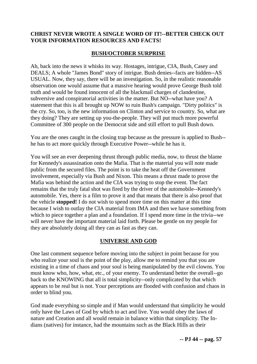## **CHRIST NEVER WROTE A SINGLE WORD OF IT!--BETTER CHECK OUT YOUR INFORMATION RESOURCES AND FACTS!**

## **BUSH/OCTOBER SURPRISE**

Ah, back into the news it whisks its way. Hostages, intrigue, CIA, Bush, Casey and DEALS; A whole "James Bond" story of intrigue. Bush denies--facts are hidden--AS USUAL. Now, they say, there will be an investigation. So, in the realistic reasonable observation one would assume that a massive hearing would prove George Bush told truth and would be found innocent of all the blackmail charges of clandestine, subversive and conspiratorial activities in the matter. But NO--what have you? A statement that this is all brought up NOW to ruin Bush's campaign. "Dirty politics" is the cry. So, too, is the new information on Clinton and service to country. So, what are they doing? They are setting up you-the-people. They will put much more powerful Committee of 300 people on the Democrat side and still effort to pull Bush down.

You are the ones caught in the closing trap because as the pressure is applied to Bush- he has to act more quickly through Executive Power--while he has it.

You will see an ever deepening thrust through public media, now, to thrust the blame for Kennedy's assassination onto the Mafia. That is the material you will note made public from the secured files. The point is to take the heat off the Government involvement, especially via Bush and Nixon. This means a thrust made to prove the Mafia was behind the action and the CIA was trying to stop the event. The fact remains that the truly fatal shot was fired by the driver of the automobile--Kennedy's automobile. Yes, there is a film to prove it and that means that there is also proof that the vehicle **stopped!** I do not wish to spend more time on this matter at this time because I wish to outlay the CIA material from IMA and then we have something from which to piece together a plan and a foundation. If I spend more time in the trivia--we will never have the important material laid forth. Please be gentle on my people for they are absolutely doing all they can as fast as they can.

## **UNIVERSE AND GOD**

One last comment sequence before moving into the subject in point because for you who realize your soul is the point of the play, allow me to remind you that you are existing in a time of chaos and your soul is being manipulated by the evil clowns. You must know who, how, what, etc., of your enemy. To understand better the overall--go back to the KNOWING that all is total simplicity--only complicated by that which appears to be real but is not. Your perceptions are flooded with confusion and chaos in order to blind you.

God made everything so simple and if Man would understand that simplicity he would only have the Laws of God by which to act and live. You would obey the laws of nature and Creation and all would remain in balance within that simplicity. The Indians (natives) for instance, had the mountains such as the Black Hills as their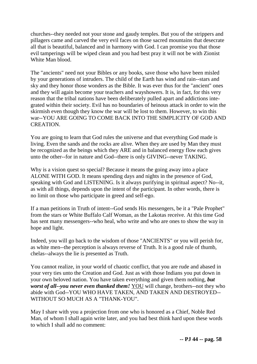churches--they needed not your stone and gaudy temples. But you of the strippers and pillagers came and carved the very evil faces on those sacred mountains that desecrate all that is beautiful, balanced and in harmony with God. I can promise you that those evil tamperings will be wiped clean and you had best pray it will not be with Zionist White Man blood.

The "ancients" need not your Bibles or any books, save those who have been misled by your generations of intruders. The child of the Earth has wind and rain--stars and sky and they honor those wonders as the Bible. It was ever thus for the "ancient" ones and they will again become your teachers and wayshowers. It is, in fact, for this very reason that the tribal nations have been deliberately pulled apart and addictions integrated within their society. Evil has no boundaries of heinous attack in order to win the skirmish even though they know the war will be lost to them. However, to win this war--YOU ARE GOING TO COME BACK INTO THE SIMPLICITY OF GOD AND CREATION.

You are going to learn that God rules the universe and that everything God made is living. Even the sands and the rocks are alive. When they are used by Man they must be recognized as the beings which they ARE and in balanced energy flow each gives unto the other--for in nature and God--there is only GIVING--never TAKING.

Why is a vision quest so special? Because it means the going away into a place ALONE WITH GOD. It means spending days and nights in the presence of God, speaking with God and LISTENING. Is it always purifying in spiritual aspect? No--it, as with all things, depends upon the intent of the participant. In other words, there is no limit on those who participate in greed and self-ego.

If a man petitions in Truth of intent--God sends His messengers, be it a "Pale Prophet" from the stars or White Buffalo Calf Woman, as the Lakotas receive. At this time God has sent many messengers--who heal, who write and who are ones to show the way in hope and light.

Indeed, you will go back to the wisdom of those "ANCIENTS" or you will perish for, as white men--the perception is always reverse of Truth. It is a good rule of thumb, chelas--always the lie is presented as Truth.

You cannot realize, in your world of chaotic conflict, that you are rude and abased in your very ties unto the Creation and God. Just as with those Indians you put down in your own beloved nation. You have taken everything and given them nothing, *but worst of all--you never even thanked them!* YOU will change, brothers--not they who abide with God--YOU WHO HAVE TAKEN, AND TAKEN AND DESTROYED-- WITHOUT SO MUCH AS A "THANK-YOU".

May I share with you a projection from one who is honored as a Chief, Noble Red Man, of whom I shall again write later, and you had best think hard upon these words to which I shall add no comment: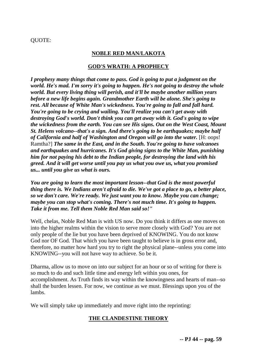## QUOTE:

## **NOBLE RED MAN/LAKOTA**

### **GOD'S WRATH: A PROPHECY**

*I prophesy many things that come to pass. God is going to put a judgment on the world. He's mad. I'm sorry it's going to happen. He's not going to destroy the whole world. But every living thing will perish, and it'll be maybe another million years before a new life begins again. Grandmother Earth will be alone. She's going to rest. All because of White Man's wickedness. You're going to fall and fall hard. You're going to be crying and wailing. You'll realize you can't get away with destroying God's world. Don't think you can get away with it. God's going to wipe the wickedness from the earth. You can see His signs. Out on the West Coast, Mount St. Helens volcano--that's a sign. And there's going to be earthquakes; maybe half of California and half of Washington and Oregon will go into the water.* [H: oops! Ramtha?] *The same in the East, and in the South. You're going to have volcanoes and earthquakes and hurricanes. It's God giving signs to the White Man, punishing him for not paying his debt to the Indian people, for destroying the land with his greed. And it will get worse until you pay us what you owe us, what you promised us... until you give us what is ours.*

*You are going to learn the most important lesson--that God is the most powerful thing there is. We Indians aren't afraid to die. We've got a place to go, a better place, so we don't care. We're ready. We just want you to know. Maybe you can change; maybe you can stop what's coming. There's not much time. It's going to happen. Take it from me. Tell them Noble Red Man said so!"*

Well, chelas, Noble Red Man is with US now. Do you think it differs as one moves on into the higher realms within the vision to serve more closely with God? You are not only people of the lie but you have been deprived of KNOWING. You do not know God nor OF God. That which you have been taught to believe is in gross error and, therefore, no matter how hard you try to right the physical plane--unless you come into KNOWING--you will not have way to achieve. So be it.

Dharma, allow us to move on into our subject for an hour or so of writing for there is so much to do and such little time and energy left within you ones, for accomplishment. As Truth finds its way within the knowingness and hearts of man--so shall the burden lessen. For now, we continue as we must. Blessings upon you of the lambs.

We will simply take up immediately and move right into the reprinting:

## **THE CLANDESTINE THEORY**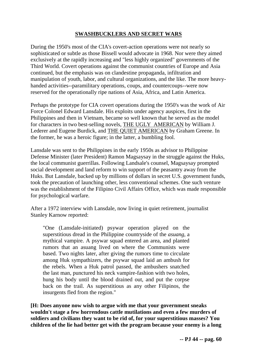## **SWASHBUCKLERS AND SECRET WARS**

During the 1950's most of the CIA's covert-action operations were not nearly so sophisticated or subtle as those Bissell would advocate in 1968. Nor were they aimed exclusively at the rapidly increasing and "less highly organized" governments of the Third World. Covert operations against the communist countries of Europe and Asia continued, but the emphasis was on clandestine propaganda, infiltration and manipulation of youth, labor, and cultural organizations, and the like. The more heavyhanded activities--paramilitary operations, coups, and countercoups--were now reserved for the operationally ripe nations of Asia, Africa, and Latin America.

Perhaps the prototype for CIA covert operations during the 1950's was the work of Air Force Colonel Edward Lansdale. His exploits under agency auspices, first in the Philippines and then in Vietnam, became so well known that he served as the model for characters in two best-selling novels, THE UGLY AMERICAN by William J. Lederer and Eugene Burdick, and THE QUIET AMERICAN by Graham Greene. In the former, he was a heroic figure; in the latter, a bumbling fool.

Lansdale was sent to the Philippines in the early 1950s as advisor to Philippine Defense Minister (later President) Ramon Magsaysay in the struggle against the Huks, the local communist guerrillas. Following Landsale's counsel, Magsaysay prompted social development and land reform to win support of the peasantry away from the Huks. But Lansdale, backed up by millions of dollars in secret U.S. government funds, took the precaution of launching other, less conventional schemes. One such venture was the establishment of the Filipino Civil Affairs Office, which was made responsible for psychological warfare.

After a 1972 interview with Lansdale, now living in quiet retirement, journalist Stanley Karnow reported:

"One (Lansdale-initiated) psywar operation played on the superstitious dread in the Philippine countryside of the *asuang*, a mythical vampire. A psywar squad entered an area, and planted rumors that an asuang lived on where the Communists were based. Two nights later, after giving the rumors time to circulate among Huk sympathizers, the psywar squad laid an ambush for the rebels. When a Huk patrol passed, the ambushers snatched the last man, punctured his neck vampire-fashion with two holes, hung his body until the blood drained out, and put the corpse back on the trail. As superstitious as any other Filipinos, the insurgents fled from the region."

**[H: Does anyone now wish to argue with me that your government sneaks wouldn't stage a few horrendous cattle mutilations and even a few murders of soldiers and civilians they want to be rid of, for your superstitious masses? You children of the lie had better get with the program because your enemy is a long**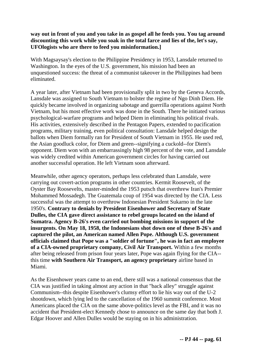## **way out in front of you and you take in as gospel all he feeds you. You tag around discounting this work while you soak in the total farce and lies of the, let's say, UFOlogists who are there to feed you misinformation.]**

With Magsaysay's election to the Philippine Presidency in 1953, Lansdale returned to Washington. In the eyes of the U.S. government, his mission had been an unquestioned success: the threat of a communist takeover in the Philippines had been eliminated.

A year later, after Vietnam had been provisionally split in two by the Geneva Accords, Lansdale was assigned to South Vietnam to bolster the regime of Ngo Dinh Diem. He quickly became involved in organizing sabotage and guerrilla operations against North Vietnam, but his most effective work was done in the South. There he initiated various psychological-warfare programs and helped Diem in eliminating his political rivals. His activities, extensively described in the Pentagon Papers, extended to pacification programs, military training, even political consultation: Lansdale helped design the ballots when Diem formally ran for President of South Vietnam in 1955. He used red, the Asian goodluck color, for Diem and green--signifying a cuckold--for Diem's opponent. Diem won with an embarrassingly high 98 percent of the vote, and Lansdale was widely credited within American government circles for having carried out another successful operation. He left Vietnam soon afterward.

Meanwhile, other agency operators, perhaps less celebrated than Lansdale, were carrying out covert-action programs in other countries. Kermit Roosevelt, of the Oyster Bay Roosevelts, master-minded the 1953 putsch that overthrew Iran's Premier Mohammed Mossadegh. The Guatemala coup of 1954 was directed by the CIA. Less successful was the attempt to overthrow Indonesian President Sukarno in the late 1950's. **Contrary to denials by President Eisenhower and Secretary of State Dulles, the CIA gave direct assistance to rebel groups located on the island of Sumatra. Agency B-26's even carried out bombing missions in support of the insurgents. On May 18, 1958, the Indonesians shot down one of these B-26's and captured the pilot, an American named Allen Pope. Although U.S. government officials claimed that Pope was a "soldier of fortune", he was in fact an employee of a CIA-owned proprietary company, Civil Air Transport.** Within a few months after being released from prison four years later, Pope was again flying for the CIA- this time **with Southern Air Transport, an agency proprietary** airline based in Miami.

As the Eisenhower years came to an end, there still was a national consensus that the CIA was justified in taking almost any action in that "back alley" struggle against Communism--this despite Eisenhower's clumsy effort to lie his way out of the U-2 shootdown, which lying led to the cancellation of the 1960 summit conference. Most Americans placed the CIA on the same above-politics level as the FBI, and it was no accident that President-elect Kennedy chose to announce on the same day that both J. Edgar Hoover and Allen Dulles would be staying on in his administration.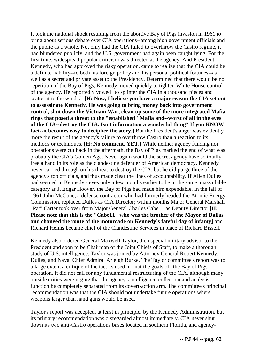It took the national shock resulting from the abortive Bay of Pigs invasion in 1961 to bring about serious debate over CIA operations--among high government officials and the public as a whole. Not only had the CIA failed to overthrow the Castro regime, it had blundered publicly, and the U.S. government had again been caught lying. For the first time, widespread popular criticism was directed at the agency. And President Kennedy, who had approved the risky operation, came to realize that the CIA could be a definite liability--to both his foreign policy and his personal political fortunes--as well as a secret and private asset to the Presidency. Determined that there would be no repetition of the Bay of Pigs, Kennedy moved quickly to tighten White House control of the agency. He reportedly vowed "to splinter the CIA in a thousand pieces and scatter it to the winds**." [H: Now, I believe you have a major reason the CIA set out to assassinate Kennedy. He was going to bring money back into government control, shut down the Vietnam War, clean up some of the more integrated Mafia rings that posed a threat to the "established" Mafia and--worst of all in the eyes of the CIA--destroy the CIA. Isn't information a wonderful thing? If you KNOW fact--it becomes easy to decipher the story.]** But the President's anger was evidently more the result of the agency's failure to overthrow Castro than a reaction to its methods or techniques. **[H: No comment, YET.]** While neither agency funding nor operations were cut back in the aftermath, the Bay of Pigs marked the end of what was probably the CIA's Golden Age. Never again would the secret agency have so totally free a hand in its role as the clandestine defender of American democracy. Kennedy never carried through on his threat to destroy the CIA, but he did purge three of the agency's top officials, and thus made clear the lines of accountability. If Allen Dulles had seemed in Kennedy's eyes only a few months earlier to be in the same unassailable category as J. Edgar Hoover, the Bay of Pigs had made him expendable. In the fall of 1961 John McCone, a defense contractor who had formerly headed the Atomic Energy Commission, replaced Dulles as CIA Director; within months Major General Marshall "Pat" Carter took over from Major General Charles Cabe11 as Deputy Director **[H: Please note that this is the "Cabe11" who was the brother of the Mayor of Dallas and changed the route of the motorcade on Kennedy's fateful day of infamy]** and Richard Helms became chief of the Clandestine Services in place of Richard Bissell.

Kennedy also ordered General Maxwell Taylor, then special military advisor to the President and soon to be Chairman of the Joint Chiefs of Staff, to make a thorough study of U.S. intelligence. Taylor was joined by Attorney General Robert Kennedy, Dulles, and Naval Chief Admiral Arleigh Burke. The Taylor committee's report was to a large extent a critique of the tactics used in--not the goals of--the Bay of Pigs operation. It did not call for any fundamental restructuring of the CIA, although many outside critics were urging that the agency's intelligence-collection and analysis function be completely separated from its covert-action arm. The committee's principal recommendation was that the CIA should not undertake future operations where weapons larger than hand guns would be used.

Taylor's report was accepted, at least in principle, by the Kennedy Administration, but its primary recommendation was disregarded almost immediately. CIA never shut down its two anti-Castro operations bases located in southern Florida, and agency-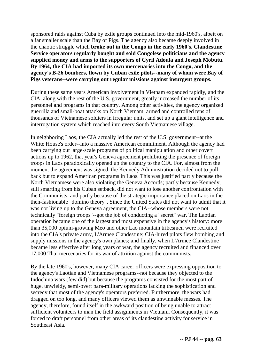sponsored raids against Cuba by exile groups continued into the mid-1960's, albeit on a far smaller scale than the Bay of Pigs. The agency also became deeply involved in the chaotic struggle which **broke out in the Congo in the early 1960's. Clandestine Service operators regularly bought and sold Congolese politicians and the agency supplied money and arms to the supporters of Cyril Adoula and Joseph Mobutu. By 1964, the CIA had imported its own mercenaries into the Congo, and the agency's B-26 bombers, flown by Cuban exile pilots--many of whom were Bay of Pigs veterans--were carrying out regular missions against insurgent groups.**

During these same years American involvement in Vietnam expanded rapidly, and the CIA, along with the rest of the U.S. government, greatly increased the number of its personnel and programs in that country. Among other activities, the agency organized guerrilla and small-boat attacks on North Vietnam, armed and controlled tens of thousands of Vietnamese soldiers in irregular units, and set up a giant intelligence and interrogation system which reached into every South Vietnamese village.

In neighboring Laos, the CIA actually led the rest of the U.S. government--at the White House's order--into a massive American commitment. Although the agency had been carrying out large-scale programs of political manipulation and other covert actions up to 1962, that year's Geneva agreement prohibiting the presence of foreign troops in Laos paradoxically opened up the country to the CIA. For, almost from the moment the agreement was signed, the Kennedy Administration decided not to pull back but to expand American programs in Laos. This was justified partly because the North Vietnamese were also violating the Geneva Accords; partly because Kennedy, still smarting from his Cuban setback, did not want to lose another confrontation with the Communists: and partly because of the strategic importance placed on Laos in the then-fashionable "domino theory". Since the United States did not want to admit that it was not living up to the Geneva agreement, the CIA--whose members were not technically "foreign troops"--got the job of conducting a "secret" war. The Laotian operation became one of the largest and most expensive in the agency's history: more than 35,000 opium-growing Meo and other Lao mountain tribesmen were recruited into the CIA's private army, L'Armee Clandestine; CIA-hired pilots flew bombing and supply missions in the agency's own planes; and finally, when L'Armee Clandestine became less effective after long years of war, the agency recruited and financed over 17,000 Thai mercenaries for its war of attrition against the communists.

By the late 1960's, however, many CIA career officers were expressing opposition to the agency's Laotian and Vietnamese programs--not because they objected to the Indochina wars (few did) but because the programs consisted for the most part of huge, unwieldy, semi-overt para-military operations lacking the sophistication and secrecy that most of the agency's operators preferred. Furthermore, the wars had dragged on too long, and many officers viewed them as unwinnable messes. The agency, therefore, found itself in the awkward position of being unable to attract sufficient volunteers to man the field assignments in Vietnam. Consequently, it was forced to draft personnel from other areas of its clandestine activity for service in Southeast Asia.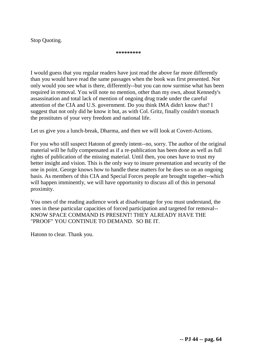Stop Quoting.

**\*\*\*\*\*\*\*\*\***

I would guess that you regular readers have just read the above far more differently than you would have read the same passages when the book was first presented. Not only would you see what is there, differently--but you can now surmise what has been required in removal. You will note no mention, other than my own, about Kennedy's assassination and total lack of mention of ongoing drug trade under the careful attention of the CIA and U.S. government. Do you think IMA didn't know that? I suggest that not only did he know it but, as with Col. Gritz, finally couldn't stomach the prostitutes of your very freedom and national life.

Let us give you a lunch-break, Dharma, and then we will look at Covert-Actions.

For you who still suspect Hatonn of greedy intent--no, sorry. The author of the original material will be fully compensated as if a re-publication has been done as well as full rights of publication of the missing material. Until then, you ones have to trust my better insight and vision. This is the only way to insure presentation and security of the one in point. George knows how to handle these matters for he does so on an ongoing basis. As members of this CIA and Special Forces people are brought together--which will happen imminently, we will have opportunity to discuss all of this in personal proximity.

You ones of the reading audience work at disadvantage for you must understand, the ones in these particular capacities of forced participation and targeted for removal-- KNOW SPACE COMMAND IS PRESENT! THEY ALREADY HAVE THE "PROOF" YOU CONTINUE TO DEMAND. SO BE IT.

Hatonn to clear. Thank you.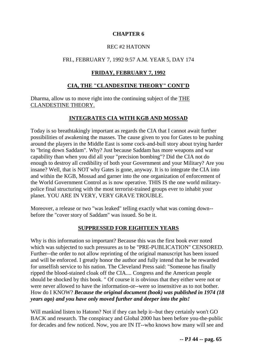## **CHAPTER 6**

## REC #2 HATONN

## FRI., FEBRUARY 7, 1992 9:57 A.M. YEAR 5, DAY 174

## **FRIDAY, FEBRUARY 7, 1992**

## **CIA, THE "CLANDESTINE THEORY" CONT'D**

Dharma, allow us to move right into the continuing subject of the THE CLANDESTINE THEORY.

## **INTEGRATES CIA WITH KGB AND MOSSAD**

Today is so breathtakingly important as regards the CIA that I cannot await further possibilities of awakening the masses. The cause given to you for Gates to be pushing around the players in the Middle East is some cock-and-bull story about trying harder to "bring down Saddam". Why? Just because Saddam has more weapons and war capability than when you did all your "precision bombing"? Did the CIA not do enough to destroy all credibility of both your Government and your Military? Are you insane? Well, that is NOT why Gates is gone, anyway. It is to integrate the CIA into and within the KGB, Mossad and garner into the one organization of enforcement of the World Government Control as is now operative. THIS IS the one world militarypolice final structuring with the most terrorist-trained groups ever to inhabit your planet. YOU ARE IN VERY, VERY GRAVE TROUBLE.

Moreover, a release or two "was leaked" telling exactly what was coming down- before the "cover story of Saddam" was issued. So be it.

## **SUPPRESSED FOR EIGHTEEN YEARS**

Why is this information so important? Because this was the first book ever noted which was subjected to such pressures as to be "PRE-PUBLICATION" CENSORED. Further--the order to not allow reprinting of the original manuscript has been issued and will be enforced. I greatly honor the author and fully intend that he be rewarded for unselfish service to his nation. The Cleveland Press said: "Someone has finally ripped the blood-stained cloak off the CIA.... Congress and the American people should be shocked by this book. " Of course it is obvious that they either were not or were never allowed to have the information-or--were so insensitive as to not bother. How do I KNOW? *Because the original document (book) was published in 1974 (18 years ago) and you have only moved further and deeper into the pits!*

Will mankind listen to Hatonn? Not if they can help it--but they certainly won't GO BACK and research. The conspiracy and Global 2000 has been before you-the-public for decades and few noticed. Now, you are IN IT--who knows how many will see and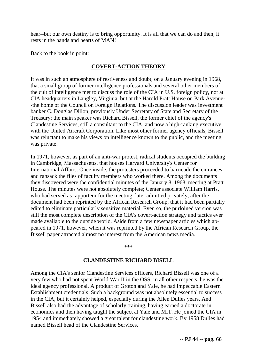hear--but our own destiny is to bring opportunity. It is all that we can do and then, it rests in the hands and hearts of MAN!

Back to the book in point:

## **COVERT-ACTION THEORY**

It was in such an atmosphere of restiveness and doubt, on a January evening in 1968, that a small group of former intelligence professionals and several other members of the cult of intelligence met to discuss the role of the CIA in U.S. foreign policy, not at CIA headquarters in Langley, Virginia, but at the Harold Pratt House on Park Avenue- -the home of the Council on Foreign Relations. The discussion leader was investment banker C. Douglas Dillon, previously Under Secretary of State and Secretary of the Treasury; the main speaker was Richard Bissell, the former chief of the agency's Clandestine Services, still a consultant to the CIA, and now a high-ranking executive with the United Aircraft Corporation. Like most other former agency officials, Bissell was reluctant to make his views on intelligence known to the public, and the meeting was private.

In 1971, however, as part of an anti-war protest, radical students occupied the building in Cambridge, Massachusetts, that houses Harvard University's Center for International Affairs. Once inside, the protesters proceeded to barricade the entrances and ransack the files of faculty members who worked there. Among the documents they discovered were the confidential minutes of the January 8, 1968, meeting at Pratt House. The minutes were not absolutely complete; Center associate William Harris, who had served as rapporteur for the meeting, later admitted privately, after the document had been reprinted by the African Research Group, that it had been partially edited to eliminate particularly sensitive material. Even so, the purloined version was still the most complete description of the CIA's covert-action strategy and tactics ever made available to the outside world. Aside from a few newspaper articles which appeared in 1971, however, when it was reprinted by the African Research Group, the Bissell paper attracted almost no interest from the American news media.

\*\*\*

## **CLANDESTINE RICHARD BISELL**

Among the CIA's senior Clandestine Services officers, Richard Bissell was one of a very few who had not spent World War II in the OSS; in all other respects, he was the ideal agency professional. A product of Groton and Yale, he had impeccable Eastern Establishment credentials. Such a background was not absolutely essential to success in the CIA, but it certainly helped, especially during the Allen Dulles years. And Bissell also had the advantage of scholarly training, having earned a doctorate in economics and then having taught the subject at Yale and MIT. He joined the CIA in 1954 and immediately showed a great talent for clandestine work. By 1958 Dulles had named Bissell head of the Clandestine Services.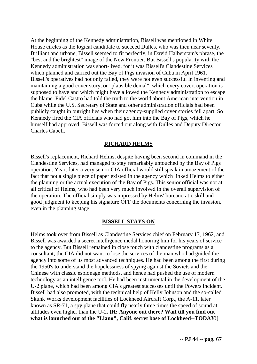At the beginning of the Kennedy administration, Bissell was mentioned in White House circles as the logical candidate to succeed Dulles, who was then near seventy. Brilliant and urbane, Bissell seemed to fit perfectly, in David Halberstam's phrase, the "best and the brightest" image of the New Frontier. But Bissell's popularity with the Kennedy administration was short-lived, for it was Bissell's Clandestine Services which planned and carried out the Bay of Pigs invasion of Cuba in April 1961. Bissell's operatives had not only failed, they were not even successful in inventing and maintaining a good cover story, or "plausible denial", which every covert operation is supposed to have and which might have allowed the Kennedy administration to escape the blame. Fidel Castro had told the truth to the world about American intervention in Cuba while the U.S. Secretary of State and other administration officials had been publicly caught in outright lies when their agency-supplied cover stories fell apart. So Kennedy fired the CIA officials who had got him into the Bay of Pigs, which he himself had approved; Bissell was forced out along with Dulles and Deputy Director Charles Cabell.

#### **RICHARD HELMS**

Bissell's replacement, Richard Helms, despite having been second in command in the Clandestine Services, had managed to stay remarkably untouched by the Bay of Pigs operation. Years later a very senior CIA official would still speak in amazement of the fact that not a single piece of paper existed in the agency which linked Helms to either the planning or the actual execution of the Bay of Pigs. This senior official was not at all critical of Helms, who had been very much involved in the overall supervision of the operation. The official simply was impressed by Helms' bureaucratic skill and good judgment to keeping his signature OFF the documents concerning the invasion, even in the planning stage.

#### **BISSELL STAYS ON**

Helms took over from Bissell as Clandestine Services chief on February 17, 1962, and Bissell was awarded a secret intelligence medal honoring him for his years of service to the agency. But Bissell remained in close touch with clandestine programs as a consultant; the CIA did not want to lose the services of the man who had guided the agency into some of its most advanced techniques. He had been among the first during the 1950's to understand the hopelessness of spying against the Soviets and the Chinese with classic espionage methods, and hence had pushed the use of modern technology as an intelligence tool. He had been instrumental in the development of the U-2 plane, which had been among CIA's greatest successes until the Powers incident. Bissell had also promoted, with the technical help of Kelly Johnson and the so-called Skunk Works development facilities of Lockheed Aircraft Corp., the A-11, later known as SR-71, a spy plane that could fly nearly three times the speed of sound at altitudes even higher than the U-2**. [H: Anyone out there? Wait till you find out what is launched out of the "Llano", Calif. secret base of Lockheed--TODAY!]**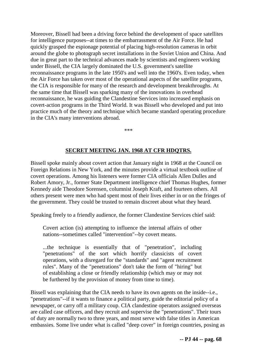Moreover, Bissell had been a driving force behind the development of space satellites for intelligence purposes--at times to the embarrassment of the Air Force. He had quickly grasped the espionage potential of placing high-resolution cameras in orbit around the globe to photograph secret installations in the Soviet Union and China. And due in great part to the technical advances made by scientists and engineers working under Bissell, the CIA largely dominated the U.S. government's satellite reconnaissance programs in the late 1950's and well into the 1960's. Even today, when the Air Force has taken over most of the operational aspects of the satellite programs, the CIA is responsible for many of the research and development breakthroughs. At the same time that Bissell was sparking many of the innovations in overhead reconnaissance, he was guiding the Clandestine Services into increased emphasis on covert-action programs in the Third World. It was Bissell who developed and put into practice much of the theory and technique which became standard operating procedure in the CIA's many interventions abroad.

\*\*\*

#### **SECRET MEETING JAN. 1968 AT CFR HDQTRS.**

Bissell spoke mainly about covert action that January night in 1968 at the Council on Foreign Relations in New York, and the minutes provide a virtual textbook outline of covert operations. Among his listeners were former CIA officials Allen Dulles and Robert Amory, Jr., former State Department intelligence chief Thomas Hughes, former Kennedy aide Theodore Sorensen, columnist Joseph Kraft, and fourteen others. All others present were men who had spent most of their lives either in or on the fringes of the government. They could be trusted to remain discreet about what they heard.

Speaking freely to a friendly audience, the former Clandestine Services chief said:

Covert action (is) attempting to influence the internal affairs of other nations--sometimes called "intervention"--by covert means.

...the technique is essentially that of "penetration", including "penetrations" of the sort which horrify classicists of covert operations, with a disregard for the "standards" and "agent recruitment rules". Many of the "penetrations" don't take the form of "hiring" but of establishing a close or friendly relationship (which may or may not be furthered by the provision of money from time to time).

Bissell was explaining that the CIA needs to have its own agents on the inside--i.e., "penetrations"--if it wants to finance a political party, guide the editorial policy of a newspaper, or carry off a military coup. CIA clandestine operators assigned overseas are called case officers, and they recruit and supervise the "penetrations". Their tours of duty are normally two to three years, and most serve with false titles in American embassies. Some live under what is called "deep cover" in foreign countries, posing as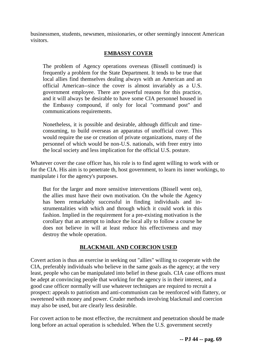businessmen, students, newsmen, missionaries, or other seemingly innocent American visitors.

## **EMBASSY COVER**

The problem of Agency operations overseas (Bissell continued) is frequently a problem for the State Department. It tends to be true that local allies find themselves dealing always with an American and an official American--since the cover is almost invariably as a U.S. government employee. There are powerful reasons for this practice, and it will always be desirable to have some CIA personnel housed in the Embassy compound, if only for local "command post" and communications requirements.

Nonetheless, it is possible and desirable, although difficult and timeconsuming, to build overseas an apparatus of unofficial cover. This would require the use or creation of private organizations, many of the personnel of which would be non-U.S. nationals, with freer entry into the local society and less implication for the official U.S. posture.

Whatever cover the case officer has, his role is to find agent willing to work with or for the CIA. His aim is to penetrate th, host government, to learn its inner workings, to manipulate i for the agency's purposes.

But for the larger and more sensitive interventions (Bissell went on), the allies must have their own motivation. On the whole the Agency has been remarkably successful in finding individuals and instrumentalities with which and through which it could work in this fashion. Implied in the requirement for a pre-existing motivation is the corollary that an attempt to induce the local ally to follow a course he does not believe in will at least reduce his effectiveness and may destroy the whole operation.

## **BLACKMAIL AND COERCION USED**

Covert action is thus an exercise in seeking out "allies" willing to cooperate with the CIA, preferably individuals who believe in the same goals as the agency; at the very least, people who can be manipulated into belief in these goals. CIA case officers must be adept at convincing people that working for the agency is in their interest, and a good case officer normally will use whatever techniques are required to recruit a prospect: appeals to patriotism and anti-communism can be reenforced with flattery, or sweetened with money and power. Cruder methods involving blackmail and coercion may also be used, but are clearly less desirable.

For covert action to be most effective, the recruitment and penetration should be made long before an actual operation is scheduled. When the U.S. government secretly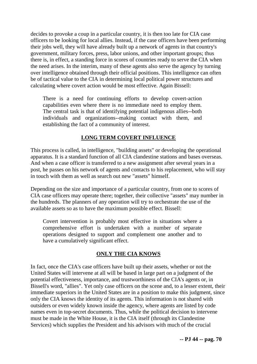decides to provoke a coup in a particular country, it is then too late for CIA case officers to be looking for local allies. Instead, if the case officers have been performing their jobs well, they will have already built up a network of agents in that country's government, military forces, press, labor unions, and other important groups; thus there is, in effect, a standing force in scores of countries ready to serve the CIA when the need arises. In the interim, many of these agents also serve the agency by turning over intelligence obtained through their official positions. This intelligence can often be of tactical value to the CIA in determining local political power structures and calculating where covert action would be most effective. Again Bissell:

There is a need for continuing efforts to develop covert-action capabilities even where there is no immediate need to employ them. The central task is that of identifying potential indigenous allies--both individuals and organizations--making contact with them, and establishing the fact of a community of interest.

## **LONG TERM COVERT INFLUENCE**

This process is called, in intelligence, "building assets" or developing the operational apparatus. It is a standard function of all CIA clandestine stations and bases overseas. And when a case officer is transferred to a new assignment after several years in a post, he passes on his network of agents and contacts to his replacement, who will stay in touch with them as well as search out new "assets" himself.

Depending on the size and importance of a particular country, from one to scores of CIA case officers may operate there; together, their collective "assets" may number in the hundreds. The planners of any operation will try to orchestrate the use of the available assets so as to have the maximum possible effect. Bissell:

Covert intervention is probably most effective in situations where a comprehensive effort is undertaken with a number of separate operations designed to support and complement one another and to have a cumulatively significant effect.

## **ONLY THE CIA KNOWS**

In fact, once the CIA's case officers have built up their assets, whether or not the United States will intervene at all will be based in large part on a judgment of the potential effectiveness, importance, and trustworthiness of the CIA's agents or, in Bissell's word, "allies". Yet only case officers on the scene and, to a lesser extent, their immediate superiors in the United States are in a position to make this judgment, since only the CIA knows the identity of its agents. This information is not shared with outsiders or even widely known inside the agency, where agents are listed by code names even in top-secret documents. Thus, while the political decision to intervene must be made in the White House, it is the CIA itself (through its Clandestine Services) which supplies the President and his advisors with much of the crucial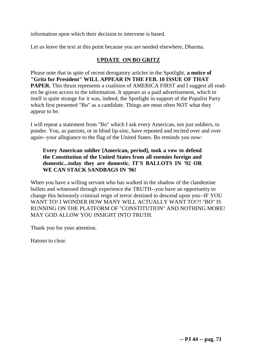information upon which their decision to intervene is based.

Let us leave the text at this point because you are needed elsewhere, Dharma.

# **UPDATE ON BO GRITZ**

Please note that in spite of recent derogatory articles in the Spotlight, **a notice of "Gritz for President" WILL APPEAR IN THE FEB. 10 ISSUE OF THAT PAPER.** This thrust represents a coalition of AMERICA FIRST and I suggest all readers be given access to the information. It appears as a paid advertisement, which in itself is quite strange for it was, indeed, the Spotlight in support of the Populist Party which first presented "Bo" as a candidate. Things are most often NOT what they appear to be.

I will repeat a statement from "Bo" which I ask every American, not just soldiers, to ponder. You, as patriots, or in blind lip-sinc, have repeated and recited over and over again--your allegiance to the flag of the United States. Bo reminds you now:

## **Every American soldier [American, period], took a vow to defend the Constitution of the United States from all enemies foreign and domestic...today they are domestic. IT'S BALLOTS IN '92 OR WE CAN STACK SANDBAGS IN '96!**

When you have a willing servant who has walked in the shadow of the clandestine bullets and witnessed through experience the TRUTH--you have an opportunity to change this heinously criminal reign of terror destined to descend upon you--IF YOU WANT TO! I WONDER HOW MANY WILL ACTUALLY WANT TO!?! "BO" IS RUNNING ON THE PLATFORM OF "CONSTITUTION" AND NOTHING MORE! MAY GOD ALLOW YOU INSIGHT INTO TRUTH.

Thank you for your attention.

Hatonn to clear.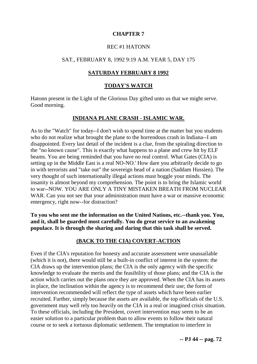## **CHAPTER 7**

### REC #1 HATONN

#### SAT., FEBRUARY 8, 1992 9:19 A.M. YEAR 5, DAY 175

#### **SATURDAY FEBRUARY 8 1992**

#### **TODAY'S WATCH**

Hatonn present in the Light of the Glorious Day gifted unto us that we might serve. Good morning.

#### **INDIANA PLANE CRASH - ISLAMIC WAR.**

As to the "Watch" for today--I don't wish to spend time at the matter but you students who do not realize what brought the plane to the horrendous crash in Indiana--I am disappointed. Every last detail of the incident is a clue, from the spiraling direction to the "no known cause". This is exactly what happens to a plane and crew hit by ELF beams. You are being reminded that you have no real control. What Gates (CIA) is setting up in the Middle East is a real NO-NO.' How dare you arbitrarily decide to go in with terrorists and "take out" the sovereign head of a nation (Saddam Hussien). The very thought of such internationally illegal actions must boggle your minds. The insanity is almost beyond my comprehension. The point is to bring the Islamic world to war--NOW. YOU ARE ONLY A TINY MISTAKEN BREATH FROM NUCLEAR WAR. Can you not see that your administration must have a war or massive economic emergency, right now--for distraction?

**To you who sent me the information on the United Nations, etc.--thank you. You, and it, shall be guarded most carefully. You do great service to an awakening populace. It is through the sharing and daring that this task shall be served.**

### **(BACK TO THE CIA) COVERT-ACTION**

Even if the CIA's reputation for honesty and accurate assessment were unassailable (which it is not), there would still be a built-in conflict of interest in the system: the CIA draws up the intervention plans; the CIA is the only agency with the specific knowledge to evaluate the merits and the feasibility of those plans; and the CIA is the action which carries out the plans once they are approved. When the CIA has its assets in place, the inclination within the agency is to recommend their use; the form of intervention recommended will reflect the type of assets which have been earlier recruited. Further, simply because the assets are available, the top officials of the U.S. government may well rely too heavily on the CIA in a real or imagined crisis situation. To these officials, including the President, covert intervention may seem to be an easier solution to a particular problem than to allow events to follow their natural course or to seek a tortuous diplomatic settlement. The temptation to interfere in

**-- PJ 44 -- pag. 72**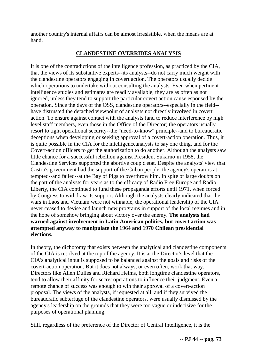another country's internal affairs can be almost irresistible, when the means are at hand.

## **CLANDESTINE OVERRIDES ANALYSIS**

It is one of the contradictions of the intelligence profession, as practiced by the CIA, that the views of its substantive experts--its analysts--do not carry much weight with the clandestine operators engaging in covert action. The operators usually decide which operations to undertake without consulting the analysts. Even when pertinent intelligence studies and estimates are readily available, they are as often as not ignored, unless they tend to support the particular covert action cause espoused by the operation. Since the days of the OSS, clandestine operators--especially in the field- have distrusted the detached viewpoint of analysts not directly involved in covert action. To ensure against contact with the analysts (and to reduce interference by high level staff members, even those in the Office of the Director) the operators usually resort to tight operational security--the "need-to-know" principle--and to bureaucratic deceptions when developing or seeking approval of a covert-action operation. Thus, it is quite possible in the CIA for the intelligenceanalysts to say one thing, and for the Covert-action officers to get the authorization to do another. Although the analysts saw little chance for a successful rebellion against President Sukarno in 1958, the Clandestine Services supported the abortive coup d'etat. Despite the analysts' view that Castro's government had the support of the Cuban people, the agency's operators attempted--and failed--at the Bay of Pigs to overthrow him. In spite of large doubts on the part of the analysts for years as to the efficacy of Radio Free Europe and Radio Liberty, the CIA continued to fund these propaganda efforts until 1971, when forced by Congress to withdraw its support. Although the analysts clearly indicated that the wars in Laos and Vietnam were not winnable, the operational leadership of the CIA never ceased to devise and launch new programs in support of the local regimes and in the hope of somehow bringing about victory over the enemy. **The analysts had warned against involvement in Latin American politics, but covert action was attempted anyway to manipulate the 1964 and 1970 Chilean presidential elections.**

In theory, the dichotomy that exists between the analytical and clandestine components of the CIA is resolved at the top of the agency. It is at the Director's level that the CIA's analytical input is supposed to be balanced against the goals and risks of the covert-action operation. But it does not always, or even often, work that way. Directors like Allen Dulles and Richard Helms, both longtime clandestine operators, tend to allow their affinity for secret operations to influence their judgment. Even a remote chance of success was enough to win their approval of a covert-action proposal. The views of the analysts, if requested at all, and if they survived the bureaucratic subterfuge of the clandestine operators, were usually dismissed by the agency's leadership on the grounds that they were too vague or indecisive for the purposes of operational planning.

Still, regardless of the preference of the Director of Central Intelligence, it is the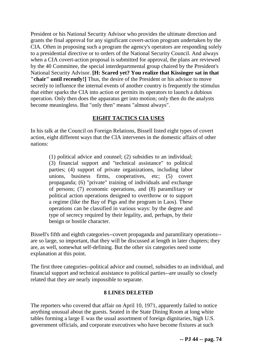President or his National Security Advisor who provides the ultimate direction and grants the final approval for any significant covert-action program undertaken by the CIA. Often in proposing such a program the agency's operators are responding solely to a presidential directive or to orders of the National Security Council. And always when a CIA covert-action proposal is submitted for approval, the plans are reviewed by the 40 Committee, the special interdepartmental group chaired by the President's National Security Advisor. **[H: Scared yet? You realize that Kissinger sat in that "chair" until recently!]** Thus, the desire of the President or his advisor to move secretly to influence the internal events of another country is frequently the stimulus that either sparks the CIA into action or permits its operators to launch a dubious operation. Only then does the apparatus get into motion; only then do the analysts become meaningless. But "only then" means "almost always".

## **EIGHT TACTICS CIA USES**

In his talk at the Council on Foreign Relations, Bissell listed eight types of covert action, eight different ways that the CIA intervenes in the domestic affairs of other nations:

(1) political advice and counsel; (2) subsidies to an individual; (3) financial support and "technical assistance" to political parties; (4) support of private organizations, including labor unions, business firms, cooperatives, etc; (5) covert propaganda; (6) "private" training of individuals and exchange of persons; (7) economic operations, and (8) paramilitary or political action operations designed to overthrow or to support a regime (like the Bay of Pigs and the program in Laos). These operations can be classified in various ways: by the degree and type of secrecy required by their legality, and, perhaps, by their benign or hostile character.

Bissell's fifth and eighth categories--covert propaganda and paramilitary operations- are so large, so important, that they will be discussed at length in later chapters; they are, as well, somewhat self-defining. But the other six categories need some explanation at this point.

The first three categories--political advice and counsel, subsidies to an individual, and financial support and technical assistance to political parties--are usually so closely related that they are nearly impossible to separate.

## **8 LINES DELETED**

The reporters who covered that affair on April 10, 1971, apparently failed to notice anything unusual about the guests. Seated in the State Dining Room at long white tables forming a large E was the usual assortment of foreign dignitaries, high U.S. government officials, and corporate executives who have become fixtures at such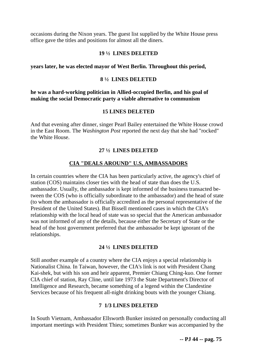occasions during the Nixon years. The guest list supplied by the White House press office gave the titles and positions for almost all the diners.

## **19 ½ LINES DELETED**

### **years later, he was elected mayor of West Berlin. Throughout this period,**

### **8 ½ LINES DELETED**

## **he was a hard-working politician in Allied-occupied Berlin, and his goal of making the social Democratic party a viable alternative to communism**

#### **15 LINES DELETED**

And that evening after dinner, singer Pearl Bailey entertained the White House crowd in the East Room. The *Washington Post* reported the next day that she had "rocked" the White House.

## **27 ½ LINES DELETED**

## **CIA "DEALS AROUND" U.S, AMBASSADORS**

In certain countries where the CIA has been particularly active, the agency's chief of station (COS) maintains closer ties with the head of state than does the U.S. ambassador. Usually, the ambassador is kept informed of the business transacted between the COS (who is officially subordinate to the ambassador) and the head of state (to whom the ambassador is officially accredited as the personal representative of the President of the United States). But Bissell mentioned cases in which the CIA's relationship with the local head of state was so special that the American ambassador was not informed of any of the details, because either the Secretary of State or the head of the host government preferred that the ambassador be kept ignorant of the relationships.

#### **24 ½ LINES DELETED**

Still another example of a country where the CIA enjoys a special relationship is Nationalist China. In Taiwan, however, the CIA's link is not with President Chang Kai-shek, but with his son and heir apparent, Premier Chiang Ching-kuo. One former CIA chief of station, Ray Cline, until late 1973 the State Department's Director of Intelligence and Research, became something of a legend within the Clandestine Services because of his frequent all-night drinking bouts with the younger Chiang.

## **7 1/3 LINES DELETED**

In South Vietnam, Ambassador Ellsworth Bunker insisted on personally conducting all important meetings with President Thieu; sometimes Bunker was accompanied by the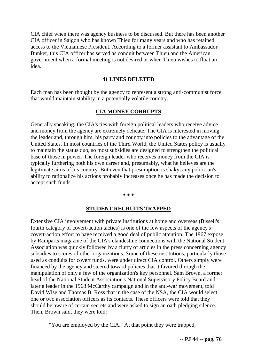CIA chief when there was agency business to be discussed. But there has been another CIA officer in Saigon who has known Thieu for many years and who has retained access to the Vietnamese President. According to a former assistant to Ambassador Bunker, this CIA officer has served as conduit between Thieu and the American government when a formal meeting is not desired or when Thieu wishes to float an idea.

### **41 LINES DELETED**

Each man has been thought by the agency to represent a strong anti-communist force that would maintain stability in a potentially volatile country.

### **CIA MONEY CORRUPTS**

Generally speaking, the CIA's ties with foreign political leaders who receive advice and money from the agency are extremely delicate. The CIA is interested in moving the leader and, through him, his party and country into policies to the advantage of the United States. In most countries of the Third World, the United States policy is usually to maintain the status quo, so most subsidies are designed to strengthen the political base of those in power. The foreign leader who receives money from the CIA is typically furthering both his own career and, presumably, what he believes are the legitimate aims of his country. But even that presumption is shaky; any politician's ability to rationalize his actions probably increases once he has made the decision to accept such funds.

#### **\* \* \***

#### **STUDENT RECRUITS TRAPPED**

Extensive CIA involvement with private institutions at home and overseas (Bissell's fourth category of covert-action tactics) is one of the few aspects of the agency's covert-action effort to have received a good deal of public attention. The 1967 expose by Ramparts magazine of the CIA's clandestine connections with the National Student Association was quickly followed by a flurry of articles in the press concerning agency subsidies to scores of other organizations. Some of these institutions, particularly those used as conduits for covert funds, were under direct CIA control. Others simply were financed by the agency and steered toward policies that it favored through the manipulation of only a few of the organization's key personnel. Sam Brown, a former head of the National Student Association's National Supervisory Policy Board and later a leader in the 1968 McCarthy campaign and in the anti-war movement, told David Wise and Thomas B. Ross that in the case of the NSA, the CIA would select one or two association officers as its contacts. These officers were told that they should be aware of certain secrets and were asked to sign an oath pledging silence. Then, Brown said, they were told:

"You are employed by the CIA." At that point they were trapped,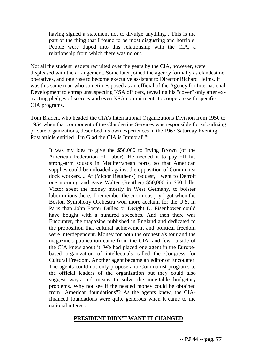having signed a statement not to divulge anything... This is the part of the thing that I found to be most disgusting and horrible. People were duped into this relationship with the CIA, a relationship from which there was no out.

Not all the student leaders recruited over the years by the CIA, however, were displeased with the arrangement. Some later joined the agency formally as clandestine operatives, and one rose to become executive assistant to Director Richard Helms. It was this same man who sometimes posed as an official of the Agency for International Development to entrap unsuspecting NSA officers, revealing his "cover" only after extracting pledges of secrecy and even NSA commitments to cooperate with specific CIA programs.

Tom Braden, who headed the CIA's International Organizations Division from 1950 to 1954 when that component of the Clandestine Services was responsible for subsidizing private organizations, described his own experiences in the 1967 Saturday Evening Post article entitled "I'm Glad the CIA is Immoral' ":

It was my idea to give the \$50,000 to Irving Brown (of the American Federation of Labor). He needed it to pay off his strong-arm squads in Mediterranean ports, so that American supplies could be unloaded against the opposition of Communist dock workers.... At (Victor Reuther's) request, I went to Detroit one morning and gave Walter (Reuther) \$50,000 in \$50 bills. Victor spent the money mostly in West Germany, to bolster labor unions there...I remember the enormous joy I got when the Boston Symphony Orchestra won more acclaim for the U.S. in Paris than John Foster Dulles or Dwight D. Eisenhower could have bought with a hundred speeches. And then there was Encounter, the magazine published in England and dedicated to the proposition that cultural achievement and political freedom were interdependent. Money for both the orchestra's tour and the magazine's publication came from the CIA, and few outside of the CIA knew about it. We had placed one agent in the Europebased organization of intellectuals called the Congress for Cultural Freedom. Another agent became an editor of Encounter. The agents could not only propose anti-Communist programs to the official leaders of the organization but they could also suggest ways and means to solve the inevitable budgetary problems. Why not see if the needed money could be obtained from "American foundations"? As the agents knew, the CIAfinanced foundations were quite generous when it came to the national interest.

### **PRESIDENT DIDN'T WANT IT CHANGED**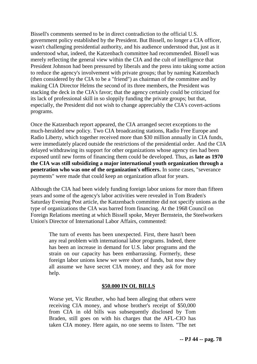Bissell's comments seemed to be in direct contradiction to the official U.S. government policy established by the President. But Bissell, no longer a CIA officer, wasn't challenging presidential authority, and his audience understood that, just as it understood what, indeed, the Katzenbach committee had recommended. Bissell was merely reflecting the general view within the CIA and the cult of intelligence that President Johnson had been pressured by liberals and the press into taking some action to reduce the agency's involvement with private groups; that by naming Katzenbach (then considered by the CIA to be a "friend") as chairman of the committee and by making CIA Director Helms the second of its three members, the President was stacking the deck in the CIA's favor; that the agency certainly could be criticized for its lack of professional skill in so sloppily funding the private groups; but that, especially, the President did not wish to change appreciably the CIA's covert-actions programs.

Once the Katzenbach report appeared, the CIA arranged secret exceptions to the much-heralded new policy. Two CIA broadcasting stations, Radio Free Europe and Radio Liberty, which together received more than \$30 million annually in CIA funds, were immediately placed outside the restrictions of the presidential order. And the CIA delayed withdrawing its support for other organizations whose agency ties had been exposed until new forms of financing them could be developed. Thus, as **late as 1970 the CIA was still subsidizing a major international youth organization through a penetration who was one of the organization's officers.** In some cases, "severance payments" were made that could keep an organization afloat for years.

Although the CIA had been widely funding foreign labor unions for more than fifteen years and some of the agency's labor activities were revealed in Tom Braden's Saturday Evening Post article, the Katzenbach committee did not specify unions as the type of organizations the CIA was barred from financing. At the 1968 Council on Foreign Relations meeting at which Bissell spoke, Meyer Bernstein, the Steelworkers Union's Director of International Labor Affairs, commented:

The turn of events has been unexpected. First, there hasn't been any real problem with international labor programs. Indeed, there has been an increase in demand for U.S. labor programs and the strain on our capacity has been embarrassing. Formerly, these foreign labor unions knew we were short of funds, but now they all assume we have secret CIA money, and they ask for more help.

## **\$50.000 IN OL BILLS**

Worse yet, Vic Reuther, who had been alleging that others were receiving CIA money, and whose brother's receipt of \$50,000 from CIA in old bills was subsequently disclosed by Tom Braden, still goes on with his charges that the AFL-CIO has taken CIA money. Here again, no one seems to listen. "The net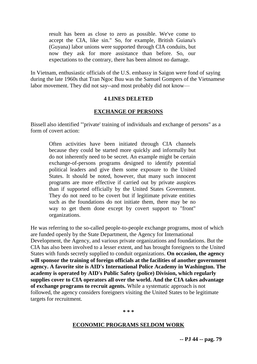result has been as close to zero as possible. We've come to accept the CIA, like sin." So, for example, British Guiana's (Guyana) labor unions were supported through CIA conduits, but now they ask for more assistance than before. So, our expectations to the contrary, there has been almost no damage.

In Vietnam, enthusiastic officials of the U.S. embassy in Saigon were fond of saying during the late 1960s that Tran Ngoc Buu was the Samuel Gompers of the Vietnamese labor movement. They did not say--and most probably did not know—

### **4 LINES DELETED**

#### **EXCHANGE OF PERSONS**

Bissell also identified "'private' training of individuals and exchange of persons" as a form of covert action:

Often activities have been initiated through CIA channels because they could be started more quickly and informally but do not inherently need to be secret. An example might be certain exchange-of-persons programs designed to identify potential political leaders and give them some exposure to the United States. It should be noted, however, that many such innocent programs are more effective if carried out by private auspices than if supported officially by the United States Government. They do not need to be covert but if legitimate private entities such as the foundations do not initiate them, there may be no way to get them done except by covert support to "front" organizations.

He was referring to the so-called people-to-people exchange programs, most of which are funded openly by the State Department, the Agency for International Development, the Agency, and various private organizations and foundations. But the CIA has also been involved to a lesser extent, and has brought foreigners to the United States with funds secretly supplied to conduit organizations. **On occasion, the agency will sponsor the training of foreign officials at the facilities of another government agency. A favorite site is AID's International Police Academy in Washington. The academy is operated by AID's Public Safety (police) Division, which regularly supplies cover to CIA operators all over the world. And the CIA takes advantage of exchange programs to recruit agents.** While a systematic approach is not followed, the agency considers foreigners visiting the United States to be legitimate targets for recruitment.

#### **\* \* \***

#### **ECONOMIC PROGRAMS SELDOM WORK**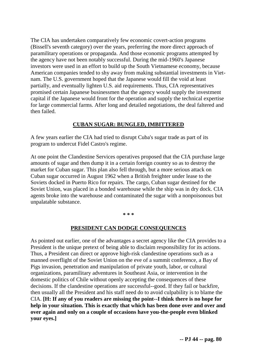The CIA has undertaken comparatively few economic covert-action programs (Bissell's seventh category) over the years, preferring the more direct approach of paramilitary operations or propaganda. And those economic programs attempted by the agency have not been notably successful. During the mid-1960's Japanese investors were used in an effort to build up the South Vietnamese economy, because American companies tended to shy away from making substantial investments in Vietnam. The U.S. government hoped that the Japanese would fill the void at least partially, and eventually lighten U.S. aid requirements. Thus, CIA representatives promised certain Japanese businessmen that the agency would supply the investment capital if the Japanese would front for the operation and supply the technical expertise for large commercial farms. After long and detailed negotiations, the deal faltered and then failed.

## **CUBAN SUGAR: BUNGLED, IMBITTERED**

A few years earlier the CIA had tried to disrupt Cuba's sugar trade as part of its program to undercut Fidel Castro's regime.

At one point the Clandestine Services operatives proposed that the CIA purchase large amounts of sugar and then dump it in a certain foreign country so as to destroy the market for Cuban sugar. This plan also fell through, but a more serious attack on Cuban sugar occurred in August 1962 when a British freighter under lease to the Soviets docked in Puerto Rico for repairs. The cargo, Cuban sugar destined for the Soviet Union, was placed in a bonded warehouse while the ship was in dry dock. CIA agents broke into the warehouse and contaminated the sugar with a nonpoisonous but unpalatable substance.

**\* \* \***

### **PRESIDENT CAN DODGE CONSEQUENCES**

As pointed out earlier, one of the advantages a secret agency like the CIA provides to a President is the unique pretext of being able to disclaim responsibility for its actions. Thus, a President can direct or approve high-risk clandestine operations such as a manned overflight of the Soviet Union on the eve of a summit conference, a Bay of Pigs invasion, penetration and manipulation of private youth, labor, or cultural organizations, paramilitary adventures in Southeast Asia, or intervention in the domestic politics of Chile without openly accepting the consequences of these decisions. If the clandestine operations are successful--good. If they fail or backfire, then usually all the President and his staff need do to avoid culpability is to blame the CIA. **[H: If any of you readers are missing the point--I think there is no hope for help in your situation. This is exactly that which has been done over and over and over again and only on a couple of occasions have you-the-people even blinked your eyes.]**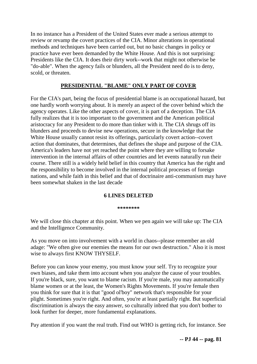In no instance has a President of the United States ever made a serious attempt to review or revamp the covert practices of the CIA. Minor alterations in operational methods and techniques have been carried out, but no basic changes in policy or practice have ever been demanded by the White House. And this is not surprising: Presidents like the CIA. It does their dirty work--work that might not otherwise be "do-able". When the agency fails or blunders, all the President need do is to deny, scold, or threaten.

# **PRESIDENTIAL "BLAME" ONLY PART OF COVER**

For the CIA's part, being the focus of presidential blame is an occupational hazard, but one hardly worth worrying about. It is merely an aspect of the cover behind which the agency operates. Like the other aspects of cover, it is part of a deception. The CIA fully realizes that it is too important to the government and the American political aristocracy for any President to do more than tinker with it. The CIA shrugs off its blunders and proceeds to devise new operations, secure in the knowledge that the White House usually cannot resist its offerings, particularly covert action--covert action that dominates, that determines, that defines the shape and purpose of the CIA. America's leaders have not yet reached the point where they are willing to forsake intervention in the internal affairs of other countries and let events naturally run their course. There still is a widely held belief in this country that America has the right and the responsibility to become involved in the internal political processes of foreign nations, and while faith in this belief and that of doctrinaire anti-communism may have been somewhat shaken in the last decade

## **6 LINES DELETED**

**\*\*\*\*\*\*\*\***

We will close this chapter at this point. When we pen again we will take up: The CIA and the Intelligence Community.

As you move on into involvement with a world in chaos--please remember an old adage: "We often give our enemies the means for our own destruction." Also it is most wise to always first KNOW THYSELF.

Before you can know your enemy, you must know your self. Try to recognize your own biases, and take them into account when you analyze the cause of your troubles. If you're black, sure, you want to blame racism. If you're male, you may automatically blame women or at the least, the Women's Rights Movements. If you're female then you think for sure that it is that "good ol'boy" network that's responsible for your plight. Sometimes you're right. And often, you're at least partially right. But superficial discrimination is always the easy answer, so culturally inbred that you don't bother to look further for deeper, more fundamental explanations.

Pay attention if you want the real truth. Find out WHO is getting rich, for instance. See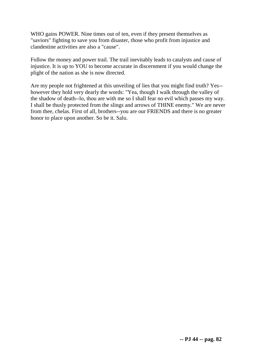WHO gains POWER. Nine times out of ten, even if they present themselves as "saviors" fighting to save you from disaster, those who profit from injustice and clandestine activities are also a "cause".

Follow the money and power trail. The trail inevitably leads to catalysts and cause of injustice. It is up to YOU to become accurate in discernment if you would change the plight of the nation as she is now directed.

Are my people not frightened at this unveiling of lies that you might find truth? Yes- however they hold very dearly the words: "Yea, though I walk through the valley of the shadow of death--lo, thou are with me so I shall fear no evil which passes my way. I shall be thusly protected from the slings and arrows of THINE enemy." We are never from thee, chelas. First of all, brothers--you are our FRIENDS and there is no greater honor to place upon another. So be it. Salu.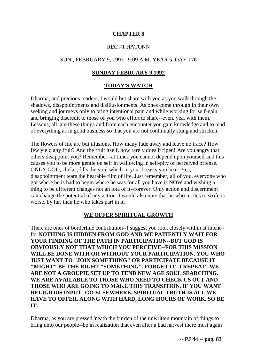## **CHAPTER 8**

### REC #1 HATONN

### SUN., FEBRUARY 9, 1992 9:09 A.M. YEAR 5, DAY 176

#### **SUNDAY FEBRUARY 9 1992**

#### **TODAY'S WATCH**

Dharma, and precious readers, I would but share with you as you walk through the shadows, disappointments and disillusionments. As ones come through in their own seeking and journeys only to bring intentional pain and while working for self-gain and bringing discredit to those of you who effort to share--even, yea, with them. Lessons, all, are these things and from each encounter you gain knowledge and to tend of everything as in good business so that you are not continually stung and stricken.

The flowers of life are but illusions. How many fade away and leave no trace? How few yield any fruit? And the fruit itself, how rarely does it ripen! Are you angry that others disappoint you? Remember--at times you cannot depend upon yourself and this causes you to be more gentle on self in wallowing in self-pity of perceived offense. ONLY GOD, chelas, fills the void which in your breasts you bear. Yes, disappointment tears the bearable film of life. Just remember, all of you, everyone who got where he is had to begin where he was for all you have is NOW and wishing a thing to be different changes not an iota of it--forever. Only action and discernment can change the potential of any action. I would also note that he who incites to strife is worse, by far, than he who takes part in it.

#### **WE OFFER SPIRITUAL GROWTH**

There are ones of borderline contribution--I suggest you look closely within at intent- for **NOTHING IS HIDDEN FROM GOD AND WE PATIENTLY WAIT FOR YOUR FINDING OF THE PATH IN PARTICIPATION--BUT GOD IS OBVIOUSLY NOT THAT WHICH YOU PERCEIVE--FOR THIS MISSION WILL BE DONE WITH OR WITHOUT YOUR PARTICIPATION. YOU WHO JUST WANT TO "JOIN SOMETHING" OR PARTICIPATE BECAUSE IT "MIGHT" BE THE RIGHT "SOMETHING". FORGET IT--I REPEAT--WE ARE NOT A GROUPIE SET UP TO TEND NEW AGE SOUL SEARCHING. WE ARE AVAILABLE TO THOSE WHO NEED TO CHECK US OUT AND THOSE WHO ARE GOING TO MAKE THIS TRANSITION. IF YOU WANT RELIGIOUS INPUT--GO ELSEWHERE. SPIRITUAL TRUTH IS ALL WE HAVE TO OFFER, ALONG WITH HARD, LONG HOURS OF WORK. SO BE IT.**

Dharma, as you are pressed 'neath the burden of the unwritten mountain of things to bring unto our people--be in realization that even after a bad harvest there must again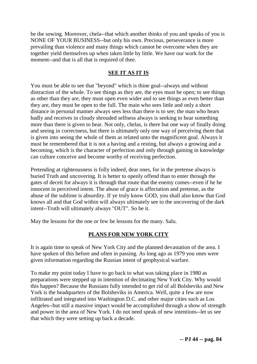be the sowing. Moreover, chela--that which another thinks of you and speaks of you is NONE OF YOUR BUSINESS--but only his own. Precious, perseverance is more prevailing than violence and many things which cannot be overcome when they are together yield themselves up when taken little by little. We have our work for the moment--and that is all that is required of thee.

## **SEE IT AS IT IS**

You must be able to see that "beyond" which is thine goal--always and without distraction of the whole. To see things as they are, the eyes must be open; to see things as other than they are, they must open even wider and to see things as even better than they are, they must be open to the full. The main who sees little and only a short distance in personal manner always sees less than there is to see; the man who hears badly and receives in cloudy shrouded selfness always is seeking to hear something more than there is given to hear. Not only, chelas, is there but one way of finally doing and seeing in correctness, but there is ultimately only one way of perceiving them that is given into seeing the whole of them as related unto the magnificent goal. Always it must be remembered that it is not a having and a resting, but always a growing and a becoming, which is the character of perfection and only through gaining in knowledge can culture conceive and become worthy of receiving perfection.

Pretending at righteousness is folly indeed, dear ones, for in the pretense always is buried Truth and uncovering. It is better to openly offend than to enter through the gates of deceit for always it is through that route that the enemy comes--even if he be innocent in perceived intent. The abuse of grace is affectation and pretense, as the abuse of the sublime is absurdity. If ye truly know GOD, you shall also know that God knows all and that God within will always ultimately see to the uncovering of the dark intent--Truth will ultimately always "OUT". So be it.

May the lessons for the one or few be lessons for the many. Salu.

# **PLANS FOR NEW YORK CITY**

It is again time to speak of New York City and the planned devastation of the area. I have spoken of this before and often in passing. As long ago as 1979 you ones were given information regarding the Russian intent of geophysical warfare.

To make my point today I have to go back to what was taking place in 1980 as preparations were stepped up in intention of decimating New York City. Why would this happen? Because the Russians fully intended to get rid of all Bolsheviks and New York is the headquarters of the Bolsheviks in America. Well, quite a few are now infiltrated and integrated into Washington D.C. and other major cities such as Los Angeles--but still a massive impact would be accomplished through a show of strength and power in the area of New York. I do not need speak of new intentions--let us see that which they were setting up back a decade.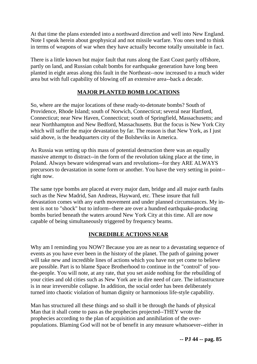At that time the plans extended into a northward direction and well into New England. Note I speak herein about geophysical and not missile warfare. You ones tend to think in terms of weapons of war when they have actually become totally unsuitable in fact.

There is a little known but major fault that runs along the East Coast partly offshore, partly on land, and Russian cobalt bombs for earthquake generation have long been planted in eight areas along this fault in the Northeast--now increased to a much wider area but with full capability of blowing off an extensive area--back a decade.

# **MAJOR PLANTED BOMB LOCATIONS**

So, where are the major locations of these ready-to-detonate bombs? South of Providence, Rhode Island; south of Norwich, Connecticut; several near Hartford, Connecticut; near New Haven, Connecticut; south of Springfield, Massachusetts; and near Northhampton and New Bedford, Massachusetts. But the focus is New York City which will suffer the major devastation by far. The reason is that New York, as I just said above, is the headquarters city of the Bolsheviks in America.

As Russia was setting up this mass of potential destruction there was an equally massive attempt to distract--in the form of the revolution taking place at the time, in Poland. Always beware widespread wars and revolutions--for they ARE ALWAYS precursors to devastation in some form or another. You have the very setting in point- right now.

The same type bombs are placed at every major dam, bridge and all major earth faults such as the New Madrid, San Andreas, Hayward, etc. These insure that full devastation comes with any earth movement and under planned circumstances. My intent is not to "shock" but to inform--there are over a hundred earthquake-producing bombs buried beneath the waters around New York City at this time. All are now capable of being simultaneously triggered by frequency beams.

# **INCREDIBLE ACTIONS NEAR**

Why am I reminding you NOW? Because you are as near to a devastating sequence of events as you have ever been in the history of the planet. The path of gaining power will take new and incredible lines of actions which you have not yet come to believe are possible. Part is to blame Space Brotherhood to continue in the "control" of youthe-people. You will note, at any rate, that you set aside nothing for the rebuilding of your cities and old cities such as New York are in dire need of care. The infrastructure is in near irreversible collapse. In addition, the social order has been deliberately turned into chaotic violation of human dignity or harmonious life-style capability.

Man has structured all these things and so shall it be through the hands of physical Man that it shall come to pass as the prophecies projected--THEY wrote the prophecies according to the plan of acquisition and annihilation of the overpopulations. Blaming God will not be of benefit in any measure whatsoever--either in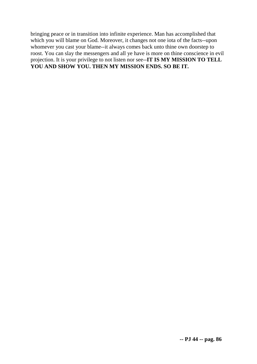bringing peace or in transition into infinite experience. Man has accomplished that which you will blame on God. Moreover, it changes not one iota of the facts--upon whomever you cast your blame--it always comes back unto thine own doorstep to roost. You can slay the messengers and all ye have is more on thine conscience in evil projection. It is your privilege to not listen nor see--**IT IS MY MISSION TO TELL YOU AND SHOW YOU. THEN MY MISSION ENDS. SO BE IT.**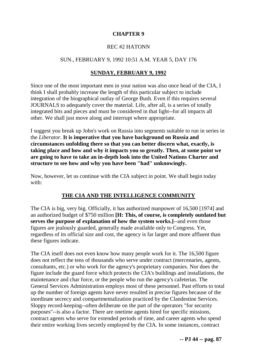## **CHAPTER 9**

## REC #2 HATONN

## SUN., FEBRUARY 9, 1992 10:51 A.M. YEAR 5, DAY 176

## **SUNDAY, FEBRUARY 9, 1992**

Since one of the most important men in your nation was also once head of the CIA, I think I shall probably increase the length of this particular subject to include integration of the biographical outlay of George Bush. Even if this requires several JOURNALS to adequately cover the material. Life, after all, is a series of totally integrated bits and pieces and must be considered in that light--for all impacts all other. We shall just move along and interrupt where appropriate.

I suggest you break up John's work on Russia into segments suitable to run in series in the *Liberator.* **It is imperative that you have background on Russia and circumstances unfolding there so that you can better discern what, exactly, is taking place and how and why it impacts you so greatly. Then, at some point we are going to have to take an in-depth look into the United Nations Charter and structure to see how and why you have been "had" unknowingly.**

Now, however, let us continue with the CIA subject in point. We shall begin today with:

# **THE CIA AND THE INTELLIGENCE COMMUNITY**

The CIA is big, very big. Officially, it has authorized manpower of 16,500 [1974] and an authorized budget of \$750 million **[H: This, of course, is completely outdated but serves the purpose of explanation of how the system works.]**--and even those figures are jealously guarded, generally made available only to Congress. Yet, regardless of its official size and cost, the agency is far larger and more affluent than these figures indicate.

The CIA itself does not even know how many people work for it. The 16,500 figure does not reflect the tens of thousands who serve under contract (mercenaries, agents, consultants, etc.) or who work for the agency's proprietary companies. Nor does the figure include the guard force which protects the CIA's buildings and installations, the maintenance and char force, or the people who run the agency's cafeterias. The General Services Administration employs most of these personnel. Past efforts to total up the number of foreign agents have never resulted in precise figures because of the inordinate secrecy and compartmentalization practiced by the Clandestine Services. Sloppy record-keeping--often deliberate on the part of the operators "for security purposes"--is also a factor. There are onetime agents hired for specific missions, contract agents who serve for extended periods of time, and career agents who spend their entire working lives secretly employed by the CIA. In some instances, contract

**-- PJ 44 -- pag. 87**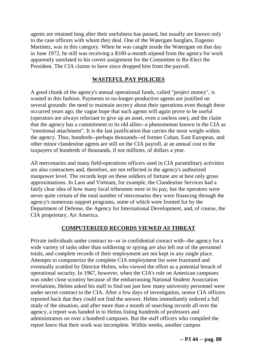agents are retained long after their usefulness has passed, but usually are known only to the case officers with whom they deal. One of the Watergate burglars, Eugenio Martinez, was in this category. When he was caught inside the Watergate on that day in June 1972, he still was receiving a \$100-a-month stipend from the agency for work apparently unrelated to his covert assignment for the Committee to Re-Elect the President. The CIA claims to have since dropped him from the payroll.

## **WASTEFUL PAY POLICIES**

A good chunk of the agency's annual operational funds, called "project money", is wasted in this fashion. Payments to no-longer-productive agents are justified on several grounds: the need to maintain secrecy about their operations even though these occurred years ago; the vague hope that such agents will again prove to be useful (operators are always reluctant to give up an asset, even a useless one), and the claim that the agency has a commitment to its old allies--a phenomenon known in the CIA as "emotional attachment". It is the last justification that carries the most weight within the agency. Thus, hundreds--perhaps thousands--of former Cuban, East European, and other minor clandestine agents are still on the CIA payroll, at an annual cost to the taxpayers of hundreds of thousands, if not millions, of dollars a year.

All mercenaries and many field-operations officers used in CIA paramilitary activities are also contractees and, therefore, are not reflected in the agency's authorized manpower level. The records kept on these soldiers of fortune are at best only gross approximations. In Laos and Vietnam, for example, the Clandestine Services had a fairly clear idea of how many local tribesmen were in its pay, but the operators were never quite certain of the total number of mercenaries they were financing through the agency's numerous support programs, some of which were fronted for by the Department of Defense, the Agency for International Development, and, of course, the CIA proprietary, Air America.

## **COMPUTERIZED RECORDS VIEWED AS THREAT**

Private individuals under contract to--or in confidential contact with--the agency for a wide variety of tasks other than soldiering or spying are also left out of the personnel totals, and complete records of their employment are not kept in any single place. Attempts to computerize the complete CIA employment list were frustrated and eventually scuttled by Director Helms, who viewed the effort as a potential breach of operational security. In 1967, however, when the CIA's role on American campuses was under close scrutiny because of the embarrassing National Student Association revelations, Helms asked his staff to find out just how many university personnel were under secret contract to the CIA. After a few days of investigation, senior CIA officers reported back that they could not find the answer. Helms immediately ordered a full study of the situation, and after more than a month of searching records all over the agency, a report was handed in to Helms listing hundreds of professors and administrators on over a hundred campuses. But the staff officers who compiled the report knew that their work was incomplete. Within weeks, another campus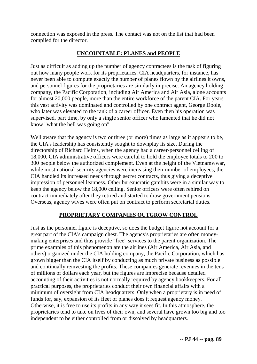connection was exposed in the press. The contact was not on the list that had been compiled for the director.

## **UNCOUNTABLE: PLANES and PEOPLE**

Just as difficult as adding up the number of agency contractees is the task of figuring out how many people work for its proprietaries. CIA headquarters, for instance, has never been able to compute exactly the number of planes flown by the airlines it owns, and personnel figures for the proprietaries are similarly imprecise. An agency holding company, the Pacific Corporation, including Air America and Air Asia, alone accounts for almost 20,000 people, more than the entire workforce of the parent CIA. For years this vast activity was dominated and controlled by one contract agent, George Doole, who later was elevated to the rank of a career officer. Even then his operation was supervised, part time, by only a single senior officer who lamented that he did not know "what the hell was going on".

Well aware that the agency is two or three (or more) times as large as it appears to be, the CIA's leadership has consistently sought to downplay its size. During the directorship of Richard Helms, when the agency had a career-personnel ceiling of 18,000, CIA administrative officers were careful to hold the employee totals to 200 to 300 people below the authorized complement. Even at the height of the Vietnamwwar, while most national-security agencies were increasing their number of employees, the CIA handled its increased needs through secret contracts, thus giving a deceptive impression of personnel leanness. Other bureaucratic gambits were in a similar way to keep the agency below the 18,000 ceiling. Senior officers were often rehired on contract immediately after they retired and started to draw government pensions. Overseas, agency wives were often put on contract to perform secretarial duties.

# **PROPRIETARY COMPANIES OUTGROW CONTROL**

Just as the personnel figure is deceptive, so does the budget figure not account for a great part of the CIA's campaign chest. The agency's proprietaries are often moneymaking enterprises and thus provide "free" services to the parent organization. The prime examples of this phenomenon are the airlines (Air America, Air Asia, and others) organized under the CIA holding company, the Pacific Corporation, which has grown bigger than the CIA itself by conducting as much private business as possible and continually reinvesting the profits. These companies generate revenues in the tens of millions of dollars each year, but the figures are imprecise because detailed accounting of their activities is not normally required by agency bookkeepers. For all practical purposes, the proprietaries conduct their own financial affairs with a minimum of oversight from CIA headquarters. Only when a proprietary is in need of funds for, say, expansion of its fleet of planes does it request agency money. Otherwise, it is free to use its profits in any way it sees fit. In this atmosphere, the proprietaries tend to take on lives of their own, and several have grown too big and too independent to be either controlled from or dissolved by headquarters.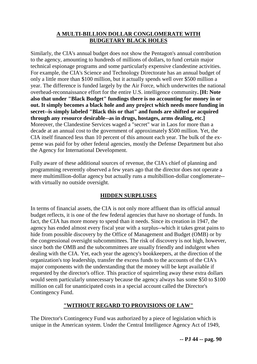## **A MULTI-BILLION DOLLAR CONGLOMERATE WITH BUDGETARY BLACK HOLES**

Similarly, the CIA's annual budget does not show the Pentagon's annual contribution to the agency, amounting to hundreds of millions of dollars, to fund certain major technical espionage programs and some particularly expensive clandestine activities. For example, the CIA's Science and Technology Directorate has an annual budget of only a little more than \$100 million, but it actually spends well over \$500 million a year. The difference is funded largely by the Air Force, which underwrites the national overhead-reconnaissance effort for the entire U.S. intelligence community**. [H: Note also that under "Black Budget" fundings there is no accounting for money in or out. It simply becomes a black hole and any project which needs more funding in secret--is simply labeled "Black this or that" and funds are shifted or acquired through any resource desirable--as in drugs, hostages, arms dealing, etc.]** Moreover, the Clandestine Services waged a "secret" war in Laos for more than a decade at an annual cost to the government of approximately \$500 million. Yet, the CIA itself financed less than 10 percent of this amount each year. The bulk of the expense was paid for by other federal agencies, mostly the Defense Department but also the Agency for International Development.

Fully aware of these additional sources of revenue, the CIA's chief of planning and programming reverently observed a few years ago that the director does not operate a mere multimillion-dollar agency but actually runs a multibillion-dollar conglomerate- with virtually no outside oversight.

# **HIDDEN SURPLUSES**

In terms of financial assets, the CIA is not only more affluent than its official annual budget reflects, it is one of the few federal agencies that have no shortage of funds. In fact, the CIA has more money to spend than it needs. Since its creation in 1947, the agency has ended almost every fiscal year with a surplus--which it takes great pains to hide from possible discovery by the Office of Management and Budget (OMB) or by the congressional oversight subcommittees. The risk of discovery is not high, however, since both the OMB and the subcommittees are usually friendly and indulgent when dealing with the CIA. Yet, each year the agency's bookkeepers, at the direction of the organization's top leadership, transfer the excess funds to the accounts of the CIA's major components with the understanding that the money will be kept available if requested by the director's office. This practice of squirreling away these extra dollars would seem particularly unnecessary because the agency always has some \$50 to \$100 million on call for unanticipated costs in a special account called the Director's Contingency Fund.

# **"WITHOUT REGARD TO PROVISIONS OF LAW"**

The Director's Contingency Fund was authorized by a piece of legislation which is unique in the American system. Under the Central Intelligence Agency Act of 1949,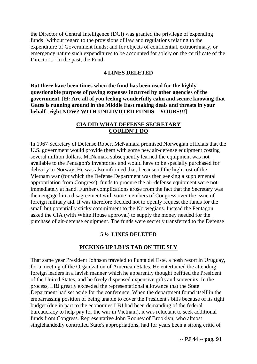the Director of Central Intelligence (DCI) was granted the privilege of expending funds "without regard to the provisions of law and regulations relating to the expenditure of Government funds; and for objects of confidential, extraordinary, or emergency nature such expenditures to be accounted for solely on the certificate of the Director..." In the past, the Fund

### **4 LINES DELETED**

**But there have been times when the fund has been used for the highly questionable purpose of paying expenses incurred by other agencies of the government. [H: Are all of you feeling wonderfully calm and secure knowing that Gates is running around in the Middle East making deals and threats in your behalf--right NOW? WITH UNLIIVIITED FUNDS—YOURS!!!]**

## **CIA DID WHAT DEFENSE SECRETARY COULDN'T DO**

In 1967 Secretary of Defense Robert McNamara promised Norwegian officials that the U.S. government would provide them with some new air-defense equipment costing several million dollars. McNamara subsequently learned the equipment was not available to the Pentagon's inventories and would have to be specially purchased for delivery to Norway. He was also informed that, because of the high cost of the Vietnam war (for which the Defense Department was then seeking a supplemental appropriation from Congress), funds to procure the air-defense equipment were not immediately at hand. Further complications arose from the fact that the Secretary was then engaged in a disagreement with some members of Congress over the issue of foreign military aid. It was therefore decided not to openly request the funds for the small but potentially sticky commitment to the Norwegians. Instead the Pentagon asked the CIA (with White House approval) to supply the money needed for the purchase of air-defense equipment. The funds were secretly transferred to the Defense

### **5 ½ LINES DELETED**

## **PICKING UP LBJ'S TAB ON THE SLY**

That same year President Johnson traveled to Punta del Este, a posh resort in Uruguay, for a meeting of the Organization of American States. He entertained the attending foreign leaders in a lavish manner which he apparently thought befitted the President of the United States, and he freely dispensed expensive gifts and souvenirs. In the process, LBJ greatly exceeded the representational allowance that the State Department had set aside for the conference. When the department found itself in the embarrassing position of being unable to cover the President's bills because of its tight budget (due in part to the economies LBJ had been demanding of the federal bureaucracy to help pay for the war in Vietnam), it was reluctant to seek additional funds from Congress. Representative John Rooney of Brooklyn, who almost singlehandedly controlled State's appropriations, had for years been a strong critic of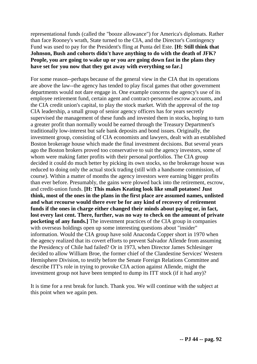representational funds (called the "booze allowance") for America's diplomats. Rather than face Rooney's wrath, State turned to the CIA, and the Director's Contingency Fund was used to pay for the President's fling at Punta del Este. **[H: Still think that Johnson, Bush and cohorts didn't have anything to do with the death of JFK? People, you are going to wake up or you are going down fast in the plans they have set for you now that they got away with everything so far.]**

For some reason--perhaps because of the general view in the CIA that its operations are above the law--the agency has tended to play fiscal games that other government departments would not dare engage in. One example concerns the agency's use of its employee retirement fund, certain agent and contract-personnel escrow accounts, and the CIA credit union's capital, to play the stock market. With the approval of the top CIA leadership, a small group of senior agency officers has for years secretly supervised the management of these funds and invested them in stocks, hoping to turn a greater profit than normally would be earned through the Treasury Department's traditionally low-interest but safe bank deposits and bond issues. Originally, the investment group, consisting of CIA economists and lawyers, dealt with an established Boston brokerage house which made the final investment decisions. But several years ago the Boston brokers proved too conservative to suit the agency investors, some of whom were making fatter profits with their personal portfolios. The CIA group decided it could do much better by picking its own stocks, so the brokerage house was reduced to doing only the actual stock trading (still with a handsome commission, of course). Within a matter of months the agency investors were earning bigger profits than ever before. Presumably, the gains were plowed back into the retirement, escrow, and credit-union funds. **[H: This makes Keating look like small potatoes! Just think, most of the ones in the plans in the first place are assumed names, unlisted and what recourse would there ever be for any kind of recovery of retirement funds if the ones in charge either changed their minds about paying or, in fact, lost every last cent. There, further, was no way to check on the amount of private pocketing of any funds.]** The investment practices of the CIA group in companies with overseas holdings open up some interesting questions about "insider" information. Would the CIA group have sold Anaconda Copper short in 1970 when the agency realized that its covert efforts to prevent Salvador Allende from assuming the Presidency of Chile had failed? Or in 1973, when Director James Schlesinger decided to allow William Broe, the former chief of the Clandestine Services' Western Hemisphere Division, to testify before the Senate Foreign Relations Committee and describe ITT's role in trying to provoke CIA action against Allende, might the investment group not have been tempted to dump its ITT stock (if it had any)?

It is time for a rest break for lunch. Thank you. We will continue with the subject at this point when we again pen.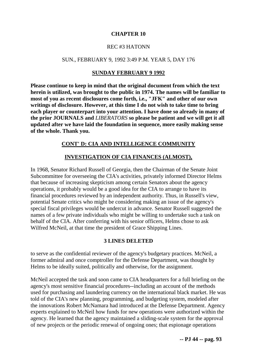### **CHAPTER 10**

### REC #3 HATONN

#### SUN., FEBRUARY 9, 1992 3:49 P.M. YEAR 5, DAY 176

#### **SUNDAY FEBRUARY 9 1992**

**Please continue to keep in mind that the original document from which the text herein is utilized, was brought to the public in 1974. The names will be familiar to most of you as recent disclosures come forth, i.e., "JFK" and other of our own writings of disclosure. However, at this time I do not wish to take time to bring each player or counterpart into your attention. I have done so already in many of the prior JOURNALS and** *LIBERATORS* **so please be patient and we will get it all updated after we have laid the foundation in sequence, more easily making sense of the whole. Thank you.**

#### **CONT' D: CIA AND INTELLIGENCE COMMUNITY**

#### **INVESTIGATION OF CIA FINANCES (ALMOST),**

In 1968, Senator Richard Russell of Georgia, then the Chairman of the Senate Joint Subcommittee for overseeing the CIA's activities, privately informed Director Helms that because of increasing skepticism among certain Senators about the agency operations, it probably would be a good idea for the CIA to arrange to have its financial procedures reviewed by an independent authority. Thus, in Russell's view, potential Senate critics who might be considering making an issue of the agency's special fiscal privileges would be undercut in advance. Senator Russell suggested the names of a few private individuals who might be willing to undertake such a task on behalf of the CIA. After conferring with his senior officers, Helms chose to ask Wilfred McNeil, at that time the president of Grace Shipping Lines.

### **3 LINES DELETED**

to serve as the confidential reviewer of the agency's budgetary practices. McNeil, a former admiral and once comptroller for the Defense Department, was thought by Helms to be ideally suited, politically and otherwise, for the assignment.

McNeil accepted the task and soon came to CIA headquarters for a full briefing on the agency's most sensitive financial procedures--including an account of the methods used for purchasing and laundering currency on the international black market. He was told of the CIA's new planning, programming, and budgeting system, modeled after the innovations Robert McNamara had introduced at the Defense Department. Agency experts explained to McNeil how funds for new operations were authorized within the agency. He learned that the agency maintained a sliding-scale system for the approval of new projects or the periodic renewal of ongoing ones; that espionage operations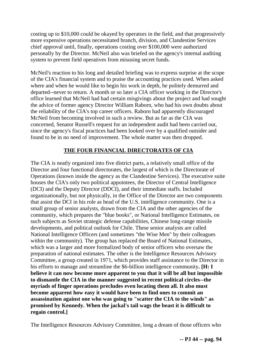costing up to \$10,000 could be okayed by operators in the field, and that progressively more expensive operations necessitated branch, division, and Clandestine Services chief approval until, finally, operations costing over \$100,000 were authorized personally by the Director. McNeil also was briefed on the agency's internal auditing system to prevent field operatives from misusing secret funds.

McNeil's reaction to his long and detailed briefing was to express surprise at the scope of the CIA's financial system and to praise the accounting practices used. When asked where and when he would like to begin his work in depth, he politely demurred and departed--never to return. A month or so later a CIA officer working in the Director's office learned that McNeil had had certain misgivings about the project and had sought the advice of former agency Director William Raborn, who had his own doubts about the reliability of the CIA's top career officers. Raborn had apparently discouraged McNeil from becoming involved in such a review. But as far as the CIA was concerned, Senator Russell's request for an independent audit had been carried out, since the agency's fiscal practices had been looked over by a qualified outsider and found to be in no need of improvement. The whole matter was then dropped.

## **THE FOUR FINANCIAL DIRECTORATES OF CIA**

The CIA is neatly organized into five district parts, a relatively small office of the Director and four functional directorates, the largest of which is the Directorate of Operations (known inside the agency as the Clandestine Services). The executive suite houses the CIA's only two political appointees, the Director of Central Intelligence (DCI) and the Deputy Director (DDCI), and their immediate staffs. Included organizationally, but not physically, in the Office of the Director are two components that assist the DCI in his role as head of the U.S. intelligence community. One is a small group of senior analysts, drawn from the CIA and the other agencies of the community, which prepares the "blue books", or National Intelligence Estimates, on such subjects as Soviet strategic defense capabilities, Chinese long-range missile developments, and political outlook for Chile. These senior analysts are called National Intelligence Officers (and sometimes "the Wise Men" by their colleagues within the community). The group has replaced the Board of National Estimates, which was a larger and more formalized body of senior officers who oversaw the preparation of national estimates. The other is the Intelligence Resources Advisory Committee, a group created in 1971, which provides staff assistance to the Director in his efforts to manage and streamline the \$6-billion intelligence community**. [H: I believe it can now become more apparent to you that it will be all but impossible to dismantle the CIA in the manner suggested in recent political circles--the myriads of finger operations precludes even locating them all. It also must become apparent how easy it would have been to find ones to commit an assassination against one who was going to "scatter the CIA to the winds" as promised by Kennedy. When the jackal's tail wags the beast it is difficult to regain control.]**

The Intelligence Resources Advisory Committee, long a dream of those officers who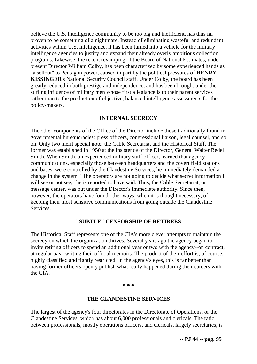believe the U.S. intelligence community to be too big and inefficient, has thus far proven to be something of a nightmare. Instead of eliminating wasteful and redundant activities within U.S. intelligence, it has been turned into a vehicle for the military intelligence agencies to justify and expand their already overly ambitious collection programs. Likewise, the recent revamping of the Board of National Estimates, under present Director William Colby, has been characterized by some experienced hands as "a sellout" to Pentagon power, caused in part by the political pressures of **HENRY KISSINGER**'s National Security Council staff. Under Colby, the board has been greatly reduced in both prestige and independence, and has been brought under the stifling influence of military men whose first allegiance is to their parent services rather than to the production of objective, balanced intelligence assessments for the policy-makers.

## **INTERNAL SECRECY**

The other components of the Office of the Director include those traditionally found in governmental bureaucracies: press officers, congressional liaison, legal counsel, and so on. Only two merit special note: the Cable Secretariat and the Historical Staff. The former was established in 1950 at the insistence of the Director, General Walter Bedell Smith. When Smith, an experienced military staff officer, learned that agency communications, especially those between headquarters and the covert field stations and bases, were controlled by the Clandestine Services, he immediately demanded a change in the system. "The operators are not going to decide what secret information I will see or not see," he is reported to have said. Thus, the Cable Secretariat, or message center, was put under the Director's immediate authority. Since then, however, the operators have found other ways, when it is thought necessary, of keeping their most sensitive communications from going outside the Clandestine Services.

### **"SUBTLE" CENSORSHIP OF RETIREES**

The Historical Staff represents one of the CIA's more clever attempts to maintain the secrecy on which the organization thrives. Several years ago the agency began to invite retiring officers to spend an additional year or two with the agency--on contract, at regular pay--writing their official memoirs. The product of their effort is, of course, highly classified and tightly restricted. In the agency's eyes, this is far better than having former officers openly publish what really happened during their careers with the CIA.

#### **\* \* \***

#### **THE CLANDESTINE SERVICES**

The largest of the agency's four directorates in the Directorate of Operations, or the Clandestine Services, which has about 6,000 professionals and clericals. The ratio between professionals, mostly operations officers, and clericals, largely secretaries, is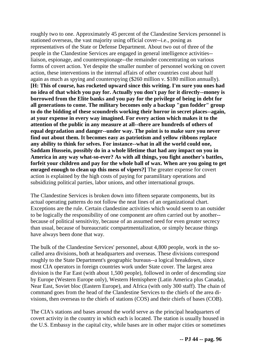roughly two to one. Approximately 45 percent of the Clandestine Services personnel is stationed overseas, the vast majority using official cover--i.e., posing as representatives of the State or Defense Department. About two out of three of the people in the Clandestine Services are engaged in general intelligence activities- liaison, espionage, and counterespionage--the remainder concentrating on various forms of covert action. Yet despite the smaller number of personnel working on covert action, these interventions in the internal affairs of other countries cost about half again as much as spying and counterspying (\$260 million v. \$180 million annually). **[H: This of course, has rocketed upward since this writing. I'm sure you ones had no idea of that which you pay for. Actually you don't pay for it directly--money is borrowed from the Elite banks and you pay for the privilege of being in debt for all generations to come. The military becomes only a backup "gun fodder" group to do the bidding of these scoundrels working their horror in secret places--again, at your expense in every way imagined. For every action which makes it to the attention of the public in any measure at all--there are hundreds of others of equal degradation and danger--under way. The point is to make sure you never find out about them. It becomes easy as patriotism and yellow ribbons replace any ability to think for selves. For instance--what in all the world could one, Saddam Hussein, possibly do in a whole lifetime that had any impact on you in America in any way what-so-ever? As with all things, you fight another's battles, forfeit your children and pay for the whole ball of wax. When are you going to get enraged enough to clean up this mess of vipers?]** The greater expense for covert action is explained by the high costs of paying for paramilitary operations and subsidizing political parties, labor unions, and other international groups.

The Clandestine Services is broken down into fifteen separate components, but its actual operating patterns do not follow the neat lines of an organizational chart. Exceptions are the rule. Certain clandestine activities which would seem to an outsider to be logically the responsibility of one component are often carried out by another- because of political sensitivity, because of an assumed need for even greater secrecy than usual, because of bureaucratic compartmentalization, or simply because things have always been done that way.

The bulk of the Clandestine Services' personnel, about 4,800 people, work in the socalled area divisions, both at headquarters and overseas. These divisions correspond roughly to the State Department's geographic bureaus--a logical breakdown, since most CIA operators in foreign countries work under State cover. The largest area division is the Far East (with about 1,500 people), followed in order of descending size by Europe (Western Europe only), Western Hemisphere (Latin America plus Canada), Near East, Soviet bloc (Eastern Europe), and Africa (with only 300 staff). The chain of command goes from the head of the Clandestine Services to the chiefs of the area divisions, then overseas to the chiefs of stations (COS) and their chiefs of bases (COB).

The CIA's stations and bases around the world serve as the principal headquarters of covert activity in the country in which each is located. The station is usually housed in the U.S. Embassy in the capital city, while bases are in other major cities or sometimes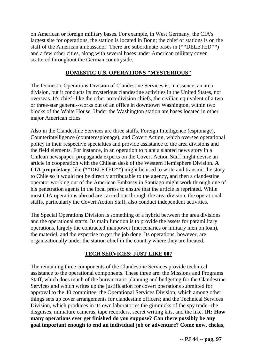on American or foreign military bases. For example, in West Germany, the CIA's largest site for operations, the station is located in Bonn; the chief of stations is on the staff of the American ambassador. There are subordinate bases in (\*\*DELETED\*\*) and a few other cities, along with several bases under American military cover scattered throughout the German countryside.

# **DOMESTIC U.S. OPERATIONS "MYSTERIOUS"**

The Domestic Operations Division of Clandestine Services is, in essence, an area division, but it conducts its mysterious clandestine activities in the United States, not overseas. It's chief--like the other area-division chiefs, the civilian equivalent of a two or three-star general--works out of an office in downtown Washington, within two blocks of the White House. Under the Washington station are bases located in other major American cities.

Also in the Clandestine Services are three staffs, Foreign Intelligence (espionage), Counterintelligence (counterespionage), and Covert Action, which oversee operational policy in their respective specialties and provide assistance to the area divisions and the field elements. For instance, in an operation to plant a slanted news story in a Chilean newspaper, propaganda experts on the Covert Action Staff might devise an article in cooperation with the Chilean desk of the Western Hemisphere Division. **A CIA proprietary**, like (\*\*DELETED\*\*) might be used to write and transmit the story to Chile so it would not be directly attributable to the agency, and then a clandestine operator working out of the American Embassy in Santiago might work through one of his penetration agents in the local press to ensure that the article is reprinted. While most CIA operations abroad are carried out through the area division, the operational staffs, particularly the Covert Action Staff, also conduct independent activities.

The Special Operations Division is something of a hybrid between the area divisions and the operational staffs. Its main function is to provide the assets for paramilitary operations, largely the contracted manpower (mercenaries or military men on loan), the materiel, and the expertise to get the job done. Its operations, however, are organizationally under the station chief in the country where they are located.

# **TECH SERVICES: JUST LIKE 007**

The remaining three components of the Clandestine Services provide technical assistance to the operational components. These three are: the Missions and Programs Staff, which does much of the bureaucratic planning and budgeting for the Clandestine Services and which writes up the justification for covert operations submitted for approval to the 40 committee; the Operational Services Division, which among other things sets up cover arrangements for clandestine officers; and the Technical Services Division, which produces in its own laboratories the gimmicks of the spy trade--the disguises, miniature cameras, tape recorders, secret writing kits, and the like. **[H: How many operations ever get finished do you suppose? Can there possibly be any goal important enough to end an individual job or adventure? Come now, chelas,**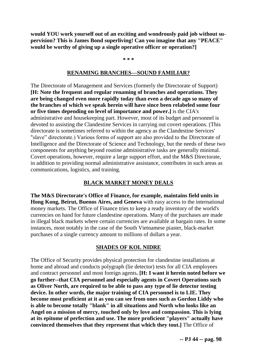**would YOU work yourself out of an exciting and wondrously paid job without supervision? This is James Bond superliving! Can you imagine that any "PEACE" would be worthy of giving up a single operative officer or operation?]**

**\* \* \***

### **RENAMING BRANCHES—SOUND FAMILIAR?**

The Directorate of Management and Services (formerly the Directorate of Support) **[H: Note the frequent and regular renaming of branches and operations. They are being changed even more rapidly today than even a decade ago so many of the branches of which we speak herein will have since been relabeled some four or five times depending on level of importance and power.]** is the CIA's administrative and housekeeping part. However, most of its budget and personnel is devoted to assisting the Clandestine Services in carrying out covert operations. (This directorate is sometimes referred to within the agency as the Clandestine Services' "slave" directorate.) Various forms of support are also provided to the Directorate of Intelligence and the Directorate of Science and Technology, but the needs of these two components for anything beyond routine administrative tasks are generally minimal. Covert operations, however, require a large support effort, and the M&S Directorate, in addition to providing normal administrative assistance, contributes in such areas as communications, logistics, and training.

## **BLACK MARKET MONEY DEALS**

**The M&S Directorate's Office of Finance, for example, maintains field units in Hong Kong, Beirut, Buenos Aires, and Geneva** with easy access to the international money markets. The Office of Finance tries to keep a ready inventory of the world's currencies on hand for future clandestine operations. Many of the purchases are made in illegal black markets where certain currencies are available at bargain rates. In some instances, most notably in the case of the South Vietnamese piaster, black-market purchases of a single currency amount to millions of dollars a year.

### **SHADES OF KOL NIDRE**

The Office of Security provides physical protection for clandestine installations at home and abroad and conducts polygraph (lie detector) tests for all CIA employees and contract personnel and most foreign agents**. [H: I want it herein noted before we go further--that CIA personnel and especially agents in Covert Operations such as Oliver North, are required to be able to pass any type of lie detector testing device. In other words, the major training of CIA personnel is to LIE. They become most proficient at it as you can see from ones such as Gordon Liddy who is able to become totally "blank" in all situations and North who looks like an Angel on a mission of mercy, touched only by love and compassion. This is lying at its epitome of perfection and use. The more proficient "players" actually have convinced themselves that they represent that which they tout.]** The Office of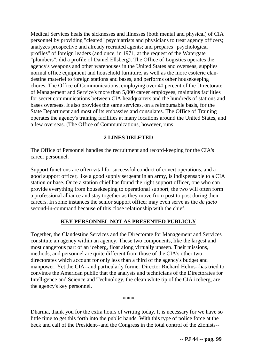Medical Services heals the sicknesses and illnesses (both mental and physical) of CIA personnel by providing "cleared" psychiatrists and physicians to treat agency officers; analyzes prospective and already recruited agents; and prepares "psychological profiles" of foreign leaders (and once, in 1971, at the request of the Watergate "plumbers", did a profile of Daniel Ellsberg). The Office of Logistics operates the agency's weapons and other warehouses in the United States and overseas, supplies normal office equipment and household furniture, as well as the more esoteric clandestine materiel to foreign stations and bases, and performs other housekeeping chores. The Office of Communications, employing over 40 percent of the Directorate of Management and Service's more than 5,000 career employees, maintains facilities for secret communications between CIA headquarters and the hundreds of stations and bases overseas. It also provides the same services, on a reimbursable basis, for the State Department and most of its embassies and consulates. The Office of Training operates the agency's training facilities at many locations around the United States, and a few overseas. (The Office of Communications, however, runs

## **2 LINES DELETED**

The Office of Personnel handles the recruitment and record-keeping for the CIA's career personnel.

Support functions are often vital for successful conduct of covert operations, and a good support officer, like a good supply sergeant in an army, is indispensable to a CIA station or base. Once a station chief has found the right support officer, one who can provide everything from housekeeping to operational support, the two will often form a professional alliance and stay together as they move from post to post during their careers. In some instances the senior support officer may even serve as the *de facto*  second-in-command because of this close relationship with the chief.

# **KEY PERSONNEL NOT AS PRESENTED PUBLICLY**

Together, the Clandestine Services and the Directorate for Management and Services constitute an agency within an agency. These two components, like the largest and most dangerous part of an iceberg, float along virtually unseen. Their missions, methods, and personnel are quite different from those of the CIA's other two directorates which account for only less than a third of the agency's budget and manpower. Yet the CIA--and particularly former Director Richard Helms--has tried to convince the American public that the analysts and technicians of the Directorates for Intelligence and Science and Technology, the clean white tip of the CIA iceberg, are the agency's key personnel.

\* \* \*

Dharma, thank you for the extra hours of writing today. It is necessary for we have so little time to get this forth into the public hands. With this type of police force at the beck and call of the President--and the Congress in the total control of the Zionists--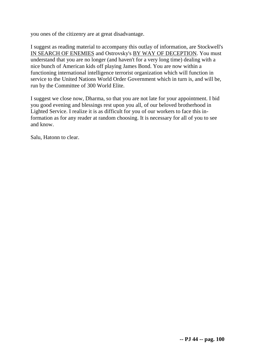you ones of the citizenry are at great disadvantage.

I suggest as reading material to accompany this outlay of information, are Stockwell's IN SEARCH OF ENEMIES and Ostrovsky's BY WAY OF DECEPTION. You must understand that you are no longer (and haven't for a very long time) dealing with a nice bunch of American kids off playing James Bond. You are now within a functioning international intelligence terrorist organization which will function in service to the United Nations World Order Government which in turn is, and will be, run by the Committee of 300 World Elite.

I suggest we close now, Dharma, so that you are not late for your appointment. I bid you good evening and blessings rest upon you all, of our beloved brotherhood in Lighted Service. I realize it is as difficult for you of our workers to face this information as for any reader at random choosing. It is necessary for all of you to see and know.

Salu, Hatonn to clear.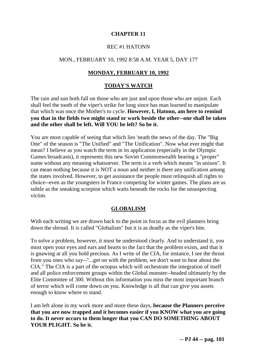## **CHAPTER 11**

## REC #1 HATONN

## MON., FEBRUARY 10, 1992 8:58 A.M. YEAR 5, DAY 177

## **MONDAY, FEBRUARY 10, 1992**

## **TODAY'S WATCH**

The rain and sun both fall on those who are just and upon those who are unjust. Each shall feel the tooth of the viper's strike for long since has man learned to manipulate that which was once the Mother's to cycle. **However, I, Hatonn, am here to remind you that in the fields two might stand or work beside the other--one shall be taken and the other shall be left. Will YOU be left? So be it.**

You are most capable of seeing that which lies 'neath the news of the day. The "Big One" of the season is "The Unified" and "The Unification". Now what ever might that mean? I believe as you watch the term in its application (especially in the Olympic Games broadcasts), it represents this new Soviet Commonwealth bearing a "proper" name without any meaning whatsoever. The term is a verb which means "in unison". It can mean nothing because it is NOT a noun and neither is there any unification among the states involved. However, to get assistance the people must relinquish all rights to choice--even as the youngsters in France competing for winter games. The plans are as subtle as the sneaking scorpion which waits beneath the rocks for the unsuspecting victim.

### **GLOBALISM**

With each writing we are drawn back to the point in focus as the evil planners bring down the shroud. It is called "Globalism" but it is as deadly as the viper's bite.

To solve a problem, however, it must be understood clearly. And to understand it, you must open your eyes and ears and hearts to the fact that the problem exists, and that it is gnawing at all you hold precious. As I write of the CIA, for instance, I see the thrust from you ones who say--"...get on with the problem, we don't want to hear about the CIA." The CIA is a part of the octopus which will orchestrate the integration of itself and all police enforcement groups within the Global monster--headed ultimately by the Elite Committee of 300. Without this information you miss the most important branch of terror which will come down on you. Knowledge is all that can give you assets enough to know where to stand.

I am left alone in my work more and more these days, **because the Planners perceive that you are now trapped and it becomes easier if you KNOW what you are going to do. It never occurs to them longer that you CAN DO SOMETHING ABOUT YOUR PLIGHT. So be it.**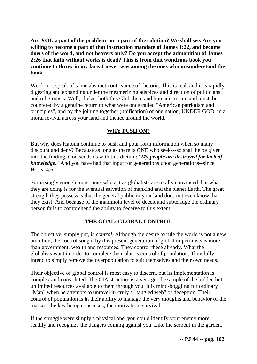**Are YOU a part of the problem--or a part of the solution? We shall see. Are you willing to become a part of that instruction mandate of James 1:22, and become doers of the word, and not hearers only? Do you accept the admonition of James 2:26 that faith without works is dead? This is from that wondrous book you continue to throw in my face. I never was among the ones who misunderstood the book.**

We do not speak of some abstract contrivance of rhetoric. This is real, and it is rapidly digesting and expanding under the mesmerizing auspices and direction of politicians and religionists. Well, chelas, both this Globalism and humanism can, and must, be countered by a genuine return to what were once called "American patriotism and principles", and by the joining together (unification) of one nation, UNDER GOD, in a moral revival across your land and thence around the world.

## **WHY PUSH ON?**

But why does Hatonn continue to push and pour forth information when so many discount and deny? Because as long as there is ONE who seeks--so shall he be given into the finding. God sends us with this dictum: "*My people are destroyed for lack of knowledge*." And you have had that input for generations upon generations--since Hosea 4:6.

Surprisingly enough, most ones who act as globalists are totally convinced that what they are doing is for the eventual salvation of mankind and the planet Earth. The great strength they possess is that the general public in your land does not even know that they exist. And because of the mammoth level of deceit and subterfuge the ordinary person fails to comprehend the ability to deceive to this extent.

# **THE GOAL: GLOBAL CONTROL**

The objective, simply put, is *control*. Although the desire to rule the world is not a new ambition, the control sought by this present generation of global imperialists is more than government, wealth and resources. They control these already. What the globalists want in order to complete their plan is control of population. They fully intend to simply remove the overpopulation to suit themselves and their own needs.

Their objective of global control is most easy to discern, but its implementation is complex and convoluted. The CIA structure is a very good example of the hidden but unlimited resources available to them through you. It is mind-boggling for ordinary "Man" when he attempts to unravel it--truly a "tangled web" of deception. Their control of population is in their ability to manage the very thoughts and behavior of the masses: the key being consensus; the motivation, survival.

If the struggle were simply a physical one, you could identify your enemy more readily and recognize the dangers coming against you. Like the serpent in the garden,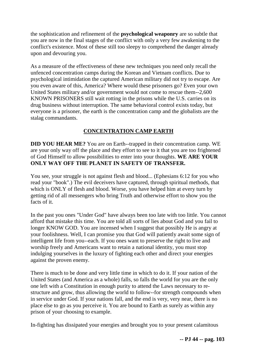the sophistication and refinement of the **psychological weaponry** are so subtle that you are now in the final stages of the conflict with only a very few awakening to the conflict's existence. Most of these still too sleepy to comprehend the danger already upon and devouring you.

As a measure of the effectiveness of these new techniques you need only recall the unfenced concentration camps during the Korean and Vietnam conflicts. Due to psychological intimidation the captured American military did not try to escape. Are you even aware of this, America? Where would these prisoners go? Even your own United States military and/or government would not come to rescue them--2,600 KNOWN PRISONERS still wait rotting in the prisons while the U.S. carries on its drug business without interruption. The same behavioral control exists today, but everyone is a prisoner, the earth is the concentration camp and the globalists are the stalag commandants.

# **CONCENTRATION CAMP EARTH**

**DID YOU HEAR ME?** You are on Earth--trapped in their concentration camp. WE are your only way off the place and they effort to see to it that you are too frightened of God Himself to allow possibilities to enter into your thoughts. **WE ARE YOUR ONLY WAY OFF THE PLANET IN SAFETY OF TRANSFER.**

You see, your struggle is not against flesh and blood... (Ephesians 6:12 for you who read your "book".) The evil deceivers have captured, through spiritual methods, that which is ONLY of flesh and blood. Worse, you have helped him at every turn by getting rid of all messengers who bring Truth and otherwise effort to show you the facts of it.

In the past you ones "Under God" have always been too late with too little. You cannot afford that mistake this time. You are told all sorts of lies about God and you fail to longer KNOW GOD. You are incensed when I suggest that possibly He is angry at your foolishness. Well, I can promise you that God will patiently await some sign of intelligent life from you--each. If you ones want to preserve the right to live and worship freely and Americans want to retain a national identity, you must stop indulging yourselves in the luxury of fighting each other and direct your energies against the proven enemy.

There is much to be done and very little time in which to do it. If your nation of the United States (and America as a whole) falls, so falls the world for you are the only one left with a Constitution in enough purity to attend the Laws necessary to restructure and grow, thus allowing the world to follow--for strength compounds when in service under God. If your nations fall, and the end is very, very near, there is no place else to go as you perceive it. You are bound to Earth as surely as within any prison of your choosing to example.

In-fighting has dissipated your energies and brought you to your present calamitous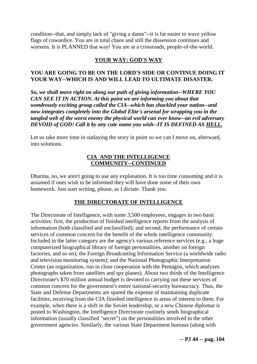condition--that, and simply lack of "giving a damn"--it is far easier to wave yellow flags of cowardice. You are in total chaos and still the dissension continues and worsens. It is PLANNED that way! You are at a crossroads, people-of-the-world.

# **YOUR WAY: GOD'S WAY**

## **YOU ARE GOING TO BE ON THE LORD'S SIDE OR CONTINUE DOING IT YOUR WAY--WHICH IS AND WILL LEAD TO ULTIMATE DISASTER.**

*So, we shall move right on along our path of giving information--WHERE YOU CAN SEE IT IN ACTION. At this point we are informing you about that wondrously exciting group called the CIA--which has shackled your nation--and now integrates completely into the Global Elite's arsenal for wrapping you in the tangled web of the worst enemy the physical world can ever know--an evil adversary DEVOID of GOD! Call it by any cute name you wish--IT IS DEFINED AS HELL.*

Let us take more time in outlaying the story in point so we can I move on, afterward, into solutions.

## **CIA AND THE INTELLIGENCE COMMUNITY--CONTINUED**

Dharma, no, we aren't going to use any explanation. It is too time consuming and it is assumed if ones wish to be informed they will have done some of their own homework. Just start writing, please, as I dictate. Thank you.

# **THE DIRECTORATE OF INTELLIGENCE**

The Directorate of Intelligence, with some 3,500 employees, engages in two basic activities: first, the production of finished intelligence reports from the analysis of information (both classified and unclassified); and second, the performance of certain services of common concern for the benefit of the whole intelligence community. Included in the latter category are the agency's various reference services (e.g., a huge computerized biographical library of foreign personalities, another on foreign factories, and so on); the Foreign Broadcasting Information Service (a worldwide radio and television monitoring system); and the National Photographic Interpretation Center (an organization, run in close cooperation with the Pentagon, which analyzes photographs taken from satellites and spy planes). About two thirds of the Intelligence Directorate's \$70 million annual budget is devoted to carrying out these services of common concern for the government's entire national-security bureaucracy. Thus, the State and Defense Departments are spared the expense of maintaining duplicate facilities, receiving from the CIA finished intelligence in areas of interest to them. For example, when there is a shift in the Soviet leadership, or a new Chinese diplomat is posted to Washington, the Intelligence Directorate routinely sends biographical information (usually classified "secret") on the personalities involved to the other government agencies. Similarly, the various State Department bureaus (along with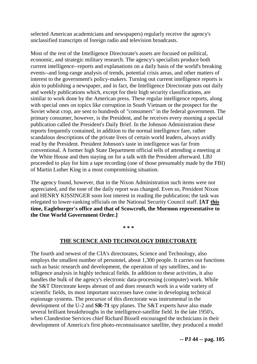selected American academicians and newspapers) regularly receive the agency's unclassified transcripts of foreign radio and television broadcasts.

Most of the rest of the Intelligence Directorate's assets are focused on political, economic, and strategic military research. The agency's specialists produce both current intelligence--reports and explanations on a daily basis of the world's breaking events--and long-range analysis of trends, potential crisis areas, and other matters of interest to the government's policy-makers. Turning out current intelligence reports is akin to publishing a newspaper, and in fact, the Intelligence Directorate puts out daily and weekly publications which, except for their high security classifications, are similar to work done by the American press. These regular intelligence reports, along with special ones on topics like corruption in South Vietnam or the prospect for the Soviet wheat crop, are sent to hundreds of "consumers" in the federal government. The primary consumer, however, is the President, and he receives every morning a special publication called the President's Daily Brief. In the Johnson Administration these reports frequently contained, in addition to the normal intelligence fare, rather scandalous descriptions of the private lives of certain world leaders, always avidly read by the President. President Johnson's taste in intelligence was far from conventional. A former high State Department official tells of attending a meeting at the White House and then staying on for a talk with the President afterward. LBJ proceeded to play for him a tape recording (one of those presumably made by the FBI) of Martin Luther King in a most compromising situation.

The agency found, however, that in the Nixon Administration such items were not appreciated, and the tone of the daily report was changed. Even so, President Nixon and HENRY KISSINGER soon lost interest in reading the publication; the task was relegated to lower-ranking officials on the National Security Council staff. **[AT this time, Eagleburger's office and that of Scowcroft, the Mormon representative to the One World Government Order.]**

**\* \* \***

## **THE SCIENCE AND TECHNOLOGY DIRECTORATE**

The fourth and newest of the CIA's directorates, Science and Technology, also employs the smallest number of personnel, about 1,300 people. It carries out functions such as basic research and development, the operation of spy satellites, and intelligence analysis in highly technical fields. In addition to these activities, it also handles the bulk of the agency's electronic data-processing (computer) work. While the S&T Directorate keeps abreast of and does research work in a wide variety of scientific fields, its most important successes have come in developing technical espionage systems. The precursor of this directorate was instrumental in the development of the U-2 and **SR-71** spy planes. The S&T experts have also made several brilliant breakthroughs in the intelligence-satellite field. In the late 1950's, when Clandestine Services chief Richard Bissell encouraged the technicians in their development of America's first photo-reconnaissance satellite, they produced a model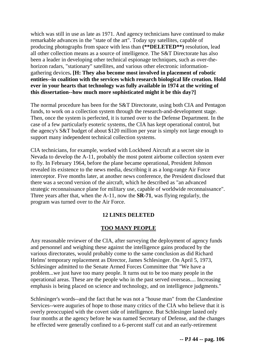which was still in use as late as 1971. And agency technicians have continued to make remarkable advances in the "state of the art". Today spy satellites, capable of producing photographs from space with less than **(\*\*DELETED\*\*)** resolution, lead all other collection means as a source of intelligence. The S&T Directorate has also been a leader in developing other technical espionage techniques, such as over-thehorizon radars, "stationary" satellites, and various other electronic informationgathering devices**. [H: They also become most involved in placement of robotic entities--in coalition with the services which research biological life creation. Hold ever in your hearts that technology was fully available in 1974 at the writing of this dissertation--how much more sophisticated might it be this day?]**

The normal procedure has been for the S&T Directorate, using both CIA and Pentagon funds, to work on a collection system through the research-and-development stage. Then, once the system is perfected, it is turned over to the Defense Department. In the case of a few particularly esoteric systems, the CIA has kept operational control, but the agency's S&T budget of about \$120 million per year is simply not large enough to support many independent technical collection systems.

CIA technicians, for example, worked with Lockheed Aircraft at a secret site in Nevada to develop the A-11, probably the most potent airborne collection system ever to fly. In February 1964, before the plane became operational, President Johnson revealed its existence to the news media, describing it as a long-range Air Force interceptor. Five months later, at another news conference, the President disclosed that there was a second version of the aircraft, which he described as "an advanced strategic reconnaissance plane for military use, capable of worldwide reconnaissance". Three years after that, when the A-11, now the **SR-71**, was flying regularly, the program was turned over to the Air Force.

## **12 LINES DELETED**

### **TOO MANY PEOPLE**

Any reasonable reviewer of the CIA, after surveying the deployment of agency funds and personnel and weighing these against the intelligence gains produced by the various directorates, would probably come to the same conclusion as did Richard Helms' temporary replacement as Director, James Schlesinger. On April 5, 1973, Schlesinger admitted to the Senate Armed Forces Committee that "We have a problem...we just have too many people. It turns out to be too many people in the operational areas. These are the people who in the past served overseas.... Increasing emphasis is being placed on science and technology, and on intelligence judgments."

Schlesinger's words--and the fact that he was not a "house man" from the Clandestine Services--were auguries of hope to those many critics of the CIA who believe that it is overly preoccupied with the covert side of intelligence. But Schlesinger lasted only four months at the agency before he was named Secretary of Defense, and the changes he effected were generally confined to a 6-percent staff cut and an early-retirement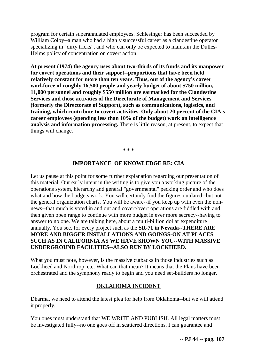program for certain superannuated employees. Schlesinger has been succeeded by William Colby--a man who had a highly successful career as a clandestine operator specializing in "dirty tricks", and who can only be expected to maintain the Dulles-Helms policy of concentration on covert action.

**At present (1974) the agency uses about two-thirds of its funds and its manpower for covert operations and their support--proportions that have been held relatively constant for more than ten years. Thus, out of the agency's career workforce of roughly 16,500 people and yearly budget of about \$750 million, 11,000 personnel and roughly \$550 million are earmarked for the Clandestine Services and those activities of the Directorate of Management and Services (formerly the Directorate of Support), such as communications, logistics, and training, which contribute to covert activities. Only about 20 percent of the CIA's career employees (spending less than 10% of the budget) work on intelligence analysis and information processing.** There is little reason, at present, to expect that things will change.

**\* \* \***

#### **IMPORTANCE OF KNOWLEDGE RE: CIA**

Let us pause at this point for some further explanation regarding our presentation of this material. Our early intent in the writing is to give you a working picture of the operations system, hierarchy and general "governmental" pecking order and who does what and how the budgets work. You will certainly find the figures outdated--but not the general organization charts. You will be aware--if you keep up with even the nonnews--that much is voted in and out and covert/overt operations are fiddled with and then given open range to continue with more budget in ever more secrecy--having to answer to no one. We are talking here, about a multi-billion dollar expenditure annually. You see, for every project such as the **SR-71 in Nevada--THERE ARE MORE AND BIGGER INSTALLATIONS AND GOINGS-ON AT PLACES SUCH AS IN CALIFORNIA AS WE HAVE SHOWN YOU--WITH MASSIVE UNDERGROUND FACILITIES--ALSO RUN BY LOCKHEED.**

What you must note, however, is the massive cutbacks in those industries such as Lockheed and Northrop, etc. What can that mean? It means that the Plans have been orchestrated and the symphony ready to begin and you need set-builders no longer.

### **OKLAHOMA INCIDENT**

Dharma, we need to attend the latest plea for help from Oklahoma--but we will attend it properly.

You ones must understand that WE WRITE AND PUBLISH. All legal matters must be investigated fully--no one goes off in scattered directions. I can guarantee and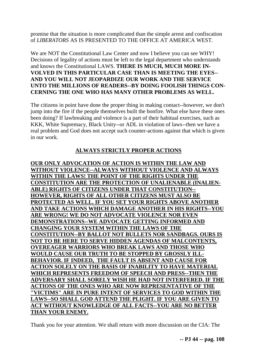promise that the situation is more complicated than the simple arrest and confiscation of *LIBERATORS* AS IS PRESENTED TO THE OFFICE AT AMERICA WEST.

We are NOT the Constitutional Law Center and now I believe you can see WHY! Decisions of legality of actions must be left to the legal department who understands and knows the Constitutional LAWS. **THERE IS MUCH, MUCH MORE IN-VOLVED IN THIS PARTICULAR CASE THAN IS MEETING THE EYES-- AND YOU WILL NOT JEOPARDIZE OUR WORK AND THE SERVICE UNTO THE MILLIONS OF READERS--BY DOING FOOLISH THINGS CON-CERNING THE ONE WHO HAS MANY OTHER PROBLEMS AS WELL.**

The citizens in point have done the proper thing in making contact--however, we don't jump into the fire if the people themselves built the bonfire. What else have these ones been doing? If lawbreaking and violence is a part of their habitual exercises, such as KKK, White Supremacy, Black Unity--or ADL in violation of laws--then we have a real problem and God does not accept such counter-actions against that which is given in our work.

# **ALWAYS STRICTLY PROPER ACTIONS**

**OUR ONLY ADVOCATION OF ACTION IS WITHIN THE LAW AND WITHOUT VIOLENCE--ALWAYS WITHOUT VIOLENCE AND ALWAYS WITHIN THE LAWS! THE POINT OF THE RIGHTS UNDER THE CONSTITUTION ARE THE PROTECTION OF UNALIENABLE (INALIEN-ABLE) RIGHTS OF CITIZENS UNDER THAT CONSTITUTION-- HOWEVER, RIGHTS OF ALL OTHER CITIZENS MUST ALSO BE PROTECTED AS WELL. IF YOU SET YOUR RIGHTS ABOVE ANOTHER AND TAKE ACTIONS WHICH DAMAGE ANOTHER IN HIS RIGHTS--YOU ARE WRONG! WE DO NOT ADVOCATE VIOLENCE NOR EVEN DEMONSTRATIONS--WE ADVOCATE GETTING INFORMED AND CHANGING YOUR SYSTEM WITHIN THE LAWS OF THE CONSTITUTION--BY BALLOT NOT BULLETS NOR SANDBAGS. OURS IS NOT TO BE HERE TO SERVE HIDDEN AGENDAS OF MALCONTENTS, OVEREAGER WARRIORS WHO BREAK LAWS AND THOSE WHO WOULD CAUSE OUR TRUTH TO BE STOPPED BY GROSSLY ILL-BEHAVIOR. IF INDEED, THE FAULT IS ABSENT AND CAUSE FOR ACTION SOLELY ON THE BASIS OF INABILITY TO HAVE MATERIAL WHICH REPRESENTS FREEDOM OF SPEECH AND PRESS--THEN THE ADVERSARY SHALL SORELY WISH HE HAD NOT INTERFERED. IF THE ACTIONS OF THE ONES WHO ARE NOW REPRESENTATIVE OF THE "VICTIMS" ARE IN PURE INTENT OF SERVICES TO GOD WITHIN THE LAWS--SO SHALL GOD ATTEND THE PLIGHT. IF YOU ARE GIVEN TO ACT WITHOUT KNOWLEDGE OF ALL FACTS--YOU ARE NO BETTER THAN YOUR ENEMY.**

Thank you for your attention. We shall return with more discussion on the CIA: The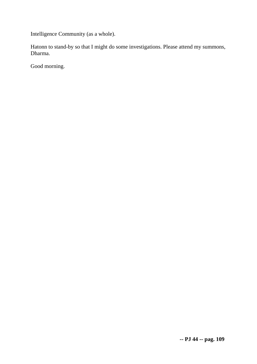Intelligence Community (as a whole).

Hatonn to stand-by so that I might do some investigations. Please attend my summons, Dharma.

Good morning.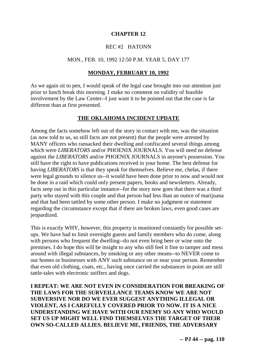### **CHAPTER 12**

#### REC #2 HATONN

#### MON., FEB. 10, 1992 12:50 P.M. YEAR 5, DAY 177

#### **MONDAY, FEBRUARY 10, 1992**

As we again sit to pen, I would speak of the legal case brought into our attention just prior to lunch break this morning. I make no comment on validity of feasible involvement by the Law Center--I just want it to be pointed out that the case is far different than at first presented.

#### **THE OKLAHOMA INCIDENT UPDATE**

Among the facts somehow left out of the story in contact with me, was the situation (as now told to us, so still facts are not present) that the people were arrested by MANY officers who ransacked their dwelling and confiscated several things among which were *LIBERATORS* and/or PHOENIX JOURNALS. You will need no defense against the *LIBERATORS* and/or PHOENIX JOURNALS in anyone's possession. You still have the right to have publications received in your home. The best defense for having *LIBERATORS* is that they speak for themselves. Believe me, chelas, if there were legal grounds to silence us--it would have been done prior to now and would not be done in a raid which could only present papers, books and newsletters. Already, facts seep out in this particular instance--for the story now goes that there was a third party who stayed with this couple and that person had less than an ounce of marijuana and that had been tattled by some other person. I make no judgment or statement regarding the circumstance except that if there are broken laws, even good cases are jeopardized.

This is exactly WHY, however, this property is monitored constantly for possible setups. We have had to limit overnight guests and family members who do come, along with persons who frequent the dwelling--do not even bring beer or wine onto the premises. I do hope this will be insight to any who still feel it fine to tamper and mess around with illegal substances, by smoking or any other means--to NEVER come to our homes or businesses with ANY such substance on or near your person. Remember that even old clothing, coats, etc., having once carried the substances in point are still tattle-tales with electronic sniffers and dogs.

**I REPEAT: WE ARE NOT EVEN IN CONSIDERATION FOR BREAKING OF THE LAWS FOR THE SURVEILLANCE TEAMS KNOW WE ARE NOT SUBVERSIVE NOR DO WE EVER SUGGEST ANYTHING ILLEGAL OR VIOLENT, AS I CAREFULLY COVERED PRIOR TO NOW. IT IS A NICE UNDERSTANDING WE HAVE WITH OUR ENEMY SO ANY WHO WOULD SET US UP MIGHT WELL FIND THEMSELVES THE TARGET OF THEIR OWN SO-CALLED ALLIES. BELIEVE ME, FRIENDS, THE ADVERSARY** 

**-- PJ 44 -- pag. 110**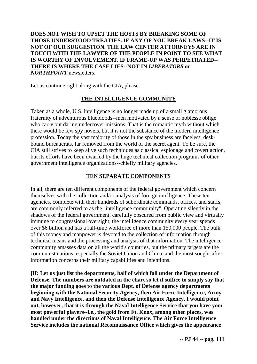## **DOES NOT WISH TO UPSET THE HOSTS BY BREAKING SOME OF THOSE UNDERSTOOD TREATIES. IF ANY OF YOU BREAK LAWS--IT IS NOT OF OUR SUGGESTION. THE LAW CENTER ATTORNEYS ARE IN TOUCH WITH THE LAWYER OF THE PEOPLE IN POINT TO SEE WHAT IS WORTHY OF INVOLVEMENT. IF FRAME-UP WAS PERPETRATED-- THERE IS WHERE THE CASE LIES--NOT IN** *LIBERATORS* **or**  *NORTHPOINT* newsletters.

Let us continue right along with the CIA, please.

#### **THE INTELLIGENCE COMMUNITY**

Taken as a whole, U.S. intelligence is no longer made up of a small glamorous fraternity of adventurous bluebloods--men motivated by a sense of noblesse oblige who carry out daring undercover missions. That is the romantic myth without which there would be few spy novels, but it is not the substance of the modern intelligence profession. Today the vast majority of those in the spy business are faceless, deskbound bureaucrats, far removed from the world of the secret agent. To be sure, the CIA still strives to keep alive such techniques as classical espionage and covert action, but its efforts have been dwarfed by the huge technical collection programs of other government intelligence organizations--chiefly military agencies.

## **TEN SEPARATE COMPONENTS**

In all, there are ten different components of the federal government which concern themselves with the collection and/or analysis of foreign intelligence. These ten agencies, complete with their hundreds of subordinate commands, offices, and staffs, are commonly referred to as the "intelligence community". Operating silently in the shadows of the federal government, carefully obscured from public view and virtually immune to congressional oversight, the intelligence community every year spends over \$6 billion and has a full-time workforce of more than 150,000 people. The bulk of this money and manpower is devoted to the collection of information through technical means and the processing and analysis of that information. The intelligence community amasses data on all the world's countries, but the primary targets are the communist nations, especially the Soviet Union and China, and the most sought-after information concerns their military capabilities and intentions.

**[H: Let us just list the departments, half of which fall under the Department of Defense. The numbers are outdated in the chart so let it suffice to simply say that the major funding goes to the various Dept. of Defense agency departments beginning with the National Security Agency, then Air Force Intelligence, Army and Navy Intelligence, and then the Defense Intelligence Agency. I would point out, however, that it is through the Naval Intelligence Service that you have your most powerful players--i.e., the gold from Ft. Knox, among other places, was handled under the directions of Naval Intelligence. The Air Force Intelligence Service includes the national Reconnaissance Office which gives the appearance**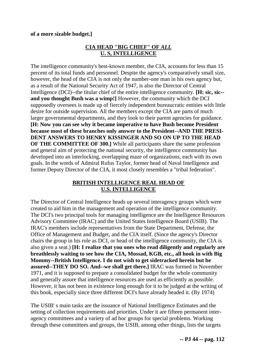#### **of a more sizable budget.]**

## **CIA HEAD "BIG CHIEF" OF** *ALL* **U. S, INTELLIGENCE**

The intelligence community's best-known member, the CIA, accounts for less than 15 percent of its total funds and personnel. Despite the agency's comparatively small size, however, the head of the CIA is not only the number-one man in his own agency but, as a result of the National Security Act of 1947, is also the Director of Central Intelligence (DCI)--the titular chief of the entire intelligence community. **[H: sic, sic- and you thought Bush was a wimp!]** However, the community which the DCI supposedly oversees is made up of fiercely independent bureaucratic entities with little desire for outside supervision. All the members except the CIA are parts of much larger governmental departments, and they look to their parent agencies for guidance. **[H: Now you can see why it became imperative to have Bush become President because most of these branches only answer to the President--AND THE PRESI-DENT ANSWERS TO HENRY KISSINGER AND SO ON UP TO THE HEAD OF THE COMMITTEE OF 300.]** While all participants share the same profession and general aim of protecting the national security, the intelligence community has developed into an interlocking, overlapping maze of organizations, each with its own goals. In the words of Admiral Rufus Taylor, former head of Naval Intelligence and former Deputy Director of the CIA, it most closely resembles a "tribal federation".

## **BRITISH INTELLIGENCE REAL HEAD OF U.S. INTELLIGENCE**

The Director of Central Intelligence heads up several interagency groups which were created to aid him in the management and operation of the intelligence community. The DCI's two principal tools for managing intelligence are the Intelligence Resources Advisory Committee (IRAC) and the United States Intelligence Board (USIB). The IRAC's members include representatives from the State Department, Defense, the Office of Management and Budget, and the CIA itself. (Since the agency's Director chairs the group in his role as DCI, or head of the intelligence community, the CIA is also given a seat.) **[H: I realize that you ones who read diligently and regularly are breathlessly waiting to see how the CIA, Mossad, KGB, etc., all hook in with Big Mommy--British Intelligence. I do not wish to get sidetracked herein but be assured--THEY DO SO. And--we shall get there.]** IRAC was formed in November 1971, and it is supposed to prepare a consolidated budget for the whole community and generally assure that intelligence resources are used as efficiently as possible. However, it has not been in existence long enough for it to be judged at the writing of this book, especially since three different DCI's have already headed it. (By 1974)

The USIB' s main tasks are the issuance of National Intelligence Estimates and the setting of collection requirements and priorities. Under it are fifteen permanent interagency committees and a variety of ad hoc groups for special problems. Working through these committees and groups, the USIB, among other things, lists the targets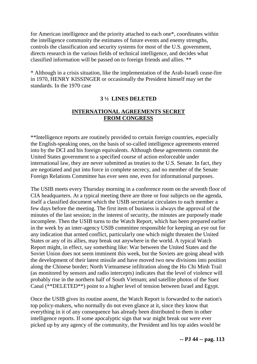for American intelligence and the priority attached to each one\*, coordinates within the intelligence community the estimates of future events and enemy strengths, controls the classification and security systems for most of the U.S. government, directs research in the various fields of technical intelligence, and decides what classified information will be passed on to foreign friends and allies. \*\*

\* Although in a crisis situation, like the implementation of the Arab-Israeli cease-fire in 1970, HENRY KISSINGER or occasionally the President himself may set the standards. In the 1970 case

## **3 ½ LINES DELETED**

# **INTERNATIONAL AGREEMENTS SECRET FROM CONGRESS**

\*\*Intelligence reports are routinely provided to certain foreign countries, especially the English-speaking ones, on the basis of so-called intelligence agreements entered into by the DCI and his foreign equivalents. Although these agreements commit the United States government to a specified course of action enforceable under international law, they are never submitted as treaties to the U.S. Senate. In fact, they are negotiated and put into force in complete secrecy, and no member of the Senate Foreign Relations Committee has ever seen one, even for informational purposes.

The USIB meets every Thursday morning in a conference room on the seventh floor of CIA headquarters. At a typical meeting there are three or four subjects on the agenda, itself a classified document which the USIB secretariat circulates to each member a few days before the meeting. The first item of business is always the approval of the minutes of the last session; in the interest of security, the minutes are purposely made incomplete. Then the USIB turns to the Watch Report, which has been prepared earlier in the week by an inter-agency USIB committee responsible for keeping an eye out for any indication that armed conflict, particularly one which might threaten the United States or any of its allies, may break out anywhere in the world. A typical Watch Report might, in effect, say something like: War between the United States and the Soviet Union does not seem imminent this week, but the Soviets are going ahead with the development of their latest missile and have moved two new divisions into position along the Chinese border; North Vietnamese infiltration along the Ho Chi Minh Trail (as monitored by sensors and radio intercepts) indicates that the level of violence will probably rise in the northern half of South Vietnam; and satellite photos of the Suez Canal (\*\*DELETED\*\*) point to a higher level of tension between Israel and Egypt.

Once the USIB gives its routine assent, the Watch Report is forwarded to the nation's top policy-makers, who normally do not even glance at it, since they know that everything in it of any consequence has already been distributed to them in other intelligence reports. If some apocalyptic sign that war might break out were ever picked up by any agency of the community, the President and his top aides would be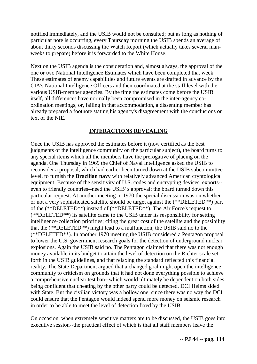notified immediately, and the USIB would not be consulted; but as long as nothing of particular note is occurring, every Thursday morning the USIB spends an average of about thirty seconds discussing the Watch Report (which actually takes several manweeks to prepare) before it is forwarded to the White House.

Next on the USIB agenda is the consideration and, almost always, the approval of the one or two National Intelligence Estimates which have been completed that week. These estimates of enemy capabilities and future events are drafted in advance by the CIA's National Intelligence Officers and then coordinated at the staff level with the various USIB-member agencies. By the time the estimates come before the USIB itself, all differences have normally been compromised in the inter-agency coordination meetings, or, failing in that accommodation, a dissenting member has already prepared a footnote stating his agency's disagreement with the conclusions or text of the NIE.

# **INTERACTIONS REVEALING**

Once the USIB has approved the estimates before it (now certified as the best judgments of the intelligence community on the particular subject), the board turns to any special items which all the members have the prerogative of placing on the agenda. One Thursday in 1969 the Chief of Naval Intelligence asked the USIB to reconsider a proposal, which had earlier been turned down at the USIB subcommittee level, to furnish the **Brazilian navy** with relatively advanced American cryptological equipment. Because of the sensitivity of U.S. codes and encrypting devices, exports- even to friendly countries--need the USIB' s approval; the board turned down this particular request. At another meeting in 1970 the special discussion was on whether or not a very sophisticated satellite should be target against the (\*\*DELETED\*\*) part of the (\*\*DELETED\*\*) instead of (\*\*DELETED\*\*). The Air Force's request to (\*\*DELETED\*\*) its satellite came to the USIB under its responsibility for setting intelligence-collection priorities; citing the great cost of the satellite and the possibility that the (\*\*DELETED\*\*) might lead to a malfunction, the USIB said no to the (\*\*DELETED\*\*). In another 1970 meeting the USIB considered a Pentagon proposal to lower the U.S. government research goals for the detection of underground nuclear explosions. Again the USIB said no. The Pentagon claimed that there was not enough money available in its budget to attain the level of detection on the Richter scale set forth in the USIB guidelines, and that relaxing the standard reflected this financial reality. The State Department argued that a changed goal might open the intelligence community to criticism on grounds that it had not done everything possible to achieve a comprehensive nuclear test ban--which would ultimately be dependent on both sides, being confident that cheating by the other party could be detected. DCI Helms sided with State. But the civilian victory was a hollow one, since there was no way the DCI could ensure that the Pentagon would indeed spend more money on seismic research in order to be able to meet the level of detection fixed by the USIB.

On occasion, when extremely sensitive matters are to be discussed, the USIB goes into executive session--the practical effect of which is that all staff members leave the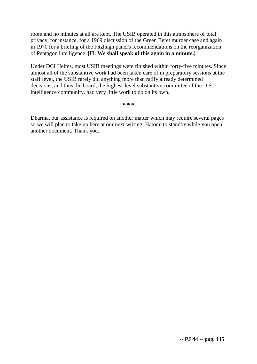room and no minutes at all are kept. The USIB operated in this atmosphere of total privacy, for instance, for a 1969 discussion of the Green Beret murder case and again in 1970 for a briefing of the Fitzhugh panel's recommendations on the reorganization of Pentagon intelligence. **[H: We shall speak of this again in a minute.]**

Under DCI Helms, most USIB meetings were finished within forty-five minutes. Since almost all of the substantive work had been taken care of in preparatory sessions at the staff level, the USIB rarely did anything more than ratify already determined decisions, and thus the board, the highest-level substantive committee of the U.S. intelligence community, had very little work to do on its own.

**\* \* \***

Dharma, our assistance is required on another matter which may require several pages so we will plan to take up here at our next writing. Hatonn to standby while you open another document. Thank you.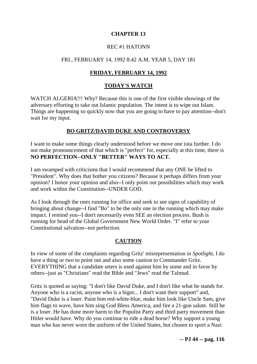### **CHAPTER 13**

#### REC #1 HATONN

#### FRI., FEBRUARY 14, 1992 8:42 A.M. YEAR 5, DAY 181

### **FRIDAY, FEBRUARY 14, 1992**

#### **TODAY'S WATCH**

WATCH ALGERIA!!! Why? Because this is one of the first visible showings of the adversary efforting to take out Islamic population. The intent is to wipe out Islam. Things are happening so quickly now that you are going to have to pay attention--don't wait for my input.

#### **BO GRITZ/DAVID DUKE AND CONTROVERSY**

I want to make some things clearly understood before we move one iota further. I do not make pronouncement of that which is "perfect" for, especially at this time, there is **NO PERFECTION--ONLY "BETTER" WAYS TO ACT.**

I am swamped with criticisms that I would recommend that any ONE be lifted to "President". Why does that bother you citizens? Because it perhaps differs from your opinion? I honor your opinion and also--I only point out possibilities which may work and work within the Constitution--UNDER GOD.

As I look through the ones running for office and seek to see signs of capability of bringing about change--I find "Bo" to be the only one in the running which may make impact. I remind you--I don't necessarily even SEE an election process. Bush is running for head of the Global Government New World Order. "I" refer to your Constitutional salvation--not perfection.

#### **CAUTION**

In view of some of the complaints regarding Gritz' misrepresentation in *Spotlight*, I do have a thing or two to point out and also some caution to Commander Gritz. EVERYTHING that a candidate utters is used against him by some and in favor by others--just as "Christians" read the Bible and "Jews" read the Talmud.

Gritz is quoted as saying: "I don't like David Duke, and I don't like what he stands for. Anyone who is a racist, anyone who is a bigot... I don't want their support" and, "David Duke is a loser. Paint him red-white-blue, make him look like Uncle Sam, give him flags to wave, have him sing God Bless America, and fire a 21-gun salute. Still he is a loser. He has done more harm to the Populist Party and third party movement than Hitler would have. Why do you continue to ride a dead horse? Why support a young man who has never worn the uniform of the United States, but chosen to sport a Nazi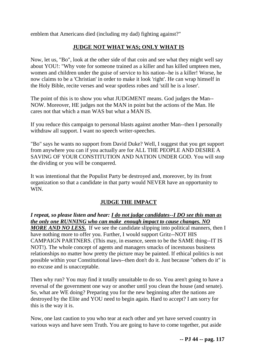emblem that Americans died (including my dad) fighting against?"

# **JUDGE NOT WHAT WAS; ONLY WHAT IS**

Now, let us, "Bo", look at the other side of that coin and see what they might well say about YOU!: "Why vote for someone trained as a killer and has killed umpteen men, women and children under the guise of service to his nation--he is a killer! Worse, he now claims to be a 'Christian' in order to make it look 'right'. He can wrap himself in the Holy Bible, recite verses and wear spotless robes and 'still he is a loser'.

The point of this is to show you what JUDGMENT means. God judges the Man-- NOW. Moreover, HE judges not the MAN in point but the actions of the Man. He cares not that which a man WAS but what a MAN IS.

If you reduce this campaign to personal blasts against another Man--then I personally withdraw all support. I want no speech writer-speeches.

"Bo" says he wants no support from David Duke? Well, I suggest that you get support from anywhere you can if you actually are for ALL THE PEOPLE AND DESIRE A SAVING OF YOUR CONSTITUTION AND NATION UNDER GOD. You will stop the dividing or you will be conquered.

It was intentional that the Populist Party be destroyed and, moreover, by its front organization so that a candidate in that party would NEVER have an opportunity to WIN.

# **JUDGE THE IMPACT**

*I repeat, so please listen and hear: I do not judge candidates--I DO see this man as the only one RUNNING who can make enough impact to cause changes. NO MORE AND NO LESS.* If we see the candidate slipping into political manners, then I have nothing more to offer you. Further, I would support Gritz--NOT HIS CAMPAIGN PARTNERS. (This may, in essence, seem to be the SAME thing--IT IS NOT!). The whole concept of agents and managers smacks of incestuous business relationships no matter how pretty the picture may be painted. If ethical politics is not possible within your Constitutional laws--then don't do it. Just because "others do it" is no excuse and is unacceptable.

Then why run? You may find it totally unsuitable to do so. You aren't going to have a reversal of the government one way or another until you clean the house (and senate). So, what are WE doing? Preparing you for the new beginning after the nations are destroyed by the Elite and YOU need to begin again. Hard to accept? I am sorry for this is the way it is.

Now, one last caution to you who tear at each other and yet have served country in various ways and have seen Truth. You are going to have to come together, put aside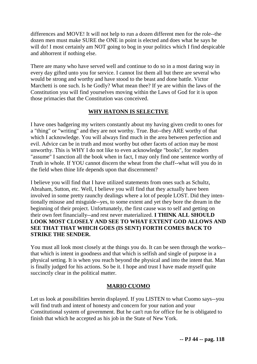differences and MOVE! It will not help to run a dozen different men for the role--the dozen men must make SURE the ONE in point is elected and does what he says he will do! I most certainly am NOT going to bog in your politics which I find despicable and abhorrent if nothing else.

There are many who have served well and continue to do so in a most daring way in every day gifted unto you for service. I cannot list them all but there are several who would be strong and worthy and have stood to the beast and done battle. Victor Marchetti is one such. Is he Godly? What mean thee? If ye are within the laws of the Constitution you will find yourselves moving within the Laws of God for it is upon those primacies that the Constitution was conceived.

# **WHY HATONN IS SELECTIVE**

I have ones badgering my writers constantly about my having given credit to ones for a "thing" or "writing" and they are not worthy. True. But--they ARE worthy of that which I acknowledge. You will always find much in the area between perfection and evil. Advice can be in truth and most worthy but other facets of action may be most unworthy. This is WHY I do not like to even acknowledge "books", for readers "assume" I sanction all the book when in fact, I may only find one sentence worthy of Truth in whole. If YOU cannot discern the wheat from the chaff--what will you do in the field when thine life depends upon that discernment?

I believe you will find that I have utilized statements from ones such as Schultz, Abraham, Sutton, etc. Well, I believe you will find that they actually have been involved in some pretty raunchy dealings where a lot of people LOST. Did they intentionally misuse and misguide--yes, to some extent and yet they bore the dream in the beginning of their project. Unfortunately, the first cause was to self and getting on their own feet financially--and rest never materialized. **I THINK ALL SHOULD LOOK MOST CLOSELY AND SEE TO WHAT EXTENT GOD ALLOWS AND SEE THAT THAT WHICH GOES (IS SENT) FORTH COMES BACK TO STRIKE THE SENDER.**

You must all look most closely at the things you do. It can be seen through the works- that which is intent in goodness and that which is selfish and single of purpose in a physical setting. It is when you reach beyond the physical and into the intent that. Man is finally judged for his actions. So be it. I hope and trust I have made myself quite succinctly clear in the political matter.

## **MARIO CUOMO**

Let us look at possibilities herein displayed. If you LISTEN to what Cuomo says--you will find truth and intent of honesty and concern for your nation and your Constitutional system of government. But he can't run for office for he is obligated to finish that which he accepted as his job in the State of New York.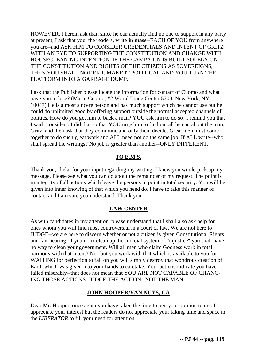HOWEVER, I herein ask that, since he can actually find no one to support in any party at present, I ask that you, the readers, write **in mass**--EACH OF YOU from anywhere you are--and ASK HIM TO CONSIDER CREDENTIALS AND INTENT OF GRITZ WITH AN EYE TO SUPPORTING THE CONSTITUTION AND CHANGE WITH HOUSECLEANING INTENTION. IF THE CAMPAIGN IS BUILT SOLELY ON THE CONSTITUTION AND RIGHTS OF THE CITIZENS AS SOVEREIGNS, THEN YOU SHALL NOT ERR. MAKE IT POLITICAL AND YOU TURN THE PLATFORM INTO A GARBAGE DUMP.

I ask that the Publisher please locate the information for contact of Cuomo and what have you to lose? (Mario Cuomo, #2 World Trade Center 5700, New York, NY 10047) He is a most sincere person and has much support which he cannot use but he could do unlimited good by offering support outside the normal accepted channels of politics. How do you get him to back a man? YOU ask him to do so! I remind you that I said "consider". I did that so that YOU urge him to find out all he can about the man, Gritz, and then ask that they commune and only then, decide. Great men must come together to do such great work and ALL need not do the same job. If ALL write--who shall spread the writings? No job is greater than another--ONLY DIFFERENT.

#### **TO E.M.S.**

Thank you, chela, for your input regarding my writing. I knew you would pick up my message. Please see what you can do about the remainder of my request. The point is in integrity of all actions which leave the persons in point in total security. You will be given into inner knowing of that which you need do. I have to take this manner of contact and I am sure you understand. Thank you.

#### **LAW CENTER**

As with candidates in my attention, please understand that I shall also ask help for ones whom you will find most controversial in a court of law. We are not here to JUDGE--we are here to discern whether or not a citizen is given Constitutional Rights and fair hearing. If you don't clean up the Judicial system of "injustice" you shall have no way to clean your government. Will all men who claim Godness work in total harmony with that intent? No--but you work with that which is available to you for WAITING for perfection to fall on you will simply destroy that wondrous creation of Earth which was given into your hands to caretake. Your actions indicate you have failed miserably--that does not mean that YOU ARE NOT CAPABLE OF CHANG-ING THOSE ACTIONS. JUDGE THE ACTION--NOT THE MAN.

#### **JOHN HOOPER/VAN NUYS, CA**

Dear Mr. Hooper, once again you have taken the time to pen your opinion to me. I appreciate your interest but the readers do not appreciate your taking time and space in the *LIBERATOR* to fill your need for attention.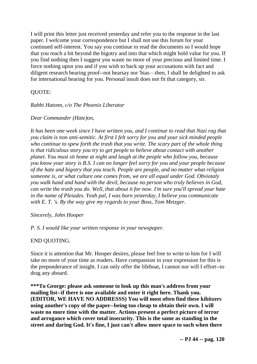I will print this letter just received yesterday and refer you to the response in the last paper. I welcome your correspondence but I shall not use this forum for your continued self-interest. You say you continue to read the documents so I would hope that you reach a bit beyond the bigotry and into that which might hold value for you. If you find nothing then I suggest you waste no more of your precious and limited time. I force nothing upon you and if you wish to back up your accusations with fact and diligent research bearing proof--not hearsay nor 'bias—then, I shall be delighted to ask for international hearing for you. Personal insult does not fit that category, sir.

# QUOTE:

*Rabbi Hatonn, c/o The Phoenix Liberator*

## *Dear Commander (Hate)on,*

*It has been one week since I have written you, and I continue to read that Nazi rag that you claim is non anti-semitic. At first I felt sorry for you and your sick minded people who continue to spew forth the trash that you write. The scary part of the whole thing is that ridiculous story you try to get people to believe about contact with another planet. You must sit home at night and laugh at the people who follow you, because you know your story is B.S. I can no longer feel sorry for you and your people because of the hate and bigotry that you teach. People are people, and no matter what religion someone is, or what culture one comes from, we are all equal under God. Obviotaly you walk hand and hand with the devil, because no person who truly believes in God, can write the trash you do. Well, that about it for now. I'm sure you'll spread your hate in the name of Pleiades. Yeah pal, I was born yesterday, I believe you communicate with E. T. 's. By the way give my regards to your Boss, Tom Metzger.*

*Sincerely, John Hooper*

*P. S. I would like your written response in your newspaper.* 

END QUOTING.

Since it is attention that Mr. Hooper desires, please feel free to write to him for I will take no more of your time as readers. Have compassion in your expression for this is the preponderance of insight. I can only offer the lifeboat, I cannot nor will I effort--to drag any aboard.

**\*\*\*To George: please ask someone to look up this man's address from your mailing list--if there is one available and enter it right here. Thank you. (EDITOR, WE HAVE NO ADDRESSS) You will most often find these kibitzers using another's copy of the paper--being too cheap to obtain their own. I will**  waste no more time with the matter. Actions present a perfect picture of terror **and arrogance which cover total insecurity. This is the same as standing in the street and daring God. It's fine, I just can't allow more space to such when there**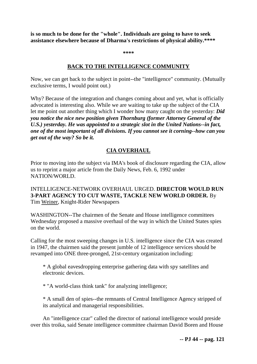**is so much to be done for the "whole". Individuals are going to have to seek assistance elsewhere because of Dharma's restrictions of physical ability.\*\*\*\***

**\*\*\*\***

## **BACK TO THE INTELLIGENCE COMMUNITY**

Now, we can get back to the subject in point--the "intelligence" community. (Mutually exclusive terms, I would point out.)

Why? Because of the integration and changes coming about and yet, what is officially advocated is interesting also. While we are waiting to take up the subject of the CIA let me point out another thing which I wonder how many caught on the yesterday: *Did you notice the nice new position given Thornburg (former Attorney General of the U.S.) yesterday. He was appointed to a strategic slot in the United Nations--in fact, one of the most important of all divisions. If you cannot see it corning--how can you get out of the way? So be it.*

# **CIA OVERHAUL**

Prior to moving into the subject via IMA's book of disclosure regarding the CIA, allow us to reprint a major article from the Daily News, Feb. 6, 1992 under NATION/WORLD.

INTELLIGENCE-NETWORK OVERHAUL URGED. **DIRECTOR WOULD RUN 3-PART AGENCY TO CUT WASTE, TACKLE NEW WORLD ORDER.** By Tim Weiner, Knight-Rider Newspapers

WASHINGTON--The chairmen of the Senate and House intelligence committees Wednesday proposed a massive overhaul of the way in which the United States spies on the world.

Calling for the most sweeping changes in U.S. intelligence since the CIA was created in 1947, the chairmen said the present jumble of 12 intelligence services should be revamped into ONE three-pronged, 21st-century organization including:

\* A global eavesdropping enterprise gathering data with spy satellites and electronic devices.

\* "A world-class think tank" for analyzing intelligence;

\* A small den of spies--the remnants of Central Intelligence Agency stripped of its analytical and managerial responsibilities.

An "intelligence czar" called the director of national intelligence would preside over this troika, said Senate intelligence committee chairman David Boren and House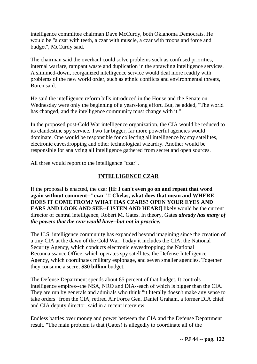intelligence committee chairman Dave McCurdy, both Oklahoma Democrats. He would be "a czar with teeth, a czar with muscle, a czar with troops and force and budget", McCurdy said.

The chairman said the overhaul could solve problems such as confused priorities, internal warfare, rampant waste and duplication in the sprawling intelligence services. A slimmed-down, reorganized intelligence service would deal more readily with problems of the new world order, such as ethnic conflicts and environmental threats, Boren said.

He said the intelligence reform bills introduced in the House and the Senate on Wednesday were only the beginning of a years-long effort. But, he added, "The world has changed, and the intelligence community must change with it."

In the proposed post-Cold War intelligence organization, the CIA would be reduced to its clandestine spy service. Two far bigger, far more powerful agencies would dominate. One would be responsible for collecting all intelligence by spy satellites, electronic eavesdropping and other technological wizardry. Another would be responsible for analyzing all intelligence gathered from secret and open sources.

All three would report to the intelligence "czar".

# **INTELLIGENCE CZAR**

If the proposal is enacted, the czar **[H: I can't even go on and repeat that word again without comment--"czar"!! Chelas, what does that mean and WHERE DOES IT COME FROM? WHAT HAS CZARS? OPEN YOUR EYES AND EARS AND LOOK AND SEE--LISTEN AND HEAR!]** likely would be the current director of central intelligence, Robert M. Gates. In theory, Gates *already has many of the powers that the czar would have--but not in practice.*

The U.S. intelligence community has expanded beyond imagining since the creation of a tiny CIA at the dawn of the Cold War. Today it includes the CIA; the National Security Agency, which conducts electronic eavesdropping; the National Reconnaissance Office, which operates spy satellites; the Defense Intelligence Agency, which coordinates military espionage, and seven smaller agencies. Together they consume a secret **\$30 billion** budget.

The Defense Department spends about 85 percent of that budget. It controls intelligence empires--the NSA, NRO and DIA--each of which is bigger than the CIA. They are run by generals and admirals who think "it literally doesn't make any sense to take orders" from the CIA, retired Air Force Gen. Daniel Graham, a former DIA chief and CIA deputy director, said in a recent interview.

Endless battles over money and power between the CIA and the Defense Department result. "The main problem is that (Gates) is allegedly to coordinate all of the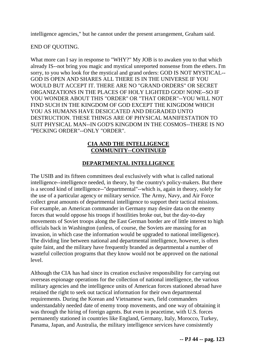intelligence agencies," but he cannot under the present arrangement, Graham said.

## END OF QUOTING.

What more can I say in response to "WHY?" My JOB is to awaken you to that which already IS--not bring you magic and mystical unreported nonsense from the ethers. I'm sorry, to you who look for the mystical and grand orders: GOD IS NOT MYSTICAL-- GOD IS OPEN AND SHARES ALL THERE IS IN THE UNIVERSE IF YOU WOULD BUT ACCEPT IT. THERE ARE NO "GRAND ORDERS" OR SECRET ORGANIZATIONS IN THE PLACES OF HOLY LIGHTED GOD! NONE--SO IF YOU WONDER ABOUT THIS "ORDER" OR "THAT ORDER"--YOU WILL NOT FIND SUCH IN THE KINGDOM OF GOD EXCEPT THE KINGDOM WHICH YOU AS HUMANS HAVE DESICCATED AND DEGRADED UNTO DESTRUCTION. THESE THINGS ARE OF PHYSICAL MANIFESTATION TO SUIT PHYSICAL MAN--IN GOD'S KINGDOM IN THE COSMOS--THERE IS NO "PECKING ORDER"--ONLY "ORDER".

### **CIA AND THE INTELLIGENCE COMMUNITY--CONTINUED**

# **DEPARTMENTAL INTELLIGENCE**

The USIB and its fifteen committees deal exclusively with what is called national intelligence--intelligence needed, in theory, by the country's policy-makers. But there is a second kind of intelligence--"departmental"--which is, again in theory, solely for the use of a particular agency or military service. The Army, Navy, and Air Force collect great amounts of departmental intelligence to support their tactical missions. For example, an American commander in Germany may desire data on the enemy forces that would oppose his troops if hostilities broke out, but the day-to-day movements of Soviet troops along the East German border are of little interest to high officials back in Washington (unless, of course, the Soviets are massing for an invasion, in which case the information would be upgraded to national intelligence). The dividing line between national and departmental intelligence, however, is often quite faint, and the military have frequently branded as departmental a number of wasteful collection programs that they know would not be approved on the national level.

Although the CIA has had since its creation exclusive responsibility for carrying out overseas espionage operations for the collection of national intelligence, the various military agencies and the intelligence units of American forces stationed abroad have retained the right to seek out tactical information for their own departmental requirements. During the Korean and Vietnamese wars, field commanders understandably needed date of enemy troop movements, and one way of obtaining it was through the hiring of foreign agents. But even in peacetime, with U.S. forces permanently stationed in countries like England, Germany, Italy, Morocco, Turkey, Panama, Japan, and Australia, the military intelligence services have consistently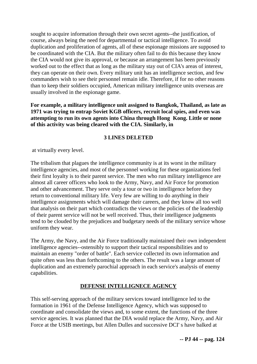sought to acquire information through their own secret agents--the justification, of course, always being the need for departmental or tactical intelligence. To avoid duplication and proliferation of agents, all of these espionage missions are supposed to be coordinated with the CIA. But the military often fail to do this because they know the CIA would not give its approval, or because an arrangement has been previously worked out to the effect that as long as the military stay out of CIA's areas of interest, they can operate on their own. Every military unit has an intelligence section, and few commanders wish to see their personnel remain idle. Therefore, if for no other reasons than to keep their soldiers occupied, American military intelligence units overseas are usually involved in the espionage game.

## **For example, a military intelligence unit assigned to Bangkok, Thailand, as late as 1971 was trying to entrap Soviet KGB officers, recruit local spies, and even was attempting to run its own agents into China through Hong Kong. Little or none of this activity was being cleared with the CIA. Similarly, in**

# **3 LINES DELETED**

at virtually every level.

The tribalism that plagues the intelligence community is at its worst in the military intelligence agencies, and most of the personnel working for these organizations feel their first loyalty is to their parent service. The men who run military intelligence are almost all career officers who look to the Army, Navy, and Air Force for promotion and other advancement. They serve only a tour or two in intelligence before they return to conventional military life. Very few are willing to do anything in their intelligence assignments which will damage their careers, and they know all too well that analysis on their part which contradicts the views or the policies of the leadership of their parent service will not be well received. Thus, their intelligence judgments tend to be clouded by the prejudices and budgetary needs of the military service whose uniform they wear.

The Army, the Navy, and the Air Force traditionally maintained their own independent intelligence agencies--ostensibly to support their tactical responsibilities and to maintain an enemy "order of battle". Each service collected its own information and quite often was less than forthcoming to the others. The result was a large amount of duplication and an extremely parochial approach in each service's analysis of enemy capabilities.

# **DEFENSE INTELLIGNECE AGENCY**

This self-serving approach of the military services toward intelligence led to the formation in 1961 of the Defense Intelligence Agency, which was supposed to coordinate and consolidate the views and, to some extent, the functions of the three service agencies. It was planned that the DIA would replace the Army, Navy, and Air Force at the USIB meetings, but Allen Dulles and successive DCI' s have balked at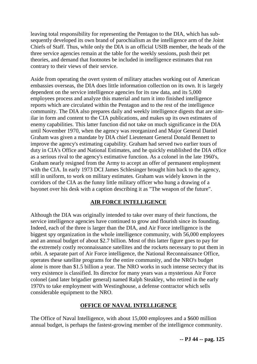leaving total responsibility for representing the Pentagon to the DIA, which has subsequently developed its own brand of parochialism as the intelligence arm of the Joint Chiefs of Staff. Thus, while only the DIA is an official USIB member, the heads of the three service agencies remain at the table for the weekly sessions, push their pet theories, and demand that footnotes be included in intelligence estimates that run contrary to their views of their service.

Aside from operating the overt system of military attaches working out of American embassies overseas, the DIA does little information collection on its own. It is largely dependent on the service intelligence agencies for its raw data, and its 5,000 employees process and analyze this material and turn it into finished intelligence reports which are circulated within the Pentagon and to the rest of the intelligence community. The DIA also prepares daily and weekly intelligence digests that are similar in form and content to the CIA publications, and makes up its own estimates of enemy capabilities. This latter function did not take on much significance in the DIA until November 1970, when the agency was reorganized and Major General Daniel Graham was given a mandate by DIA chief Lieutenant General Donald Bennett to improve the agency's estimating capability. Graham had served two earlier tours of duty in CIA's Office and National Estimates, and he quickly established the DIA office as a serious rival to the agency's estimative function. As a colonel in the late 1960's, Graham nearly resigned from the Army to accept an offer of permanent employment with the CIA. In early 1973 DCI James Schlesinger brought him back to the agency, still in uniform, to work on military estimates. Graham was widely known in the corridors of the CIA as the funny little military officer who hung a drawing of a bayonet over his desk with a caption describing it as "The weapon of the future".

## **AIR FORCE INTELLIGENCE**

Although the DIA was originally intended to take over many of their functions, the service intelligence agencies have continued to grow and flourish since its founding. Indeed, each of the three is larger than the DIA, and Air Force intelligence is the biggest spy organization in the whole intelligence community, with 56,000 employees and an annual budget of about \$2.7 billion. Most of this latter figure goes to pay for the extremely costly reconnaissance satellites and the rockets necessary to put them in orbit. A separate part of Air Force intelligence, the National Reconnaissance Office, operates these satellite programs for the entire community, and the NRO's budget alone is more than \$1.5 billion a year. The NRO works in such intense secrecy that its very existence is classified. Its director for many years was a mysterious Air Force colonel (and later brigadier general) named Ralph Steakley, who retired in the early 1970's to take employment with Westinghouse, a defense contractor which sells considerable equipment to the NRO.

## **OFFICE OF NAVAL INTELLIGENCE**

The Office of Naval Intelligence, with about 15,000 employees and a \$600 million annual budget, is perhaps the fastest-growing member of the intelligence community.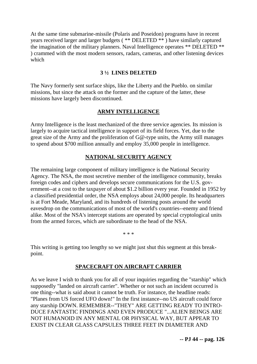At the same time submarine-missile (Polaris and Poseidon) programs have in recent years received larger and larger budgets ( \*\* DELETED \*\* ) have similarly captured the imagination of the military planners. Naval Intelligence operates \*\* DELETED \*\* ) crammed with the most modern sensors, radars, cameras, and other listening devices which

## **3 ½ LINES DELETED**

The Navy formerly sent surface ships, like the Liberty and the Pueblo. on similar missions, but since the attack on the former and the capture of the latter, these missions have largely been discontinued.

# **ARMY INTELLIGENCE**

Army Intelligence is the least mechanized of the three service agencies. Its mission is largely to acquire tactical intelligence in support of its field forces. Yet, due to the great size of the Army and the proliferation of G@-type units, the Army still manages to spend about \$700 million annually and employ 35,000 people in intelligence.

# **NATIONAL SECURITY AGENCY**

The remaining large component of military intelligence is the National Security Agency. The NSA, the most secretive member of the intelligence community, breaks foreign codes and ciphers and develops secure communications for the U.S. government--at a cost to the taxpayer of about \$1.2 billion every year. Founded in 1952 by a classified presidential order, the NSA employs about 24,000 people. Its headquarters is at Fort Meade, Maryland, and its hundreds of listening posts around the world eavesdrop on the communications of most of the world's countries--enemy and friend alike. Most of the NSA's intercept stations are operated by special cryptological units from the armed forces, which are subordinate to the head of the NSA.

\* \* \*

This writing is getting too lengthy so we might just shut this segment at this breakpoint.

# **SPACECRAFT ON AIRCRAFT CARRIER**

As we leave I wish to thank you for all of your inquiries regarding the "starship" which supposedly "landed on aircraft carrier". Whether or not such an incident occurred is one thing--what is said about it cannot be truth. For instance, the headline reads: "Planes from US forced UFO down!" In the first instance--no US aircraft could force any starship DOWN. REMEMBER--"THEY" ARE GETTING READY TO INTRO-DUCE FANTASTIC FINDINGS AND EVEN PRODUCE "...ALIEN BEINGS ARE NOT HUMANOID IN ANY MENTAL OR PHYSICAL WAY, BUT APPEAR TO EXIST IN CLEAR GLASS CAPSULES THREE FEET IN DIAMETER AND